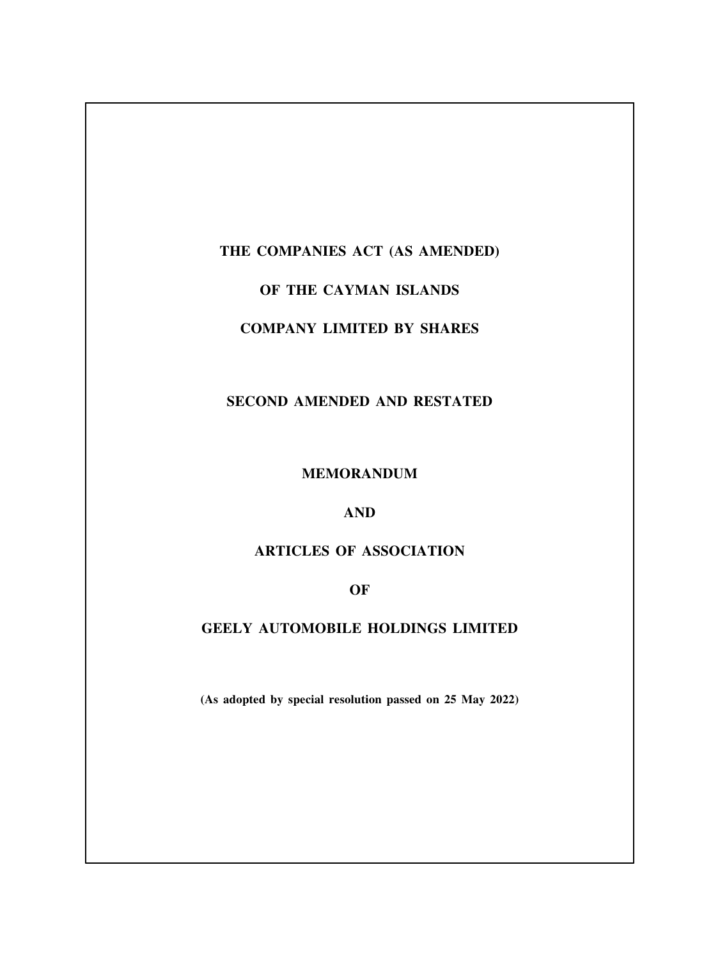## **THE COMPANIES ACT (AS AMENDED)**

# **OF THE CAYMAN ISLANDS**

# **COMPANY LIMITED BY SHARES**

## **SECOND AMENDED AND RESTATED**

#### **MEMORANDUM**

## **AND**

# **ARTICLES OF ASSOCIATION**

## **OF**

# **GEELY AUTOMOBILE HOLDINGS LIMITED**

**(As adopted by special resolution passed on 25 May 2022)**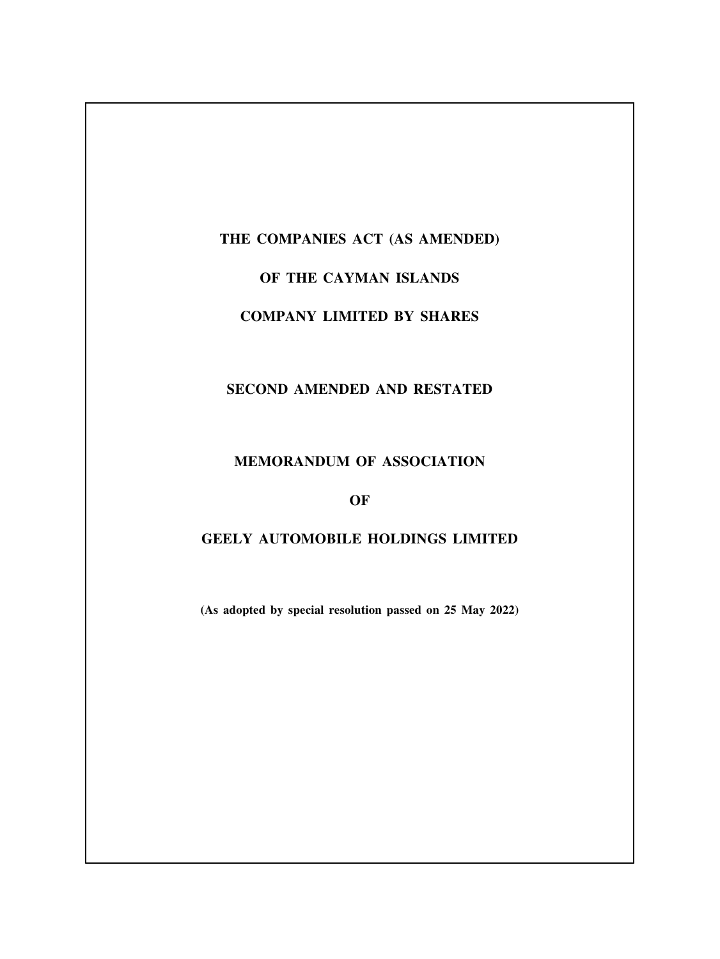# **THE COMPANIES ACT (AS AMENDED)**

# **OF THE CAYMAN ISLANDS**

# **COMPANY LIMITED BY SHARES**

# **SECOND AMENDED AND RESTATED**

## **MEMORANDUM OF ASSOCIATION**

## **OF**

# **GEELY AUTOMOBILE HOLDINGS LIMITED**

**(As adopted by special resolution passed on 25 May 2022)**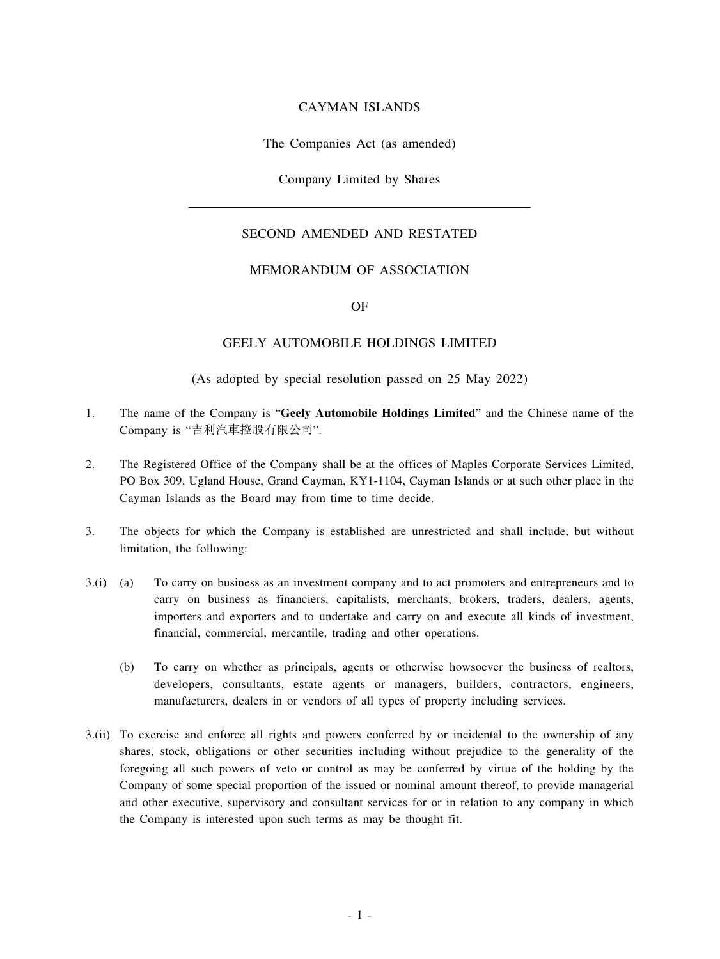#### CAYMAN ISLANDS

The Companies Act (as amended)

Company Limited by Shares

## SECOND AMENDED AND RESTATED

#### MEMORANDUM OF ASSOCIATION

#### OF

### GEELY AUTOMOBILE HOLDINGS LIMITED

#### (As adopted by special resolution passed on 25 May 2022)

- 1. The name of the Company is "**Geely Automobile Holdings Limited**" and the Chinese name of the Company is "吉利汽車控股有限公司".
- 2. The Registered Office of the Company shall be at the offices of Maples Corporate Services Limited, PO Box 309, Ugland House, Grand Cayman, KY1-1104, Cayman Islands or at such other place in the Cayman Islands as the Board may from time to time decide.
- 3. The objects for which the Company is established are unrestricted and shall include, but without limitation, the following:
- 3.(i) (a) To carry on business as an investment company and to act promoters and entrepreneurs and to carry on business as financiers, capitalists, merchants, brokers, traders, dealers, agents, importers and exporters and to undertake and carry on and execute all kinds of investment, financial, commercial, mercantile, trading and other operations.
	- (b) To carry on whether as principals, agents or otherwise howsoever the business of realtors, developers, consultants, estate agents or managers, builders, contractors, engineers, manufacturers, dealers in or vendors of all types of property including services.
- 3.(ii) To exercise and enforce all rights and powers conferred by or incidental to the ownership of any shares, stock, obligations or other securities including without prejudice to the generality of the foregoing all such powers of veto or control as may be conferred by virtue of the holding by the Company of some special proportion of the issued or nominal amount thereof, to provide managerial and other executive, supervisory and consultant services for or in relation to any company in which the Company is interested upon such terms as may be thought fit.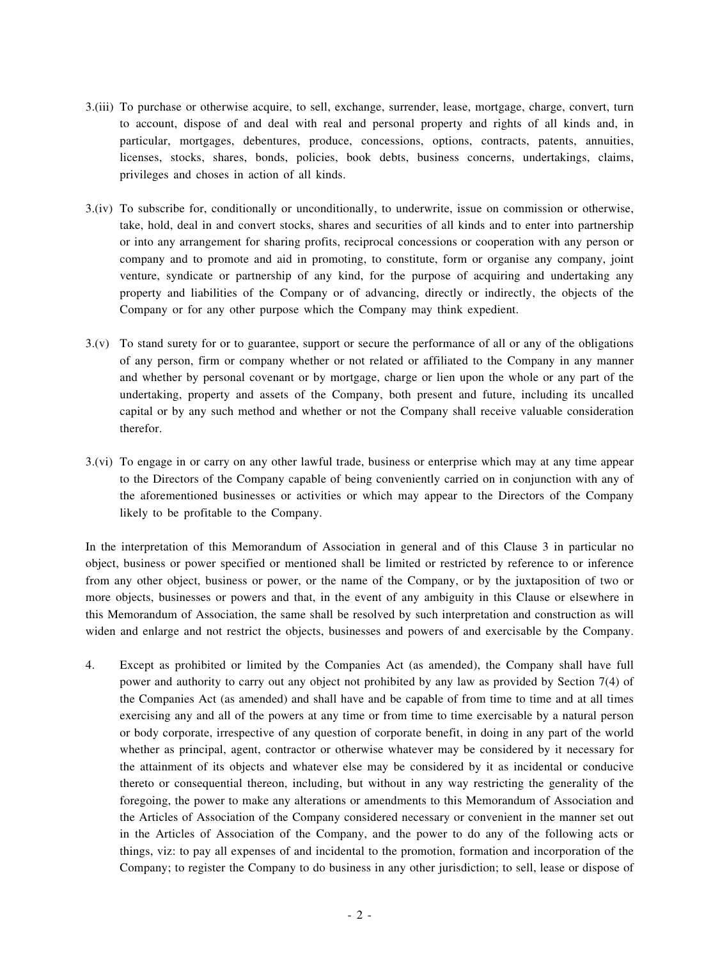- 3.(iii) To purchase or otherwise acquire, to sell, exchange, surrender, lease, mortgage, charge, convert, turn to account, dispose of and deal with real and personal property and rights of all kinds and, in particular, mortgages, debentures, produce, concessions, options, contracts, patents, annuities, licenses, stocks, shares, bonds, policies, book debts, business concerns, undertakings, claims, privileges and choses in action of all kinds.
- 3.(iv) To subscribe for, conditionally or unconditionally, to underwrite, issue on commission or otherwise, take, hold, deal in and convert stocks, shares and securities of all kinds and to enter into partnership or into any arrangement for sharing profits, reciprocal concessions or cooperation with any person or company and to promote and aid in promoting, to constitute, form or organise any company, joint venture, syndicate or partnership of any kind, for the purpose of acquiring and undertaking any property and liabilities of the Company or of advancing, directly or indirectly, the objects of the Company or for any other purpose which the Company may think expedient.
- 3.(v) To stand surety for or to guarantee, support or secure the performance of all or any of the obligations of any person, firm or company whether or not related or affiliated to the Company in any manner and whether by personal covenant or by mortgage, charge or lien upon the whole or any part of the undertaking, property and assets of the Company, both present and future, including its uncalled capital or by any such method and whether or not the Company shall receive valuable consideration therefor.
- 3.(vi) To engage in or carry on any other lawful trade, business or enterprise which may at any time appear to the Directors of the Company capable of being conveniently carried on in conjunction with any of the aforementioned businesses or activities or which may appear to the Directors of the Company likely to be profitable to the Company.

In the interpretation of this Memorandum of Association in general and of this Clause 3 in particular no object, business or power specified or mentioned shall be limited or restricted by reference to or inference from any other object, business or power, or the name of the Company, or by the juxtaposition of two or more objects, businesses or powers and that, in the event of any ambiguity in this Clause or elsewhere in this Memorandum of Association, the same shall be resolved by such interpretation and construction as will widen and enlarge and not restrict the objects, businesses and powers of and exercisable by the Company.

4. Except as prohibited or limited by the Companies Act (as amended), the Company shall have full power and authority to carry out any object not prohibited by any law as provided by Section 7(4) of the Companies Act (as amended) and shall have and be capable of from time to time and at all times exercising any and all of the powers at any time or from time to time exercisable by a natural person or body corporate, irrespective of any question of corporate benefit, in doing in any part of the world whether as principal, agent, contractor or otherwise whatever may be considered by it necessary for the attainment of its objects and whatever else may be considered by it as incidental or conducive thereto or consequential thereon, including, but without in any way restricting the generality of the foregoing, the power to make any alterations or amendments to this Memorandum of Association and the Articles of Association of the Company considered necessary or convenient in the manner set out in the Articles of Association of the Company, and the power to do any of the following acts or things, viz: to pay all expenses of and incidental to the promotion, formation and incorporation of the Company; to register the Company to do business in any other jurisdiction; to sell, lease or dispose of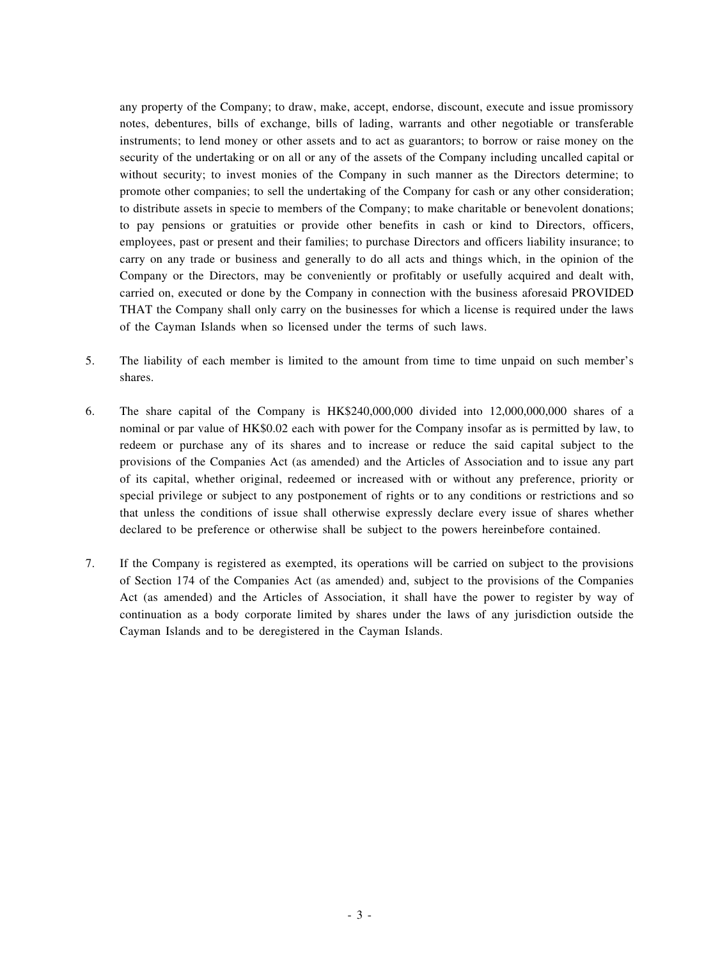any property of the Company; to draw, make, accept, endorse, discount, execute and issue promissory notes, debentures, bills of exchange, bills of lading, warrants and other negotiable or transferable instruments; to lend money or other assets and to act as guarantors; to borrow or raise money on the security of the undertaking or on all or any of the assets of the Company including uncalled capital or without security; to invest monies of the Company in such manner as the Directors determine; to promote other companies; to sell the undertaking of the Company for cash or any other consideration; to distribute assets in specie to members of the Company; to make charitable or benevolent donations; to pay pensions or gratuities or provide other benefits in cash or kind to Directors, officers, employees, past or present and their families; to purchase Directors and officers liability insurance; to carry on any trade or business and generally to do all acts and things which, in the opinion of the Company or the Directors, may be conveniently or profitably or usefully acquired and dealt with, carried on, executed or done by the Company in connection with the business aforesaid PROVIDED THAT the Company shall only carry on the businesses for which a license is required under the laws of the Cayman Islands when so licensed under the terms of such laws.

- 5. The liability of each member is limited to the amount from time to time unpaid on such member's shares.
- 6. The share capital of the Company is HK\$240,000,000 divided into 12,000,000,000 shares of a nominal or par value of HK\$0.02 each with power for the Company insofar as is permitted by law, to redeem or purchase any of its shares and to increase or reduce the said capital subject to the provisions of the Companies Act (as amended) and the Articles of Association and to issue any part of its capital, whether original, redeemed or increased with or without any preference, priority or special privilege or subject to any postponement of rights or to any conditions or restrictions and so that unless the conditions of issue shall otherwise expressly declare every issue of shares whether declared to be preference or otherwise shall be subject to the powers hereinbefore contained.
- 7. If the Company is registered as exempted, its operations will be carried on subject to the provisions of Section 174 of the Companies Act (as amended) and, subject to the provisions of the Companies Act (as amended) and the Articles of Association, it shall have the power to register by way of continuation as a body corporate limited by shares under the laws of any jurisdiction outside the Cayman Islands and to be deregistered in the Cayman Islands.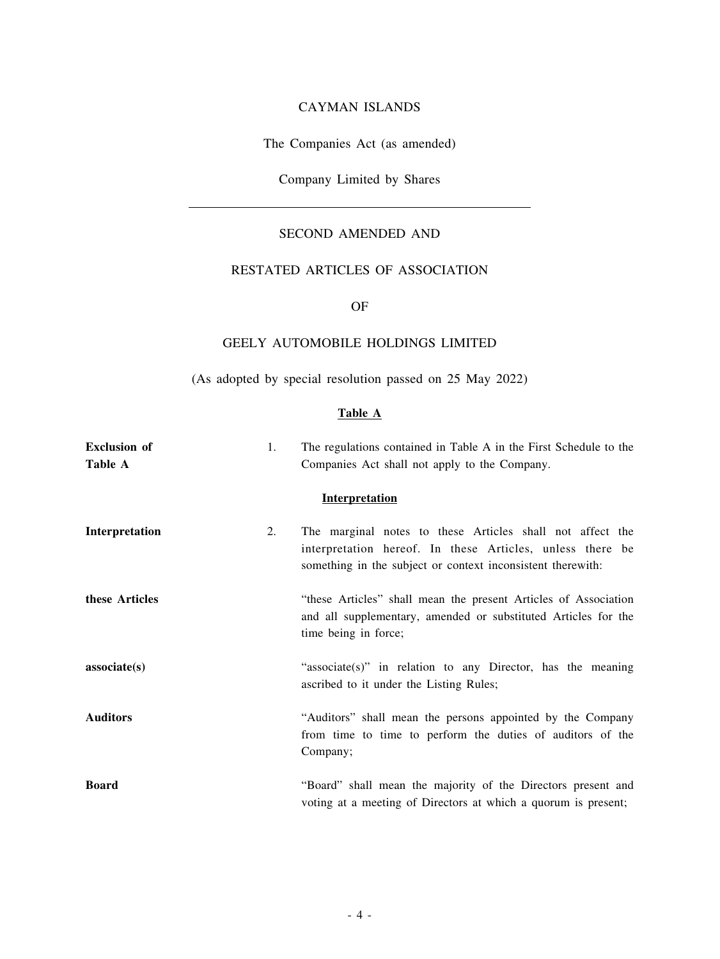### CAYMAN ISLANDS

The Companies Act (as amended)

Company Limited by Shares

## SECOND AMENDED AND

## RESTATED ARTICLES OF ASSOCIATION

### OF

## GEELY AUTOMOBILE HOLDINGS LIMITED

(As adopted by special resolution passed on 25 May 2022)

#### **Table A**

| <b>Exclusion</b> of<br>Table A | 1. | The regulations contained in Table A in the First Schedule to the<br>Companies Act shall not apply to the Company.                                                                    |
|--------------------------------|----|---------------------------------------------------------------------------------------------------------------------------------------------------------------------------------------|
|                                |    | <b>Interpretation</b>                                                                                                                                                                 |
| Interpretation                 | 2. | The marginal notes to these Articles shall not affect the<br>interpretation hereof. In these Articles, unless there be<br>something in the subject or context inconsistent therewith: |
| these Articles                 |    | "these Articles" shall mean the present Articles of Association<br>and all supplementary, amended or substituted Articles for the<br>time being in force;                             |
| associate(s)                   |    | "associate(s)" in relation to any Director, has the meaning<br>ascribed to it under the Listing Rules;                                                                                |
| <b>Auditors</b>                |    | "Auditors" shall mean the persons appointed by the Company<br>from time to time to perform the duties of auditors of the<br>Company;                                                  |
| <b>Board</b>                   |    | "Board" shall mean the majority of the Directors present and<br>voting at a meeting of Directors at which a quorum is present;                                                        |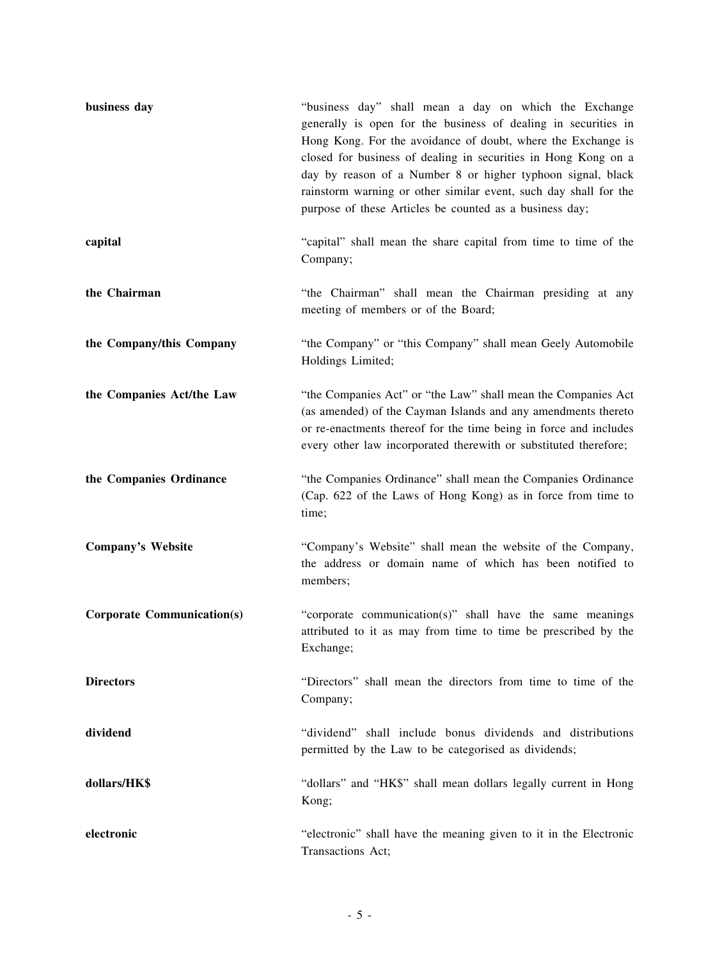| business day                      | "business day" shall mean a day on which the Exchange<br>generally is open for the business of dealing in securities in<br>Hong Kong. For the avoidance of doubt, where the Exchange is<br>closed for business of dealing in securities in Hong Kong on a<br>day by reason of a Number 8 or higher typhoon signal, black<br>rainstorm warning or other similar event, such day shall for the<br>purpose of these Articles be counted as a business day; |
|-----------------------------------|---------------------------------------------------------------------------------------------------------------------------------------------------------------------------------------------------------------------------------------------------------------------------------------------------------------------------------------------------------------------------------------------------------------------------------------------------------|
| capital                           | "capital" shall mean the share capital from time to time of the<br>Company;                                                                                                                                                                                                                                                                                                                                                                             |
| the Chairman                      | "the Chairman" shall mean the Chairman presiding at any<br>meeting of members or of the Board;                                                                                                                                                                                                                                                                                                                                                          |
| the Company/this Company          | "the Company" or "this Company" shall mean Geely Automobile<br>Holdings Limited;                                                                                                                                                                                                                                                                                                                                                                        |
| the Companies Act/the Law         | "the Companies Act" or "the Law" shall mean the Companies Act<br>(as amended) of the Cayman Islands and any amendments thereto<br>or re-enactments thereof for the time being in force and includes<br>every other law incorporated therewith or substituted therefore;                                                                                                                                                                                 |
| the Companies Ordinance           | "the Companies Ordinance" shall mean the Companies Ordinance<br>(Cap. 622 of the Laws of Hong Kong) as in force from time to<br>time;                                                                                                                                                                                                                                                                                                                   |
| <b>Company's Website</b>          | "Company's Website" shall mean the website of the Company,<br>the address or domain name of which has been notified to<br>members;                                                                                                                                                                                                                                                                                                                      |
| <b>Corporate Communication(s)</b> | "corporate communication(s)" shall have the same meanings<br>attributed to it as may from time to time be prescribed by the<br>Exchange;                                                                                                                                                                                                                                                                                                                |
| <b>Directors</b>                  | "Directors" shall mean the directors from time to time of the<br>Company;                                                                                                                                                                                                                                                                                                                                                                               |
| dividend                          | "dividend" shall include bonus dividends and distributions<br>permitted by the Law to be categorised as dividends;                                                                                                                                                                                                                                                                                                                                      |
| dollars/HK\$                      | "dollars" and "HK\$" shall mean dollars legally current in Hong<br>Kong;                                                                                                                                                                                                                                                                                                                                                                                |
| electronic                        | "electronic" shall have the meaning given to it in the Electronic<br>Transactions Act;                                                                                                                                                                                                                                                                                                                                                                  |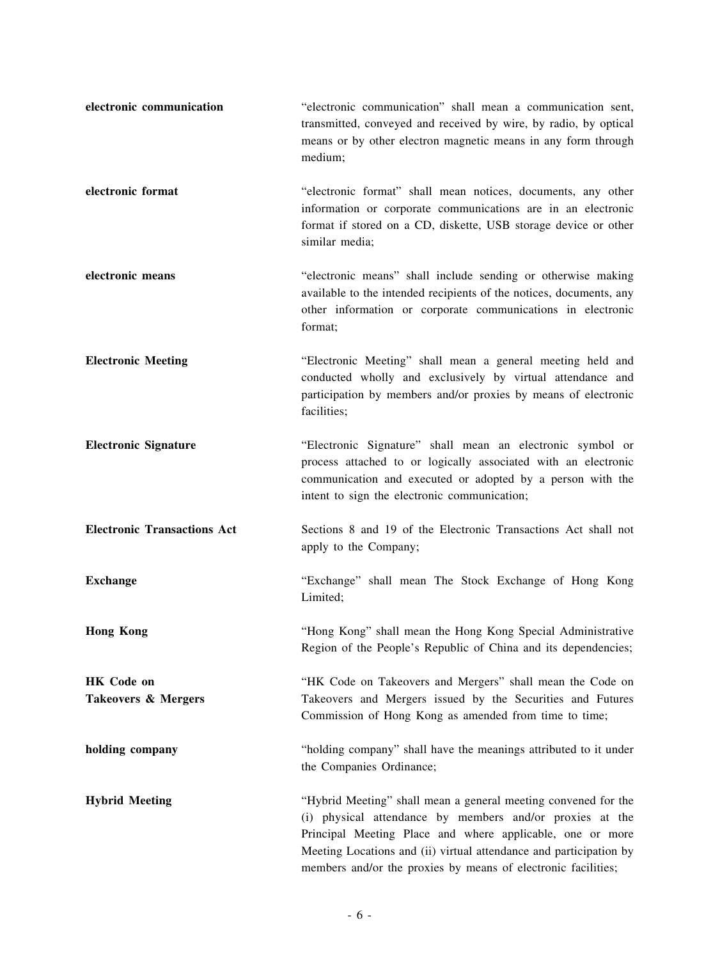| electronic communication                 | "electronic communication" shall mean a communication sent,<br>transmitted, conveyed and received by wire, by radio, by optical<br>means or by other electron magnetic means in any form through<br>medium;                                                                                                                    |
|------------------------------------------|--------------------------------------------------------------------------------------------------------------------------------------------------------------------------------------------------------------------------------------------------------------------------------------------------------------------------------|
| electronic format                        | "electronic format" shall mean notices, documents, any other<br>information or corporate communications are in an electronic<br>format if stored on a CD, diskette, USB storage device or other<br>similar media;                                                                                                              |
| electronic means                         | "electronic means" shall include sending or otherwise making<br>available to the intended recipients of the notices, documents, any<br>other information or corporate communications in electronic<br>format;                                                                                                                  |
| <b>Electronic Meeting</b>                | "Electronic Meeting" shall mean a general meeting held and<br>conducted wholly and exclusively by virtual attendance and<br>participation by members and/or proxies by means of electronic<br>facilities;                                                                                                                      |
| <b>Electronic Signature</b>              | "Electronic Signature" shall mean an electronic symbol or<br>process attached to or logically associated with an electronic<br>communication and executed or adopted by a person with the<br>intent to sign the electronic communication;                                                                                      |
| <b>Electronic Transactions Act</b>       | Sections 8 and 19 of the Electronic Transactions Act shall not<br>apply to the Company;                                                                                                                                                                                                                                        |
| <b>Exchange</b>                          | "Exchange" shall mean The Stock Exchange of Hong Kong<br>Limited;                                                                                                                                                                                                                                                              |
| <b>Hong Kong</b>                         | "Hong Kong" shall mean the Hong Kong Special Administrative<br>Region of the People's Republic of China and its dependencies;                                                                                                                                                                                                  |
| <b>HK</b> Code on<br>Takeovers & Mergers | "HK Code on Takeovers and Mergers" shall mean the Code on<br>Takeovers and Mergers issued by the Securities and Futures<br>Commission of Hong Kong as amended from time to time;                                                                                                                                               |
| holding company                          | "holding company" shall have the meanings attributed to it under<br>the Companies Ordinance;                                                                                                                                                                                                                                   |
| <b>Hybrid Meeting</b>                    | "Hybrid Meeting" shall mean a general meeting convened for the<br>(i) physical attendance by members and/or proxies at the<br>Principal Meeting Place and where applicable, one or more<br>Meeting Locations and (ii) virtual attendance and participation by<br>members and/or the proxies by means of electronic facilities; |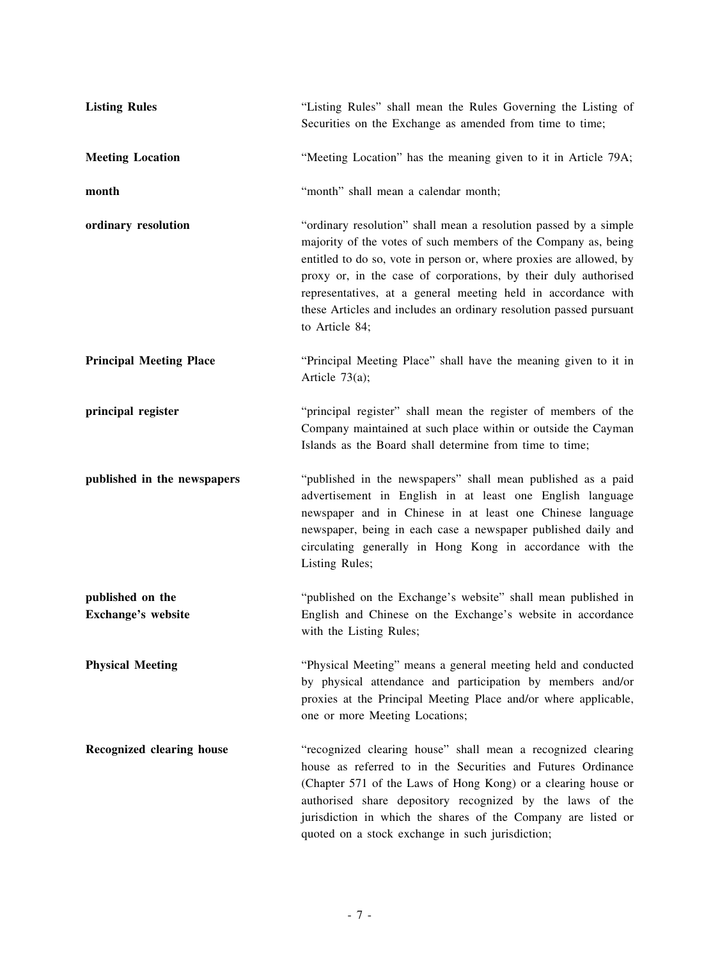| <b>Listing Rules</b>                   | "Listing Rules" shall mean the Rules Governing the Listing of<br>Securities on the Exchange as amended from time to time;                                                                                                                                                                                                                                                                                                             |
|----------------------------------------|---------------------------------------------------------------------------------------------------------------------------------------------------------------------------------------------------------------------------------------------------------------------------------------------------------------------------------------------------------------------------------------------------------------------------------------|
| <b>Meeting Location</b>                | "Meeting Location" has the meaning given to it in Article 79A;                                                                                                                                                                                                                                                                                                                                                                        |
| month                                  | "month" shall mean a calendar month;                                                                                                                                                                                                                                                                                                                                                                                                  |
| ordinary resolution                    | "ordinary resolution" shall mean a resolution passed by a simple<br>majority of the votes of such members of the Company as, being<br>entitled to do so, vote in person or, where proxies are allowed, by<br>proxy or, in the case of corporations, by their duly authorised<br>representatives, at a general meeting held in accordance with<br>these Articles and includes an ordinary resolution passed pursuant<br>to Article 84; |
| <b>Principal Meeting Place</b>         | "Principal Meeting Place" shall have the meaning given to it in<br>Article $73(a)$ ;                                                                                                                                                                                                                                                                                                                                                  |
| principal register                     | "principal register" shall mean the register of members of the<br>Company maintained at such place within or outside the Cayman<br>Islands as the Board shall determine from time to time;                                                                                                                                                                                                                                            |
| published in the newspapers            | "published in the newspapers" shall mean published as a paid<br>advertisement in English in at least one English language<br>newspaper and in Chinese in at least one Chinese language<br>newspaper, being in each case a newspaper published daily and<br>circulating generally in Hong Kong in accordance with the<br>Listing Rules;                                                                                                |
| published on the<br>Exchange's website | "published on the Exchange's website" shall mean published in<br>English and Chinese on the Exchange's website in accordance<br>with the Listing Rules;                                                                                                                                                                                                                                                                               |
| <b>Physical Meeting</b>                | "Physical Meeting" means a general meeting held and conducted<br>by physical attendance and participation by members and/or<br>proxies at the Principal Meeting Place and/or where applicable,<br>one or more Meeting Locations;                                                                                                                                                                                                      |
| Recognized clearing house              | "recognized clearing house" shall mean a recognized clearing<br>house as referred to in the Securities and Futures Ordinance<br>(Chapter 571 of the Laws of Hong Kong) or a clearing house or<br>authorised share depository recognized by the laws of the<br>jurisdiction in which the shares of the Company are listed or<br>quoted on a stock exchange in such jurisdiction;                                                       |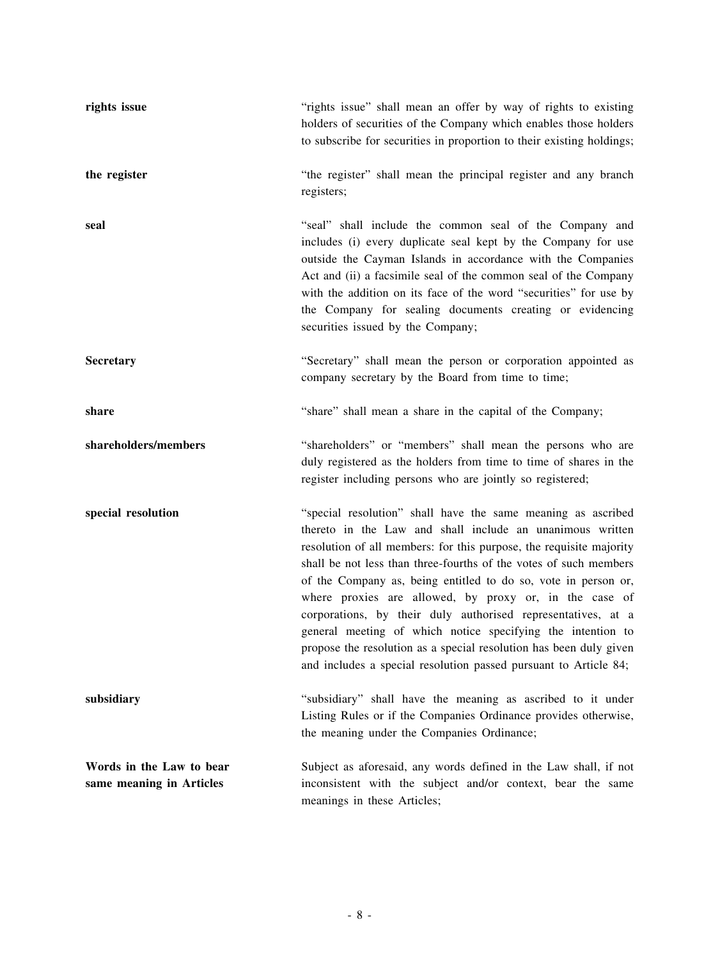| rights issue                                         | "rights issue" shall mean an offer by way of rights to existing<br>holders of securities of the Company which enables those holders<br>to subscribe for securities in proportion to their existing holdings;                                                                                                                                                                                                                                                                                                                                                                                                                                                               |
|------------------------------------------------------|----------------------------------------------------------------------------------------------------------------------------------------------------------------------------------------------------------------------------------------------------------------------------------------------------------------------------------------------------------------------------------------------------------------------------------------------------------------------------------------------------------------------------------------------------------------------------------------------------------------------------------------------------------------------------|
| the register                                         | "the register" shall mean the principal register and any branch<br>registers;                                                                                                                                                                                                                                                                                                                                                                                                                                                                                                                                                                                              |
| seal                                                 | "seal" shall include the common seal of the Company and<br>includes (i) every duplicate seal kept by the Company for use<br>outside the Cayman Islands in accordance with the Companies<br>Act and (ii) a facsimile seal of the common seal of the Company<br>with the addition on its face of the word "securities" for use by<br>the Company for sealing documents creating or evidencing<br>securities issued by the Company;                                                                                                                                                                                                                                           |
| Secretary                                            | "Secretary" shall mean the person or corporation appointed as<br>company secretary by the Board from time to time;                                                                                                                                                                                                                                                                                                                                                                                                                                                                                                                                                         |
| share                                                | "share" shall mean a share in the capital of the Company;                                                                                                                                                                                                                                                                                                                                                                                                                                                                                                                                                                                                                  |
| shareholders/members                                 | "shareholders" or "members" shall mean the persons who are<br>duly registered as the holders from time to time of shares in the<br>register including persons who are jointly so registered;                                                                                                                                                                                                                                                                                                                                                                                                                                                                               |
| special resolution                                   | "special resolution" shall have the same meaning as ascribed<br>thereto in the Law and shall include an unanimous written<br>resolution of all members: for this purpose, the requisite majority<br>shall be not less than three-fourths of the votes of such members<br>of the Company as, being entitled to do so, vote in person or,<br>where proxies are allowed, by proxy or, in the case of<br>corporations, by their duly authorised representatives, at a<br>general meeting of which notice specifying the intention to<br>propose the resolution as a special resolution has been duly given<br>and includes a special resolution passed pursuant to Article 84; |
| subsidiary                                           | "subsidiary" shall have the meaning as ascribed to it under<br>Listing Rules or if the Companies Ordinance provides otherwise,<br>the meaning under the Companies Ordinance;                                                                                                                                                                                                                                                                                                                                                                                                                                                                                               |
| Words in the Law to bear<br>same meaning in Articles | Subject as aforesaid, any words defined in the Law shall, if not<br>inconsistent with the subject and/or context, bear the same<br>meanings in these Articles;                                                                                                                                                                                                                                                                                                                                                                                                                                                                                                             |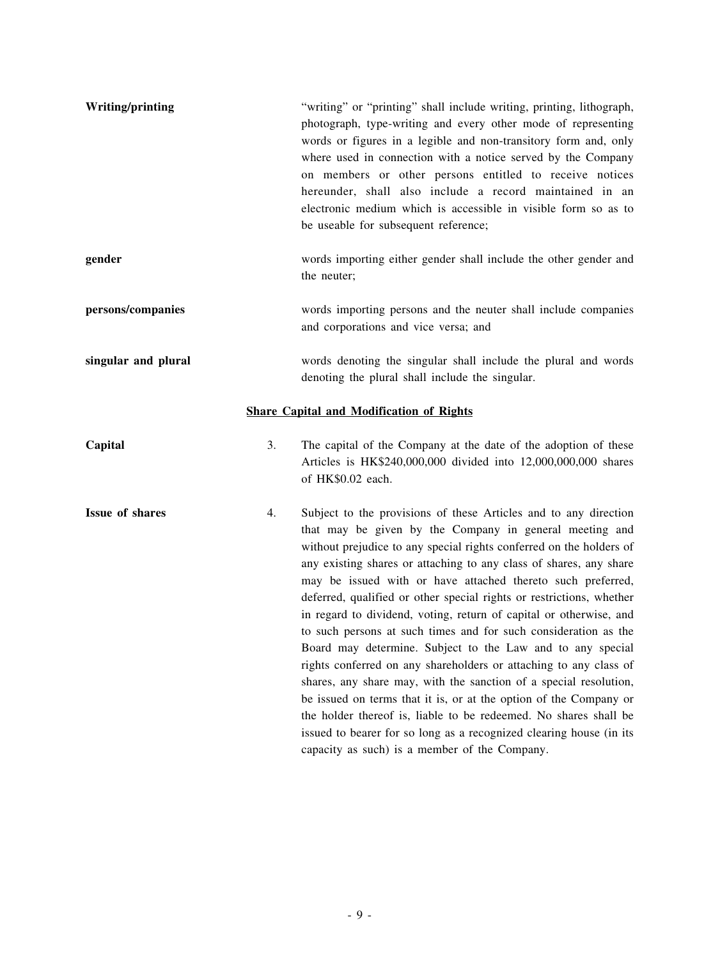| Writing/printing       |    | "writing" or "printing" shall include writing, printing, lithograph,<br>photograph, type-writing and every other mode of representing<br>words or figures in a legible and non-transitory form and, only<br>where used in connection with a notice served by the Company<br>on members or other persons entitled to receive notices<br>hereunder, shall also include a record maintained in an<br>electronic medium which is accessible in visible form so as to<br>be useable for subsequent reference;                                                                                                                                                                                                                                                                                                                                                                                                                                                                                                                          |
|------------------------|----|-----------------------------------------------------------------------------------------------------------------------------------------------------------------------------------------------------------------------------------------------------------------------------------------------------------------------------------------------------------------------------------------------------------------------------------------------------------------------------------------------------------------------------------------------------------------------------------------------------------------------------------------------------------------------------------------------------------------------------------------------------------------------------------------------------------------------------------------------------------------------------------------------------------------------------------------------------------------------------------------------------------------------------------|
| gender                 |    | words importing either gender shall include the other gender and<br>the neuter;                                                                                                                                                                                                                                                                                                                                                                                                                                                                                                                                                                                                                                                                                                                                                                                                                                                                                                                                                   |
| persons/companies      |    | words importing persons and the neuter shall include companies<br>and corporations and vice versa; and                                                                                                                                                                                                                                                                                                                                                                                                                                                                                                                                                                                                                                                                                                                                                                                                                                                                                                                            |
| singular and plural    |    | words denoting the singular shall include the plural and words<br>denoting the plural shall include the singular.                                                                                                                                                                                                                                                                                                                                                                                                                                                                                                                                                                                                                                                                                                                                                                                                                                                                                                                 |
|                        |    | <b>Share Capital and Modification of Rights</b>                                                                                                                                                                                                                                                                                                                                                                                                                                                                                                                                                                                                                                                                                                                                                                                                                                                                                                                                                                                   |
| Capital                | 3. | The capital of the Company at the date of the adoption of these<br>Articles is HK\$240,000,000 divided into 12,000,000,000 shares<br>of HK\$0.02 each.                                                                                                                                                                                                                                                                                                                                                                                                                                                                                                                                                                                                                                                                                                                                                                                                                                                                            |
| <b>Issue of shares</b> | 4. | Subject to the provisions of these Articles and to any direction<br>that may be given by the Company in general meeting and<br>without prejudice to any special rights conferred on the holders of<br>any existing shares or attaching to any class of shares, any share<br>may be issued with or have attached thereto such preferred,<br>deferred, qualified or other special rights or restrictions, whether<br>in regard to dividend, voting, return of capital or otherwise, and<br>to such persons at such times and for such consideration as the<br>Board may determine. Subject to the Law and to any special<br>rights conferred on any shareholders or attaching to any class of<br>shares, any share may, with the sanction of a special resolution,<br>be issued on terms that it is, or at the option of the Company or<br>the holder thereof is, liable to be redeemed. No shares shall be<br>issued to bearer for so long as a recognized clearing house (in its<br>capacity as such) is a member of the Company. |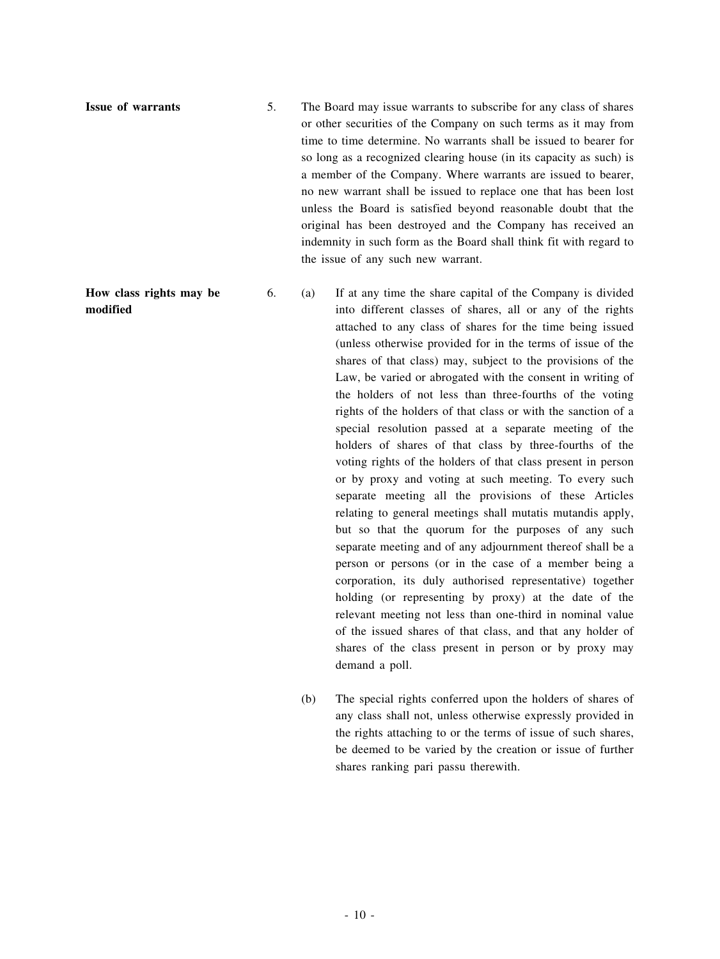**Issue of warrants** 5. The Board may issue warrants to subscribe for any class of shares or other securities of the Company on such terms as it may from time to time determine. No warrants shall be issued to bearer for so long as a recognized clearing house (in its capacity as such) is a member of the Company. Where warrants are issued to bearer, no new warrant shall be issued to replace one that has been lost unless the Board is satisfied beyond reasonable doubt that the original has been destroyed and the Company has received an indemnity in such form as the Board shall think fit with regard to the issue of any such new warrant.

**How class rights may be modified**

6. (a) If at any time the share capital of the Company is divided into different classes of shares, all or any of the rights attached to any class of shares for the time being issued (unless otherwise provided for in the terms of issue of the shares of that class) may, subject to the provisions of the Law, be varied or abrogated with the consent in writing of the holders of not less than three-fourths of the voting rights of the holders of that class or with the sanction of a special resolution passed at a separate meeting of the holders of shares of that class by three-fourths of the voting rights of the holders of that class present in person or by proxy and voting at such meeting. To every such separate meeting all the provisions of these Articles relating to general meetings shall mutatis mutandis apply, but so that the quorum for the purposes of any such separate meeting and of any adjournment thereof shall be a person or persons (or in the case of a member being a corporation, its duly authorised representative) together holding (or representing by proxy) at the date of the relevant meeting not less than one-third in nominal value of the issued shares of that class, and that any holder of shares of the class present in person or by proxy may demand a poll.

(b) The special rights conferred upon the holders of shares of any class shall not, unless otherwise expressly provided in the rights attaching to or the terms of issue of such shares, be deemed to be varied by the creation or issue of further shares ranking pari passu therewith.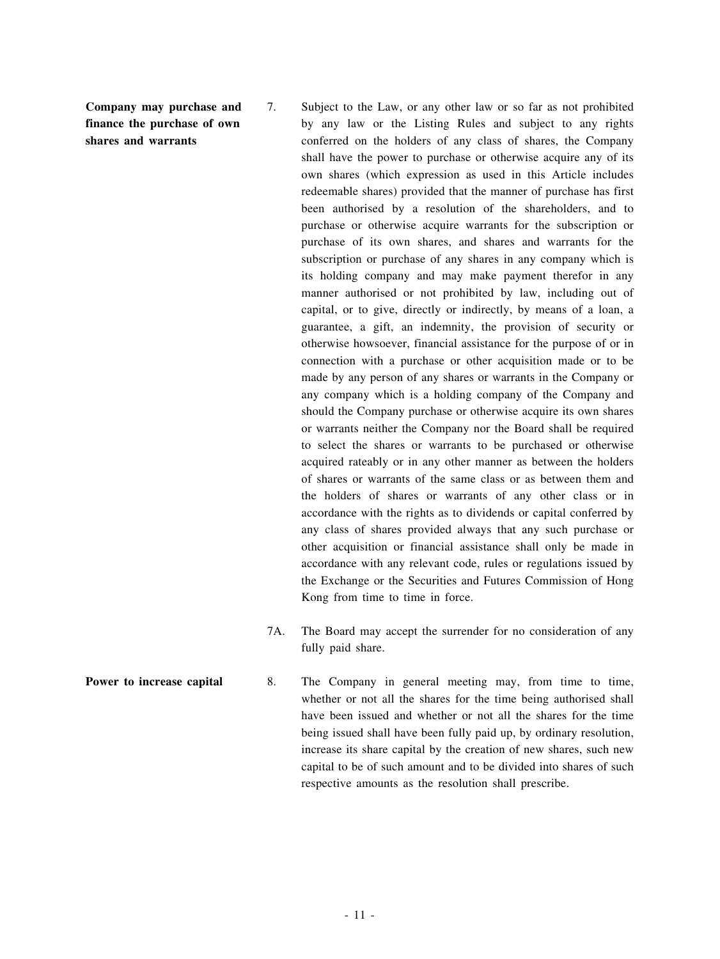**Company may purchase and finance the purchase of own shares and warrants**

- 7. Subject to the Law, or any other law or so far as not prohibited by any law or the Listing Rules and subject to any rights conferred on the holders of any class of shares, the Company shall have the power to purchase or otherwise acquire any of its own shares (which expression as used in this Article includes redeemable shares) provided that the manner of purchase has first been authorised by a resolution of the shareholders, and to purchase or otherwise acquire warrants for the subscription or purchase of its own shares, and shares and warrants for the subscription or purchase of any shares in any company which is its holding company and may make payment therefor in any manner authorised or not prohibited by law, including out of capital, or to give, directly or indirectly, by means of a loan, a guarantee, a gift, an indemnity, the provision of security or otherwise howsoever, financial assistance for the purpose of or in connection with a purchase or other acquisition made or to be made by any person of any shares or warrants in the Company or any company which is a holding company of the Company and should the Company purchase or otherwise acquire its own shares or warrants neither the Company nor the Board shall be required to select the shares or warrants to be purchased or otherwise acquired rateably or in any other manner as between the holders of shares or warrants of the same class or as between them and the holders of shares or warrants of any other class or in accordance with the rights as to dividends or capital conferred by any class of shares provided always that any such purchase or other acquisition or financial assistance shall only be made in accordance with any relevant code, rules or regulations issued by the Exchange or the Securities and Futures Commission of Hong Kong from time to time in force.
- 7A. The Board may accept the surrender for no consideration of any fully paid share.
- **Power to <b>increase** capital 8. The Company in general meeting may, from time to time, whether or not all the shares for the time being authorised shall have been issued and whether or not all the shares for the time being issued shall have been fully paid up, by ordinary resolution, increase its share capital by the creation of new shares, such new capital to be of such amount and to be divided into shares of such respective amounts as the resolution shall prescribe.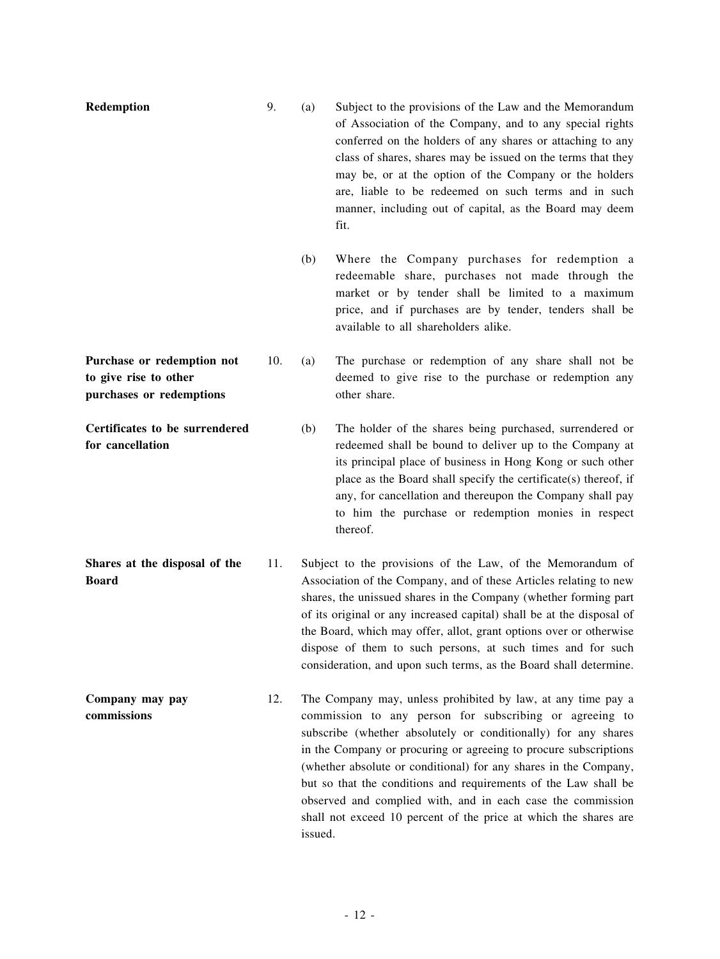| Redemption                                                                      | 9.  | (a)     | Subject to the provisions of the Law and the Memorandum<br>of Association of the Company, and to any special rights<br>conferred on the holders of any shares or attaching to any<br>class of shares, shares may be issued on the terms that they<br>may be, or at the option of the Company or the holders<br>are, liable to be redeemed on such terms and in such<br>manner, including out of capital, as the Board may deem<br>fit.                                                                                                  |
|---------------------------------------------------------------------------------|-----|---------|-----------------------------------------------------------------------------------------------------------------------------------------------------------------------------------------------------------------------------------------------------------------------------------------------------------------------------------------------------------------------------------------------------------------------------------------------------------------------------------------------------------------------------------------|
|                                                                                 |     | (b)     | Where the Company purchases for redemption a<br>redeemable share, purchases not made through the<br>market or by tender shall be limited to a maximum<br>price, and if purchases are by tender, tenders shall be<br>available to all shareholders alike.                                                                                                                                                                                                                                                                                |
| Purchase or redemption not<br>to give rise to other<br>purchases or redemptions | 10. | (a)     | The purchase or redemption of any share shall not be<br>deemed to give rise to the purchase or redemption any<br>other share.                                                                                                                                                                                                                                                                                                                                                                                                           |
| Certificates to be surrendered<br>for cancellation                              |     | (b)     | The holder of the shares being purchased, surrendered or<br>redeemed shall be bound to deliver up to the Company at<br>its principal place of business in Hong Kong or such other<br>place as the Board shall specify the certificate(s) thereof, if<br>any, for cancellation and thereupon the Company shall pay<br>to him the purchase or redemption monies in respect<br>thereof.                                                                                                                                                    |
| Shares at the disposal of the<br><b>Board</b>                                   | 11. |         | Subject to the provisions of the Law, of the Memorandum of<br>Association of the Company, and of these Articles relating to new<br>shares, the unissued shares in the Company (whether forming part<br>of its original or any increased capital) shall be at the disposal of<br>the Board, which may offer, allot, grant options over or otherwise<br>dispose of them to such persons, at such times and for such<br>consideration, and upon such terms, as the Board shall determine.                                                  |
| Company may pay<br>commissions                                                  | 12. | issued. | The Company may, unless prohibited by law, at any time pay a<br>commission to any person for subscribing or agreeing to<br>subscribe (whether absolutely or conditionally) for any shares<br>in the Company or procuring or agreeing to procure subscriptions<br>(whether absolute or conditional) for any shares in the Company,<br>but so that the conditions and requirements of the Law shall be<br>observed and complied with, and in each case the commission<br>shall not exceed 10 percent of the price at which the shares are |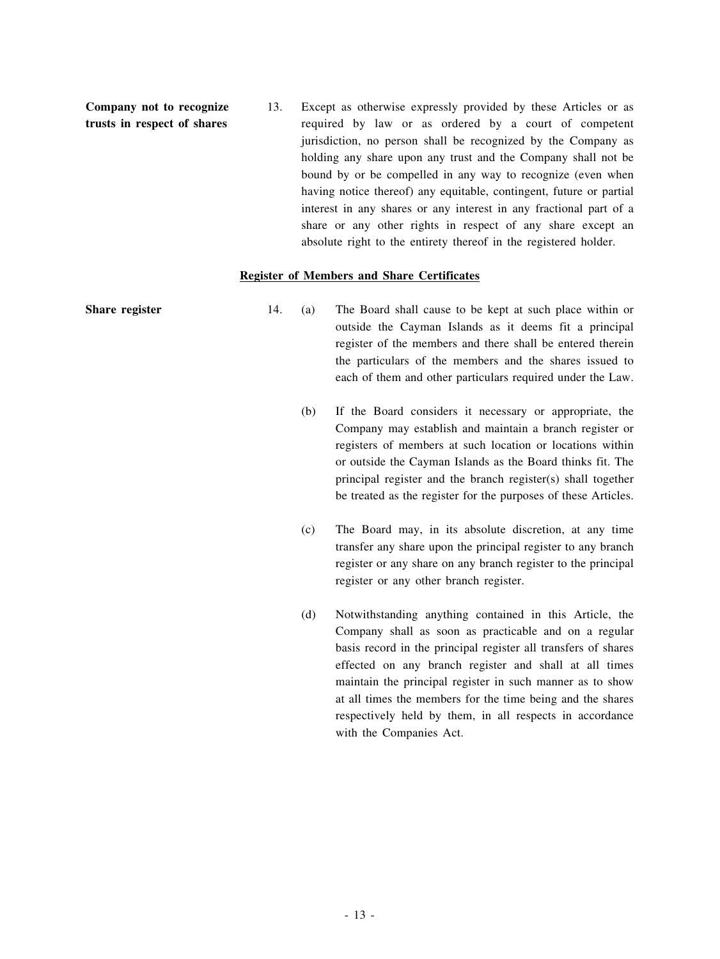**Company not to recognize trusts in respect of shares**

13. Except as otherwise expressly provided by these Articles or as required by law or as ordered by a court of competent jurisdiction, no person shall be recognized by the Company as holding any share upon any trust and the Company shall not be bound by or be compelled in any way to recognize (even when having notice thereof) any equitable, contingent, future or partial interest in any shares or any interest in any fractional part of a share or any other rights in respect of any share except an absolute right to the entirety thereof in the registered holder.

#### **Register of Members and Share Certificates**

| Share register | 14. | (a) | The Board shall cause to be kept at such place within or<br>outside the Cayman Islands as it deems fit a principal<br>register of the members and there shall be entered therein<br>the particulars of the members and the shares issued to<br>each of them and other particulars required under the Law.                                                                                                                                                      |
|----------------|-----|-----|----------------------------------------------------------------------------------------------------------------------------------------------------------------------------------------------------------------------------------------------------------------------------------------------------------------------------------------------------------------------------------------------------------------------------------------------------------------|
|                |     | (b) | If the Board considers it necessary or appropriate, the<br>Company may establish and maintain a branch register or<br>registers of members at such location or locations within<br>or outside the Cayman Islands as the Board thinks fit. The<br>principal register and the branch register(s) shall together<br>be treated as the register for the purposes of these Articles.                                                                                |
|                |     | (c) | The Board may, in its absolute discretion, at any time<br>transfer any share upon the principal register to any branch<br>register or any share on any branch register to the principal<br>register or any other branch register.                                                                                                                                                                                                                              |
|                |     | (d) | Notwithstanding anything contained in this Article, the<br>Company shall as soon as practicable and on a regular<br>basis record in the principal register all transfers of shares<br>effected on any branch register and shall at all times<br>maintain the principal register in such manner as to show<br>at all times the members for the time being and the shares<br>respectively held by them, in all respects in accordance<br>with the Companies Act. |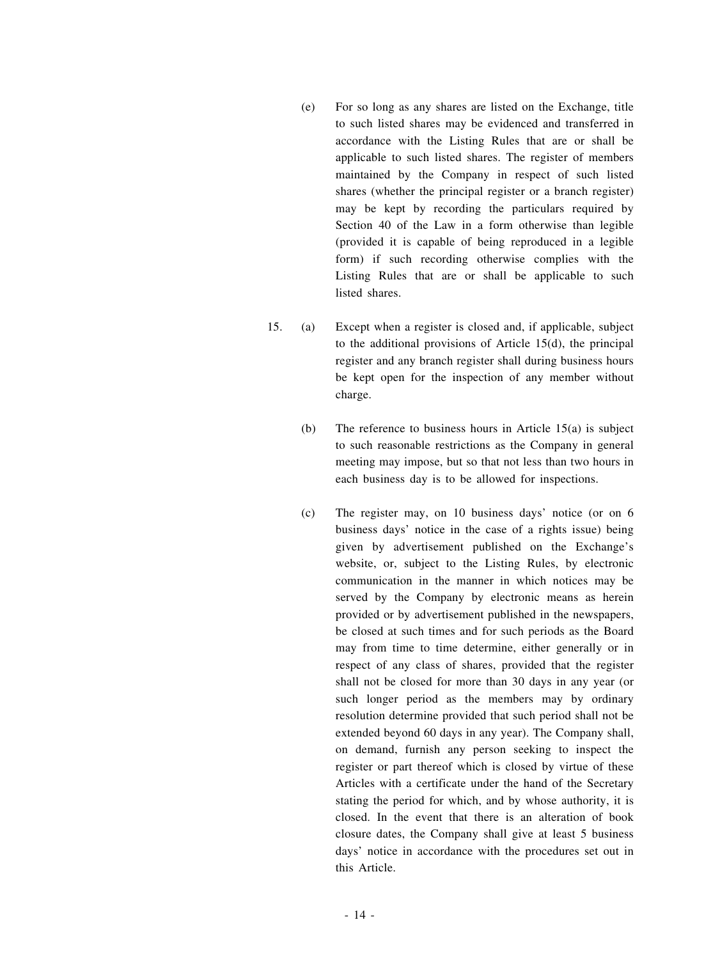- (e) For so long as any shares are listed on the Exchange, title to such listed shares may be evidenced and transferred in accordance with the Listing Rules that are or shall be applicable to such listed shares. The register of members maintained by the Company in respect of such listed shares (whether the principal register or a branch register) may be kept by recording the particulars required by Section 40 of the Law in a form otherwise than legible (provided it is capable of being reproduced in a legible form) if such recording otherwise complies with the Listing Rules that are or shall be applicable to such listed shares.
- 15. (a) Except when a register is closed and, if applicable, subject to the additional provisions of Article 15(d), the principal register and any branch register shall during business hours be kept open for the inspection of any member without charge.
	- (b) The reference to business hours in Article 15(a) is subject to such reasonable restrictions as the Company in general meeting may impose, but so that not less than two hours in each business day is to be allowed for inspections.
	- (c) The register may, on 10 business days' notice (or on 6 business days' notice in the case of a rights issue) being given by advertisement published on the Exchange's website, or, subject to the Listing Rules, by electronic communication in the manner in which notices may be served by the Company by electronic means as herein provided or by advertisement published in the newspapers, be closed at such times and for such periods as the Board may from time to time determine, either generally or in respect of any class of shares, provided that the register shall not be closed for more than 30 days in any year (or such longer period as the members may by ordinary resolution determine provided that such period shall not be extended beyond 60 days in any year). The Company shall, on demand, furnish any person seeking to inspect the register or part thereof which is closed by virtue of these Articles with a certificate under the hand of the Secretary stating the period for which, and by whose authority, it is closed. In the event that there is an alteration of book closure dates, the Company shall give at least 5 business days' notice in accordance with the procedures set out in this Article.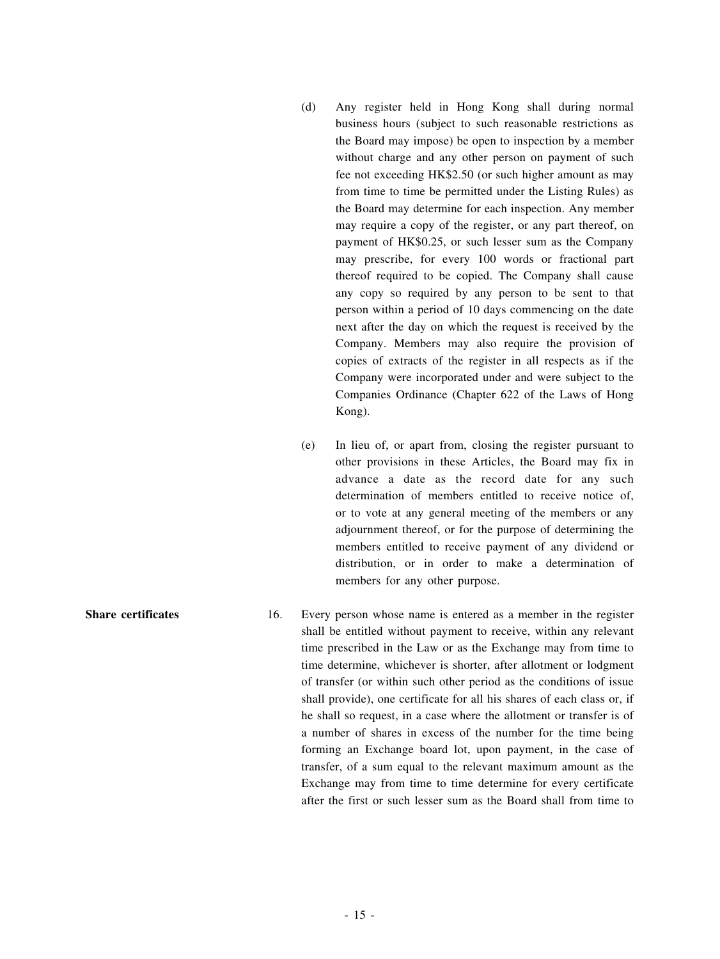- (d) Any register held in Hong Kong shall during normal business hours (subject to such reasonable restrictions as the Board may impose) be open to inspection by a member without charge and any other person on payment of such fee not exceeding HK\$2.50 (or such higher amount as may from time to time be permitted under the Listing Rules) as the Board may determine for each inspection. Any member may require a copy of the register, or any part thereof, on payment of HK\$0.25, or such lesser sum as the Company may prescribe, for every 100 words or fractional part thereof required to be copied. The Company shall cause any copy so required by any person to be sent to that person within a period of 10 days commencing on the date next after the day on which the request is received by the Company. Members may also require the provision of copies of extracts of the register in all respects as if the Company were incorporated under and were subject to the Companies Ordinance (Chapter 622 of the Laws of Hong Kong).
- (e) In lieu of, or apart from, closing the register pursuant to other provisions in these Articles, the Board may fix in advance a date as the record date for any such determination of members entitled to receive notice of, or to vote at any general meeting of the members or any adjournment thereof, or for the purpose of determining the members entitled to receive payment of any dividend or distribution, or in order to make a determination of members for any other purpose.
- **Share certificates** 16. Every person whose name is entered as a member in the register shall be entitled without payment to receive, within any relevant time prescribed in the Law or as the Exchange may from time to time determine, whichever is shorter, after allotment or lodgment of transfer (or within such other period as the conditions of issue shall provide), one certificate for all his shares of each class or, if he shall so request, in a case where the allotment or transfer is of a number of shares in excess of the number for the time being forming an Exchange board lot, upon payment, in the case of transfer, of a sum equal to the relevant maximum amount as the Exchange may from time to time determine for every certificate after the first or such lesser sum as the Board shall from time to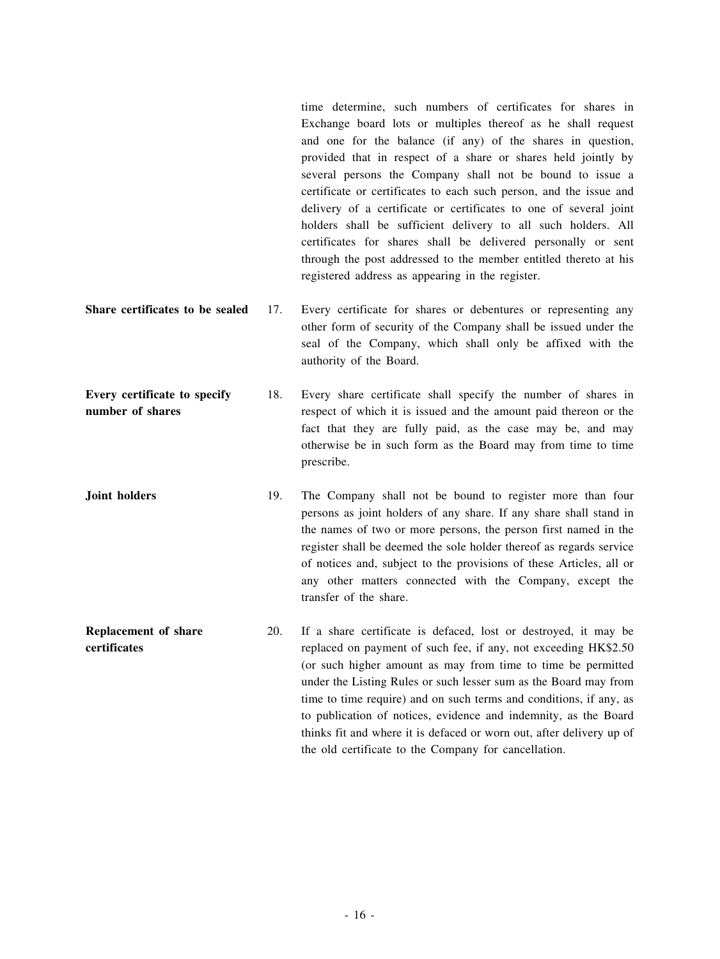time determine, such numbers of certificates for shares in Exchange board lots or multiples thereof as he shall request and one for the balance (if any) of the shares in question, provided that in respect of a share or shares held jointly by several persons the Company shall not be bound to issue a certificate or certificates to each such person, and the issue and delivery of a certificate or certificates to one of several joint holders shall be sufficient delivery to all such holders. All certificates for shares shall be delivered personally or sent through the post addressed to the member entitled thereto at his registered address as appearing in the register.

**Share certificates to be sealed** 17. Every certificate for shares or debentures or representing any other form of security of the Company shall be issued under the seal of the Company, which shall only be affixed with the authority of the Board.

**Every certificate to specify number of shares** 18. Every share certificate shall specify the number of shares in respect of which it is issued and the amount paid thereon or the fact that they are fully paid, as the case may be, and may otherwise be in such form as the Board may from time to time prescribe.

**Joint holders** 19. The Company shall not be bound to register more than four persons as joint holders of any share. If any share shall stand in the names of two or more persons, the person first named in the register shall be deemed the sole holder thereof as regards service of notices and, subject to the provisions of these Articles, all or any other matters connected with the Company, except the transfer of the share.

**Replacement of share certificates** 20. If a share certificate is defaced, lost or destroyed, it may be replaced on payment of such fee, if any, not exceeding HK\$2.50 (or such higher amount as may from time to time be permitted under the Listing Rules or such lesser sum as the Board may from time to time require) and on such terms and conditions, if any, as to publication of notices, evidence and indemnity, as the Board thinks fit and where it is defaced or worn out, after delivery up of the old certificate to the Company for cancellation.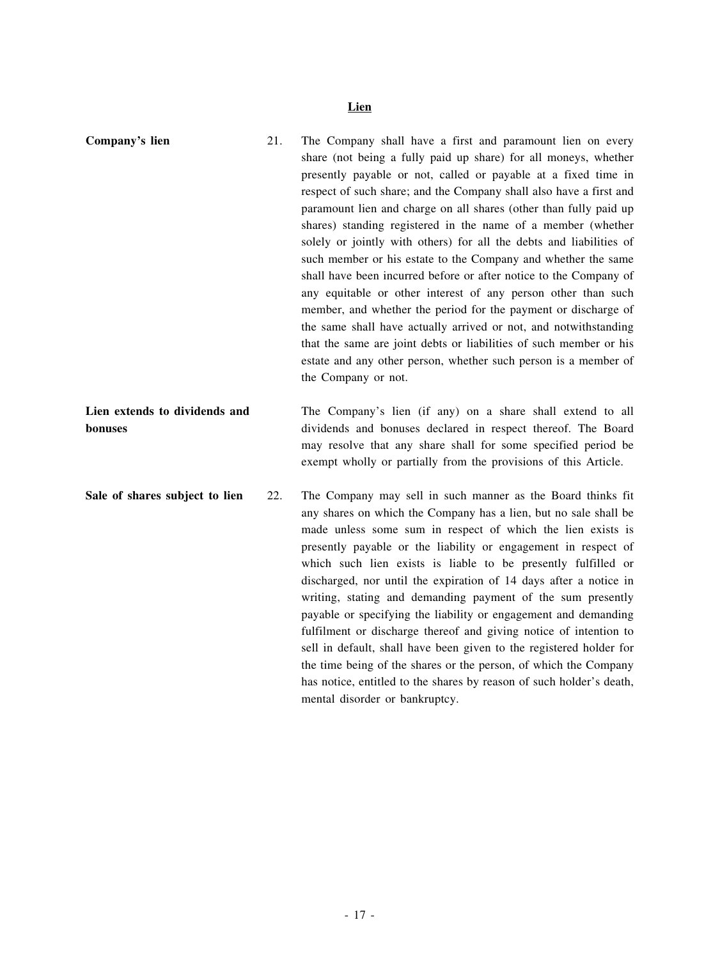# **Lien**

| Company's lien                           | 21. | The Company shall have a first and paramount lien on every<br>share (not being a fully paid up share) for all moneys, whether<br>presently payable or not, called or payable at a fixed time in<br>respect of such share; and the Company shall also have a first and<br>paramount lien and charge on all shares (other than fully paid up<br>shares) standing registered in the name of a member (whether<br>solely or jointly with others) for all the debts and liabilities of<br>such member or his estate to the Company and whether the same<br>shall have been incurred before or after notice to the Company of<br>any equitable or other interest of any person other than such<br>member, and whether the period for the payment or discharge of<br>the same shall have actually arrived or not, and notwithstanding<br>that the same are joint debts or liabilities of such member or his<br>estate and any other person, whether such person is a member of<br>the Company or not. |
|------------------------------------------|-----|------------------------------------------------------------------------------------------------------------------------------------------------------------------------------------------------------------------------------------------------------------------------------------------------------------------------------------------------------------------------------------------------------------------------------------------------------------------------------------------------------------------------------------------------------------------------------------------------------------------------------------------------------------------------------------------------------------------------------------------------------------------------------------------------------------------------------------------------------------------------------------------------------------------------------------------------------------------------------------------------|
| Lien extends to dividends and<br>bonuses |     | The Company's lien (if any) on a share shall extend to all<br>dividends and bonuses declared in respect thereof. The Board<br>may resolve that any share shall for some specified period be<br>exempt wholly or partially from the provisions of this Article.                                                                                                                                                                                                                                                                                                                                                                                                                                                                                                                                                                                                                                                                                                                                 |
| Sale of shares subject to lien           | 22. | The Company may sell in such manner as the Board thinks fit<br>any shares on which the Company has a lien, but no sale shall be<br>made unless some sum in respect of which the lien exists is<br>presently payable or the liability or engagement in respect of<br>which such lien exists is liable to be presently fulfilled or<br>discharged, nor until the expiration of 14 days after a notice in<br>writing, stating and demanding payment of the sum presently<br>payable or specifying the liability or engagement and demanding<br>fulfilment or discharge thereof and giving notice of intention to<br>sell in default, shall have been given to the registered holder for<br>the time being of the shares or the person, of which the Company<br>has notice, entitled to the shares by reason of such holder's death,<br>mental disorder or bankruptcy.                                                                                                                             |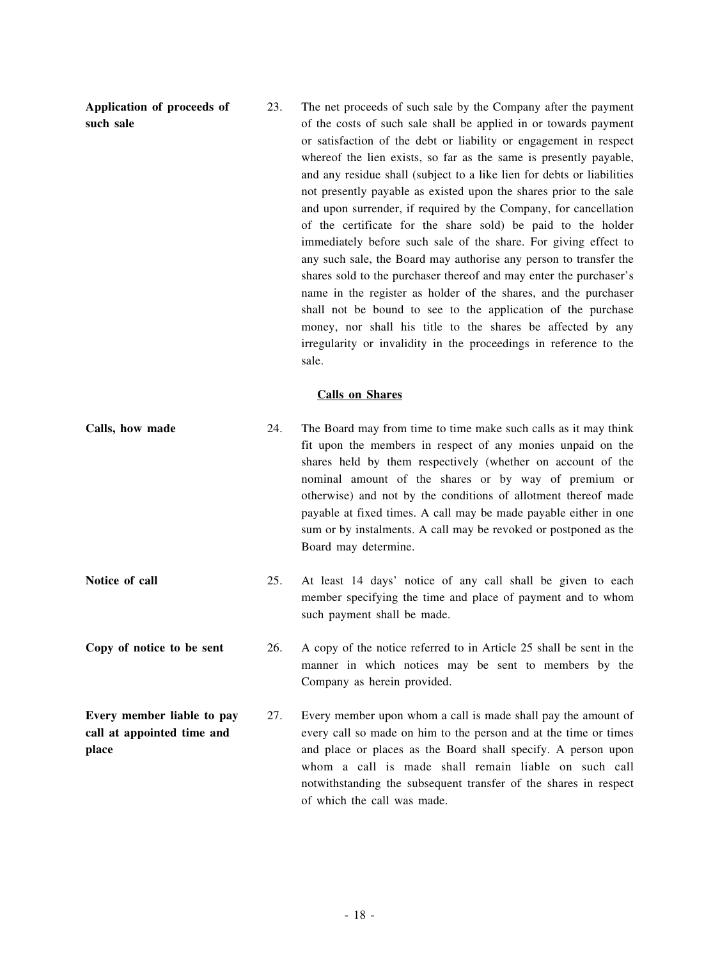**Application of proceeds of such sale**

23. The net proceeds of such sale by the Company after the payment of the costs of such sale shall be applied in or towards payment or satisfaction of the debt or liability or engagement in respect whereof the lien exists, so far as the same is presently payable, and any residue shall (subject to a like lien for debts or liabilities not presently payable as existed upon the shares prior to the sale and upon surrender, if required by the Company, for cancellation of the certificate for the share sold) be paid to the holder immediately before such sale of the share. For giving effect to any such sale, the Board may authorise any person to transfer the shares sold to the purchaser thereof and may enter the purchaser's name in the register as holder of the shares, and the purchaser shall not be bound to see to the application of the purchase money, nor shall his title to the shares be affected by any irregularity or invalidity in the proceedings in reference to the sale.

#### **Calls on Shares**

- **Calls, how made** 24. The Board may from time to time make such calls as it may think fit upon the members in respect of any monies unpaid on the shares held by them respectively (whether on account of the nominal amount of the shares or by way of premium or otherwise) and not by the conditions of allotment thereof made payable at fixed times. A call may be made payable either in one sum or by instalments. A call may be revoked or postponed as the Board may determine.
- **Notice of call** 25. At least 14 days' notice of any call shall be given to each member specifying the time and place of payment and to whom such payment shall be made.
- **Copy of notice to be sent** 26. A copy of the notice referred to in Article 25 shall be sent in the manner in which notices may be sent to members by the Company as herein provided.
- **Every member liable to pay call at appointed time and place** 27. Every member upon whom a call is made shall pay the amount of every call so made on him to the person and at the time or times and place or places as the Board shall specify. A person upon whom a call is made shall remain liable on such call notwithstanding the subsequent transfer of the shares in respect of which the call was made.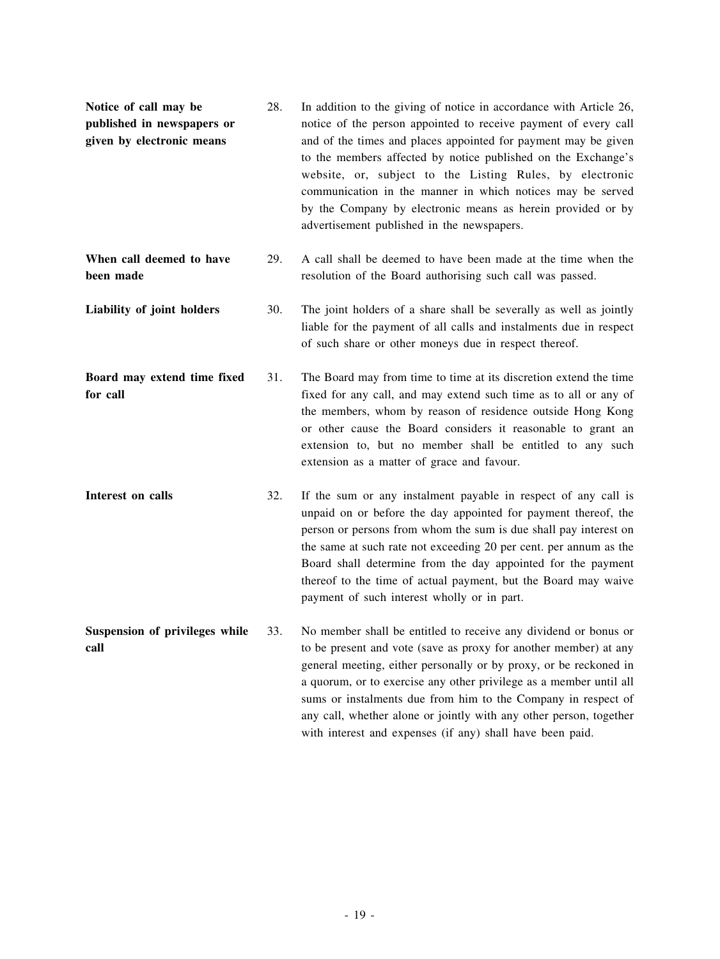| Notice of call may be<br>published in newspapers or<br>given by electronic means | 28. | In addition to the giving of notice in accordance with Article 26,<br>notice of the person appointed to receive payment of every call<br>and of the times and places appointed for payment may be given<br>to the members affected by notice published on the Exchange's<br>website, or, subject to the Listing Rules, by electronic<br>communication in the manner in which notices may be served<br>by the Company by electronic means as herein provided or by<br>advertisement published in the newspapers. |
|----------------------------------------------------------------------------------|-----|-----------------------------------------------------------------------------------------------------------------------------------------------------------------------------------------------------------------------------------------------------------------------------------------------------------------------------------------------------------------------------------------------------------------------------------------------------------------------------------------------------------------|
| When call deemed to have<br>been made                                            | 29. | A call shall be deemed to have been made at the time when the<br>resolution of the Board authorising such call was passed.                                                                                                                                                                                                                                                                                                                                                                                      |
| Liability of joint holders                                                       | 30. | The joint holders of a share shall be severally as well as jointly<br>liable for the payment of all calls and instalments due in respect<br>of such share or other moneys due in respect thereof.                                                                                                                                                                                                                                                                                                               |
| Board may extend time fixed<br>for call                                          | 31. | The Board may from time to time at its discretion extend the time<br>fixed for any call, and may extend such time as to all or any of<br>the members, whom by reason of residence outside Hong Kong<br>or other cause the Board considers it reasonable to grant an<br>extension to, but no member shall be entitled to any such<br>extension as a matter of grace and favour.                                                                                                                                  |
| Interest on calls                                                                | 32. | If the sum or any instalment payable in respect of any call is<br>unpaid on or before the day appointed for payment thereof, the<br>person or persons from whom the sum is due shall pay interest on<br>the same at such rate not exceeding 20 per cent. per annum as the<br>Board shall determine from the day appointed for the payment<br>thereof to the time of actual payment, but the Board may waive<br>payment of such interest wholly or in part.                                                      |
| Suspension of privileges while<br>call                                           | 33. | No member shall be entitled to receive any dividend or bonus or<br>to be present and vote (save as proxy for another member) at any<br>general meeting, either personally or by proxy, or be reckoned in<br>a quorum, or to exercise any other privilege as a member until all<br>sums or instalments due from him to the Company in respect of<br>any call, whether alone or jointly with any other person, together<br>with interest and expenses (if any) shall have been paid.                              |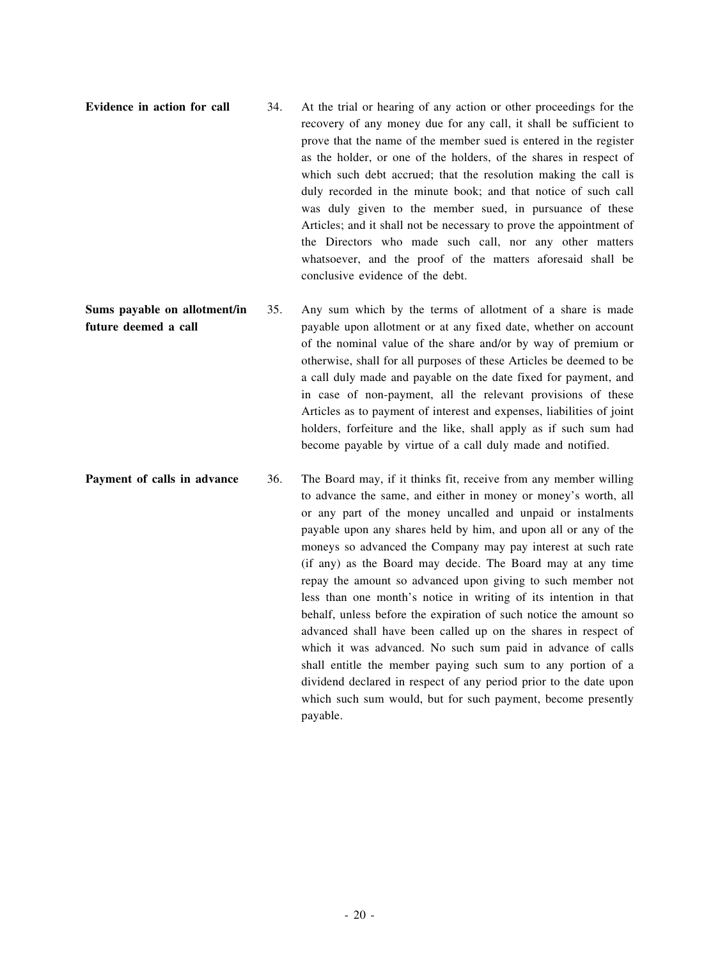- **Evidence in action for call** 34. At the trial or hearing of any action or other proceedings for the recovery of any money due for any call, it shall be sufficient to prove that the name of the member sued is entered in the register as the holder, or one of the holders, of the shares in respect of which such debt accrued; that the resolution making the call is duly recorded in the minute book; and that notice of such call was duly given to the member sued, in pursuance of these Articles; and it shall not be necessary to prove the appointment of the Directors who made such call, nor any other matters whatsoever, and the proof of the matters aforesaid shall be conclusive evidence of the debt.
- **Sums payable on allotment/in future deemed a call** 35. Any sum which by the terms of allotment of a share is made payable upon allotment or at any fixed date, whether on account of the nominal value of the share and/or by way of premium or otherwise, shall for all purposes of these Articles be deemed to be a call duly made and payable on the date fixed for payment, and in case of non-payment, all the relevant provisions of these Articles as to payment of interest and expenses, liabilities of joint holders, forfeiture and the like, shall apply as if such sum had become payable by virtue of a call duly made and notified.
- **Payment of calls in advance** 36. The Board may, if it thinks fit, receive from any member willing to advance the same, and either in money or money's worth, all or any part of the money uncalled and unpaid or instalments payable upon any shares held by him, and upon all or any of the moneys so advanced the Company may pay interest at such rate (if any) as the Board may decide. The Board may at any time repay the amount so advanced upon giving to such member not less than one month's notice in writing of its intention in that behalf, unless before the expiration of such notice the amount so advanced shall have been called up on the shares in respect of which it was advanced. No such sum paid in advance of calls shall entitle the member paying such sum to any portion of a dividend declared in respect of any period prior to the date upon which such sum would, but for such payment, become presently payable.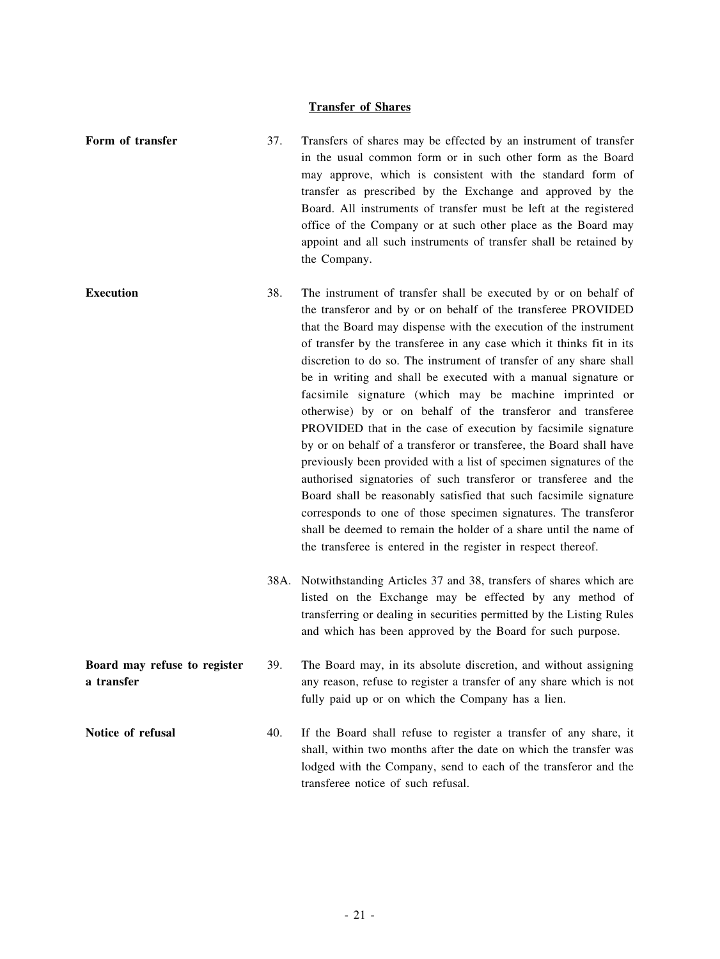# **Transfer of Shares**

| Form of transfer                           | 37. | Transfers of shares may be effected by an instrument of transfer<br>in the usual common form or in such other form as the Board<br>may approve, which is consistent with the standard form of<br>transfer as prescribed by the Exchange and approved by the<br>Board. All instruments of transfer must be left at the registered<br>office of the Company or at such other place as the Board may<br>appoint and all such instruments of transfer shall be retained by<br>the Company.                                                                                                                                                                                                                                                                                                                                                                                                                                                                                                                                                                                                                       |
|--------------------------------------------|-----|--------------------------------------------------------------------------------------------------------------------------------------------------------------------------------------------------------------------------------------------------------------------------------------------------------------------------------------------------------------------------------------------------------------------------------------------------------------------------------------------------------------------------------------------------------------------------------------------------------------------------------------------------------------------------------------------------------------------------------------------------------------------------------------------------------------------------------------------------------------------------------------------------------------------------------------------------------------------------------------------------------------------------------------------------------------------------------------------------------------|
| <b>Execution</b>                           | 38. | The instrument of transfer shall be executed by or on behalf of<br>the transferor and by or on behalf of the transferee PROVIDED<br>that the Board may dispense with the execution of the instrument<br>of transfer by the transferee in any case which it thinks fit in its<br>discretion to do so. The instrument of transfer of any share shall<br>be in writing and shall be executed with a manual signature or<br>facsimile signature (which may be machine imprinted or<br>otherwise) by or on behalf of the transferor and transferee<br>PROVIDED that in the case of execution by facsimile signature<br>by or on behalf of a transferor or transferee, the Board shall have<br>previously been provided with a list of specimen signatures of the<br>authorised signatories of such transferor or transferee and the<br>Board shall be reasonably satisfied that such facsimile signature<br>corresponds to one of those specimen signatures. The transferor<br>shall be deemed to remain the holder of a share until the name of<br>the transferee is entered in the register in respect thereof. |
|                                            |     | 38A. Notwithstanding Articles 37 and 38, transfers of shares which are<br>listed on the Exchange may be effected by any method of<br>transferring or dealing in securities permitted by the Listing Rules<br>and which has been approved by the Board for such purpose.                                                                                                                                                                                                                                                                                                                                                                                                                                                                                                                                                                                                                                                                                                                                                                                                                                      |
| Board may refuse to register<br>a transfer | 39. | The Board may, in its absolute discretion, and without assigning<br>any reason, refuse to register a transfer of any share which is not<br>fully paid up or on which the Company has a lien.                                                                                                                                                                                                                                                                                                                                                                                                                                                                                                                                                                                                                                                                                                                                                                                                                                                                                                                 |
| Notice of refusal                          | 40. | If the Board shall refuse to register a transfer of any share, it<br>shall, within two months after the date on which the transfer was<br>lodged with the Company, send to each of the transferor and the<br>transferee notice of such refusal.                                                                                                                                                                                                                                                                                                                                                                                                                                                                                                                                                                                                                                                                                                                                                                                                                                                              |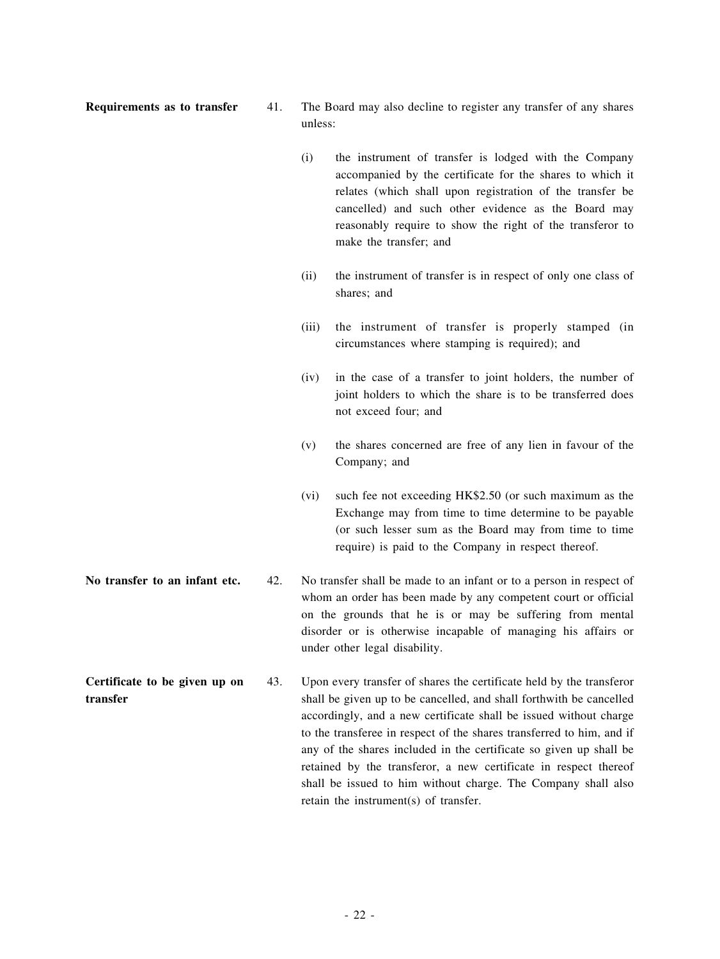- **Requirements as to transfer** 41. The Board may also decline to register any transfer of any shares unless:
	- (i) the instrument of transfer is lodged with the Company accompanied by the certificate for the shares to which it relates (which shall upon registration of the transfer be cancelled) and such other evidence as the Board may reasonably require to show the right of the transferor to make the transfer; and
	- (ii) the instrument of transfer is in respect of only one class of shares; and
	- (iii) the instrument of transfer is properly stamped (in circumstances where stamping is required); and
	- (iv) in the case of a transfer to joint holders, the number of joint holders to which the share is to be transferred does not exceed four; and
	- (v) the shares concerned are free of any lien in favour of the Company; and
	- (vi) such fee not exceeding HK\$2.50 (or such maximum as the Exchange may from time to time determine to be payable (or such lesser sum as the Board may from time to time require) is paid to the Company in respect thereof.
- **No transfer to an infant etc.** 42. No transfer shall be made to an infant or to a person in respect of whom an order has been made by any competent court or official on the grounds that he is or may be suffering from mental disorder or is otherwise incapable of managing his affairs or under other legal disability.
- **Certificate to be given up on transfer** 43. Upon every transfer of shares the certificate held by the transferor shall be given up to be cancelled, and shall forthwith be cancelled accordingly, and a new certificate shall be issued without charge to the transferee in respect of the shares transferred to him, and if any of the shares included in the certificate so given up shall be retained by the transferor, a new certificate in respect thereof shall be issued to him without charge. The Company shall also retain the instrument(s) of transfer.
-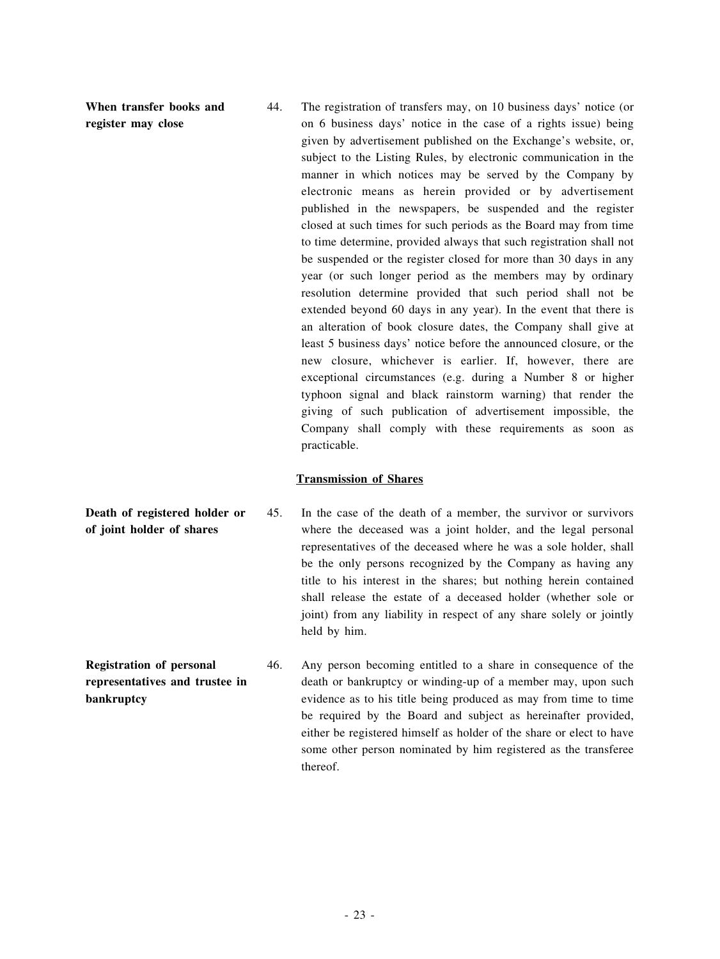**When transfer books and register may close**

44. The registration of transfers may, on 10 business days' notice (or on 6 business days' notice in the case of a rights issue) being given by advertisement published on the Exchange's website, or, subject to the Listing Rules, by electronic communication in the manner in which notices may be served by the Company by electronic means as herein provided or by advertisement published in the newspapers, be suspended and the register closed at such times for such periods as the Board may from time to time determine, provided always that such registration shall not be suspended or the register closed for more than 30 days in any year (or such longer period as the members may by ordinary resolution determine provided that such period shall not be extended beyond 60 days in any year). In the event that there is an alteration of book closure dates, the Company shall give at least 5 business days' notice before the announced closure, or the new closure, whichever is earlier. If, however, there are exceptional circumstances (e.g. during a Number 8 or higher typhoon signal and black rainstorm warning) that render the giving of such publication of advertisement impossible, the Company shall comply with these requirements as soon as practicable.

#### **Transmission of Shares**

- **Death of registered holder or of joint holder of shares** 45. In the case of the death of a member, the survivor or survivors where the deceased was a joint holder, and the legal personal representatives of the deceased where he was a sole holder, shall be the only persons recognized by the Company as having any title to his interest in the shares; but nothing herein contained shall release the estate of a deceased holder (whether sole or joint) from any liability in respect of any share solely or jointly held by him.
- **Registration of personal representatives and trustee in bankruptcy** 46. Any person becoming entitled to a share in consequence of the death or bankruptcy or winding-up of a member may, upon such evidence as to his title being produced as may from time to time be required by the Board and subject as hereinafter provided, either be registered himself as holder of the share or elect to have some other person nominated by him registered as the transferee thereof.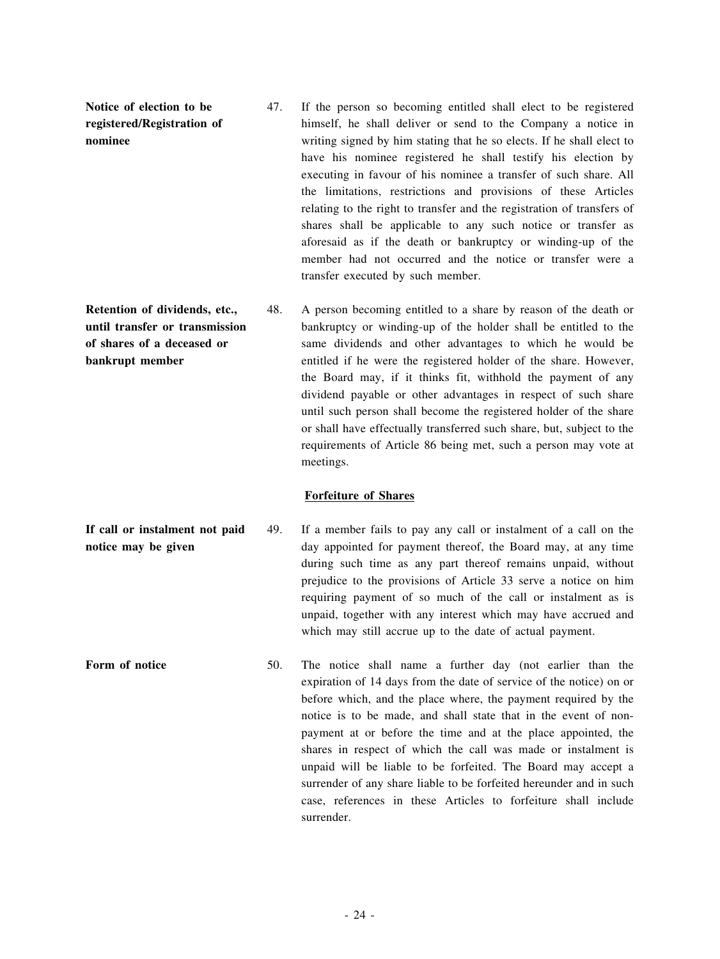**Notice of election to be registered/Registration of nominee**

- 47. If the person so becoming entitled shall elect to be registered himself, he shall deliver or send to the Company a notice in writing signed by him stating that he so elects. If he shall elect to have his nominee registered he shall testify his election by executing in favour of his nominee a transfer of such share. All the limitations, restrictions and provisions of these Articles relating to the right to transfer and the registration of transfers of shares shall be applicable to any such notice or transfer as aforesaid as if the death or bankruptcy or winding-up of the member had not occurred and the notice or transfer were a transfer executed by such member.
- **Retention of dividends, etc., until transfer or transmission of shares of a deceased or bankrupt member** 48. A person becoming entitled to a share by reason of the death or bankruptcy or winding-up of the holder shall be entitled to the same dividends and other advantages to which he would be entitled if he were the registered holder of the share. However, the Board may, if it thinks fit, withhold the payment of any dividend payable or other advantages in respect of such share until such person shall become the registered holder of the share or shall have effectually transferred such share, but, subject to the requirements of Article 86 being met, such a person may vote at meetings.

#### **Forfeiture of Shares**

- **If call or instalment not paid notice may be given** 49. If a member fails to pay any call or instalment of a call on the day appointed for payment thereof, the Board may, at any time during such time as any part thereof remains unpaid, without prejudice to the provisions of Article 33 serve a notice on him requiring payment of so much of the call or instalment as is unpaid, together with any interest which may have accrued and which may still accrue up to the date of actual payment.
- **Form of notice** 50. The notice shall name a further day (not earlier than the expiration of 14 days from the date of service of the notice) on or before which, and the place where, the payment required by the notice is to be made, and shall state that in the event of nonpayment at or before the time and at the place appointed, the shares in respect of which the call was made or instalment is unpaid will be liable to be forfeited. The Board may accept a surrender of any share liable to be forfeited hereunder and in such case, references in these Articles to forfeiture shall include surrender.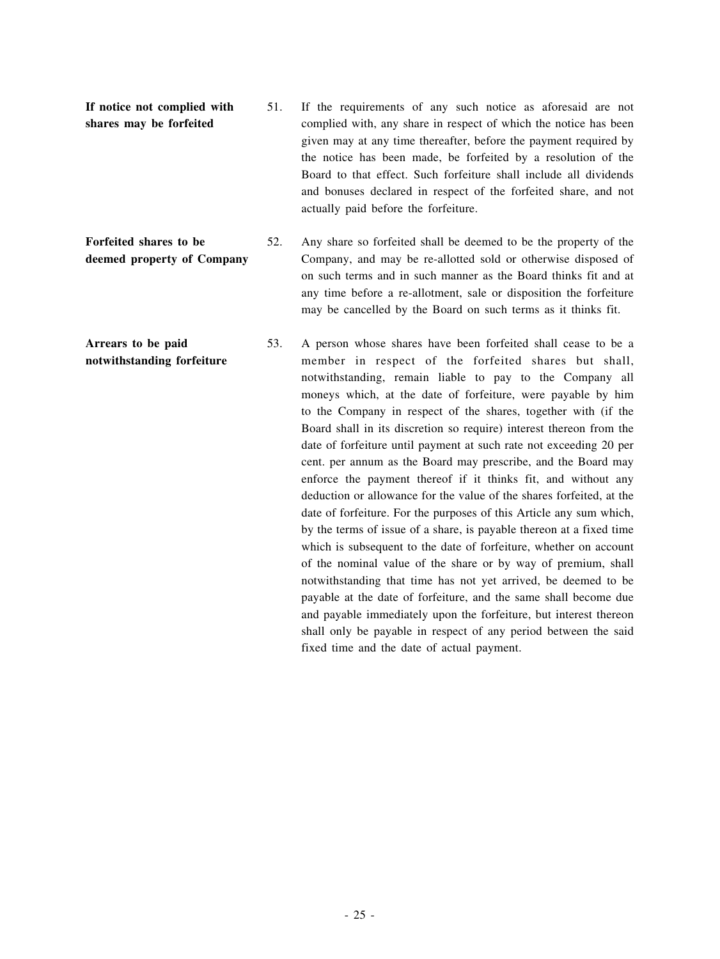**If notice not complied with shares may be forfeited** 51. If the requirements of any such notice as aforesaid are not complied with, any share in respect of which the notice has been given may at any time thereafter, before the payment required by the notice has been made, be forfeited by a resolution of the Board to that effect. Such forfeiture shall include all dividends and bonuses declared in respect of the forfeited share, and not actually paid before the forfeiture.

**Forfeited shares to be deemed property of Company** 52. Any share so forfeited shall be deemed to be the property of the Company, and may be re-allotted sold or otherwise disposed of on such terms and in such manner as the Board thinks fit and at any time before a re-allotment, sale or disposition the forfeiture may be cancelled by the Board on such terms as it thinks fit.

**Arrears to be paid notwithstanding forfeiture** 53. A person whose shares have been forfeited shall cease to be a member in respect of the forfeited shares but shall, notwithstanding, remain liable to pay to the Company all moneys which, at the date of forfeiture, were payable by him to the Company in respect of the shares, together with (if the Board shall in its discretion so require) interest thereon from the date of forfeiture until payment at such rate not exceeding 20 per cent. per annum as the Board may prescribe, and the Board may enforce the payment thereof if it thinks fit, and without any deduction or allowance for the value of the shares forfeited, at the date of forfeiture. For the purposes of this Article any sum which, by the terms of issue of a share, is payable thereon at a fixed time which is subsequent to the date of forfeiture, whether on account of the nominal value of the share or by way of premium, shall notwithstanding that time has not yet arrived, be deemed to be payable at the date of forfeiture, and the same shall become due and payable immediately upon the forfeiture, but interest thereon shall only be payable in respect of any period between the said fixed time and the date of actual payment.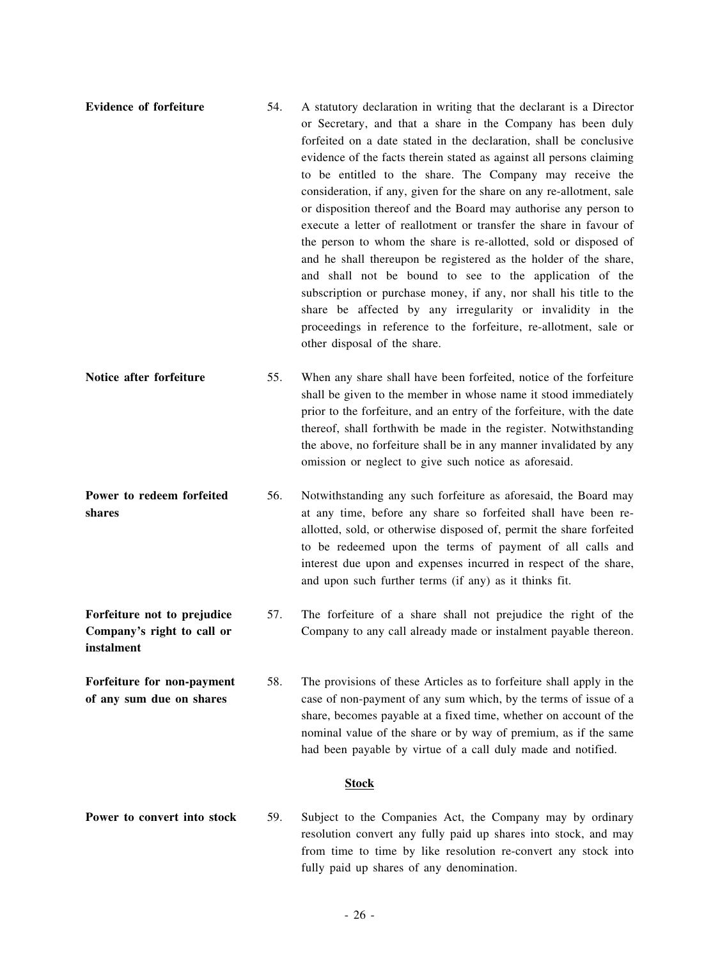- **Evidence of forfeiture** 54. A statutory declaration in writing that the declarant is a Director or Secretary, and that a share in the Company has been duly forfeited on a date stated in the declaration, shall be conclusive evidence of the facts therein stated as against all persons claiming to be entitled to the share. The Company may receive the consideration, if any, given for the share on any re-allotment, sale or disposition thereof and the Board may authorise any person to execute a letter of reallotment or transfer the share in favour of the person to whom the share is re-allotted, sold or disposed of and he shall thereupon be registered as the holder of the share, and shall not be bound to see to the application of the subscription or purchase money, if any, nor shall his title to the share be affected by any irregularity or invalidity in the proceedings in reference to the forfeiture, re-allotment, sale or other disposal of the share.
- **Notice after forfeiture** 55. When any share shall have been forfeited, notice of the forfeiture shall be given to the member in whose name it stood immediately prior to the forfeiture, and an entry of the forfeiture, with the date thereof, shall forthwith be made in the register. Notwithstanding the above, no forfeiture shall be in any manner invalidated by any omission or neglect to give such notice as aforesaid.
- **Power to redeem forfeited shares** 56. Notwithstanding any such forfeiture as aforesaid, the Board may at any time, before any share so forfeited shall have been reallotted, sold, or otherwise disposed of, permit the share forfeited to be redeemed upon the terms of payment of all calls and interest due upon and expenses incurred in respect of the share, and upon such further terms (if any) as it thinks fit.

**Forfeiture not to prejudice Company's right to call or**

**instalment**

- 57. The forfeiture of a share shall not prejudice the right of the Company to any call already made or instalment payable thereon.
- **Forfeiture for non-payment of any sum due on shares** 58. The provisions of these Articles as to forfeiture shall apply in the case of non-payment of any sum which, by the terms of issue of a share, becomes payable at a fixed time, whether on account of the nominal value of the share or by way of premium, as if the same had been payable by virtue of a call duly made and notified.

#### **Stock**

**Power to convert into stock** 59. Subject to the Companies Act, the Company may by ordinary resolution convert any fully paid up shares into stock, and may from time to time by like resolution re-convert any stock into fully paid up shares of any denomination.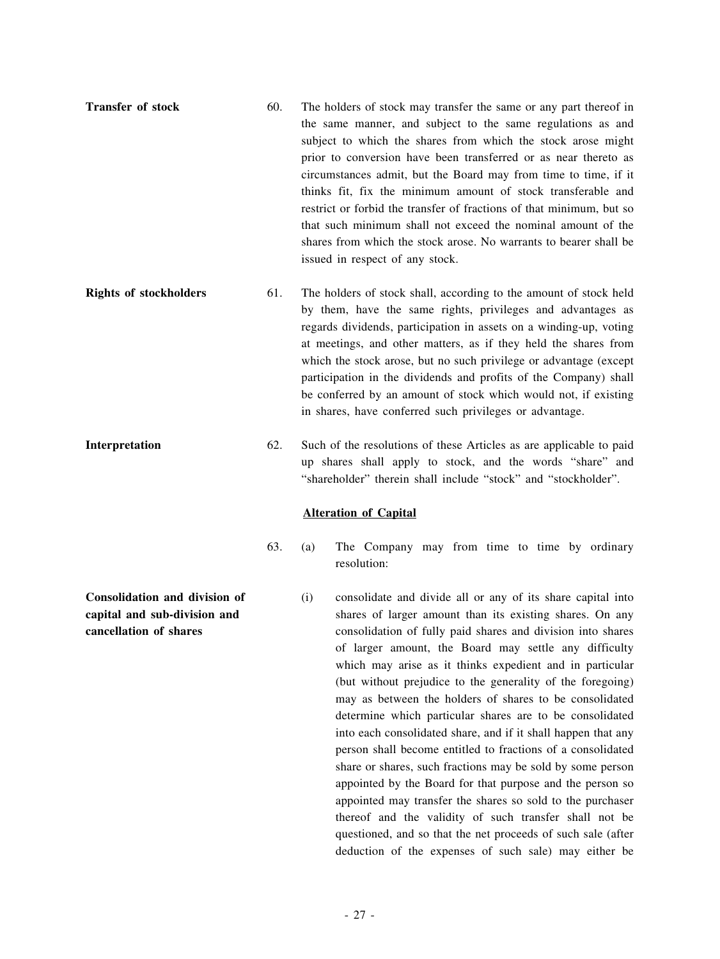- **Transfer of stock** 60. The holders of stock may transfer the same or any part thereof in the same manner, and subject to the same regulations as and subject to which the shares from which the stock arose might prior to conversion have been transferred or as near thereto as circumstances admit, but the Board may from time to time, if it thinks fit, fix the minimum amount of stock transferable and restrict or forbid the transfer of fractions of that minimum, but so that such minimum shall not exceed the nominal amount of the shares from which the stock arose. No warrants to bearer shall be issued in respect of any stock.
- **Rights** of stockholders 61. The holders of stock shall, according to the amount of stock held by them, have the same rights, privileges and advantages as regards dividends, participation in assets on a winding-up, voting at meetings, and other matters, as if they held the shares from which the stock arose, but no such privilege or advantage (except participation in the dividends and profits of the Company) shall be conferred by an amount of stock which would not, if existing in shares, have conferred such privileges or advantage.
- **Interpretation** 62. Such of the resolutions of these Articles as are applicable to paid up shares shall apply to stock, and the words "share" and "shareholder" therein shall include "stock" and "stockholder".

#### **Alteration of Capital**

- 63. (a) The Company may from time to time by ordinary resolution:
	- (i) consolidate and divide all or any of its share capital into shares of larger amount than its existing shares. On any consolidation of fully paid shares and division into shares of larger amount, the Board may settle any difficulty which may arise as it thinks expedient and in particular (but without prejudice to the generality of the foregoing) may as between the holders of shares to be consolidated determine which particular shares are to be consolidated into each consolidated share, and if it shall happen that any person shall become entitled to fractions of a consolidated share or shares, such fractions may be sold by some person appointed by the Board for that purpose and the person so appointed may transfer the shares so sold to the purchaser thereof and the validity of such transfer shall not be questioned, and so that the net proceeds of such sale (after deduction of the expenses of such sale) may either be

**Consolidation and division of capital and sub-division and cancellation of shares**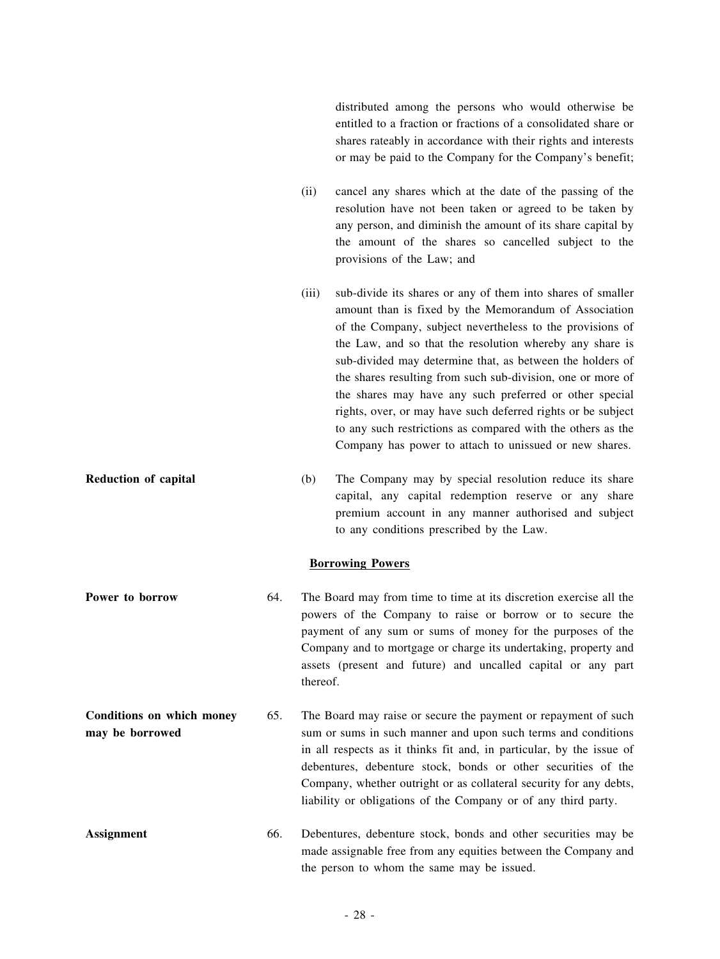distributed among the persons who would otherwise be entitled to a fraction or fractions of a consolidated share or shares rateably in accordance with their rights and interests or may be paid to the Company for the Company's benefit;

- (ii) cancel any shares which at the date of the passing of the resolution have not been taken or agreed to be taken by any person, and diminish the amount of its share capital by the amount of the shares so cancelled subject to the provisions of the Law; and
- (iii) sub-divide its shares or any of them into shares of smaller amount than is fixed by the Memorandum of Association of the Company, subject nevertheless to the provisions of the Law, and so that the resolution whereby any share is sub-divided may determine that, as between the holders of the shares resulting from such sub-division, one or more of the shares may have any such preferred or other special rights, over, or may have such deferred rights or be subject to any such restrictions as compared with the others as the Company has power to attach to unissued or new shares.
- **Reduction of capital** (b) The Company may by special resolution reduce its share capital, any capital redemption reserve or any share premium account in any manner authorised and subject to any conditions prescribed by the Law.

#### **Borrowing Powers**

- **Power to borrow** 64. The Board may from time to time at its discretion exercise all the powers of the Company to raise or borrow or to secure the payment of any sum or sums of money for the purposes of the Company and to mortgage or charge its undertaking, property and assets (present and future) and uncalled capital or any part thereof.
- **Conditions on which money may be borrowed** 65. The Board may raise or secure the payment or repayment of such sum or sums in such manner and upon such terms and conditions in all respects as it thinks fit and, in particular, by the issue of debentures, debenture stock, bonds or other securities of the Company, whether outright or as collateral security for any debts, liability or obligations of the Company or of any third party.
- **Assignment** 66. Debentures, debenture stock, bonds and other securities may be made assignable free from any equities between the Company and the person to whom the same may be issued.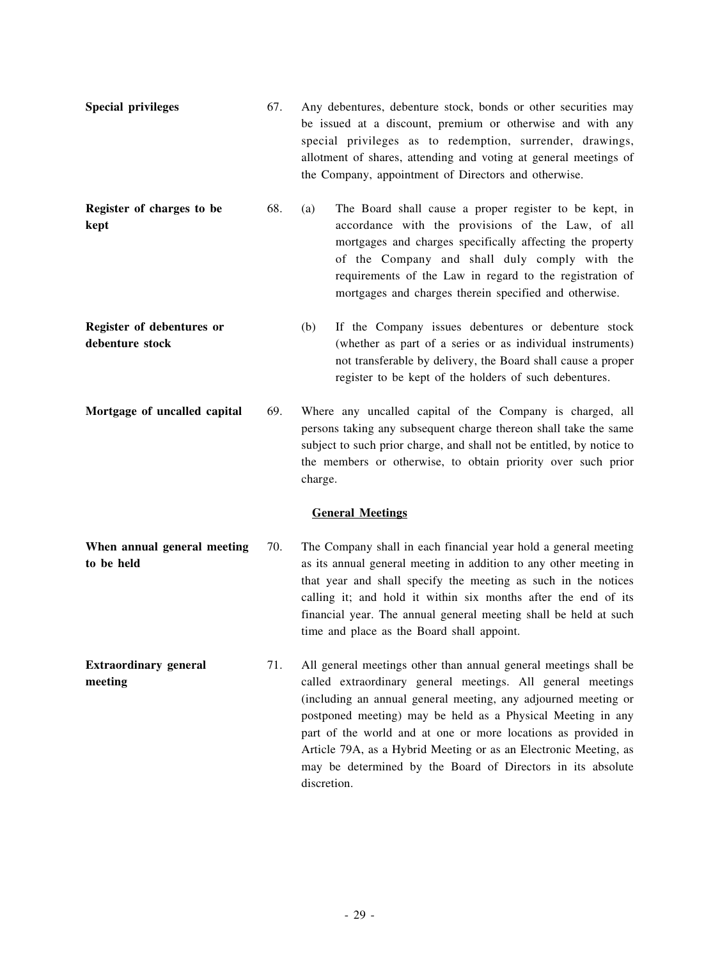- **Special privileges** 67. Any debentures, debenture stock, bonds or other securities may be issued at a discount, premium or otherwise and with any special privileges as to redemption, surrender, drawings, allotment of shares, attending and voting at general meetings of the Company, appointment of Directors and otherwise.
- **Register of charges to be kept** 68. (a) The Board shall cause a proper register to be kept, in accordance with the provisions of the Law, of all mortgages and charges specifically affecting the property of the Company and shall duly comply with the requirements of the Law in regard to the registration of mortgages and charges therein specified and otherwise.
- **Register of debentures or debenture stock** (b) If the Company issues debentures or debenture stock (whether as part of a series or as individual instruments) not transferable by delivery, the Board shall cause a proper register to be kept of the holders of such debentures.
- **Mortgage of uncalled capital** 69. Where any uncalled capital of the Company is charged, all persons taking any subsequent charge thereon shall take the same subject to such prior charge, and shall not be entitled, by notice to the members or otherwise, to obtain priority over such prior charge.

#### **General Meetings**

- **When annual general meeting to be held** 70. The Company shall in each financial year hold a general meeting as its annual general meeting in addition to any other meeting in that year and shall specify the meeting as such in the notices calling it; and hold it within six months after the end of its financial year. The annual general meeting shall be held at such time and place as the Board shall appoint.
- **Extraordinary general meeting** 71. All general meetings other than annual general meetings shall be called extraordinary general meetings. All general meetings (including an annual general meeting, any adjourned meeting or postponed meeting) may be held as a Physical Meeting in any part of the world and at one or more locations as provided in Article 79A, as a Hybrid Meeting or as an Electronic Meeting, as may be determined by the Board of Directors in its absolute discretion.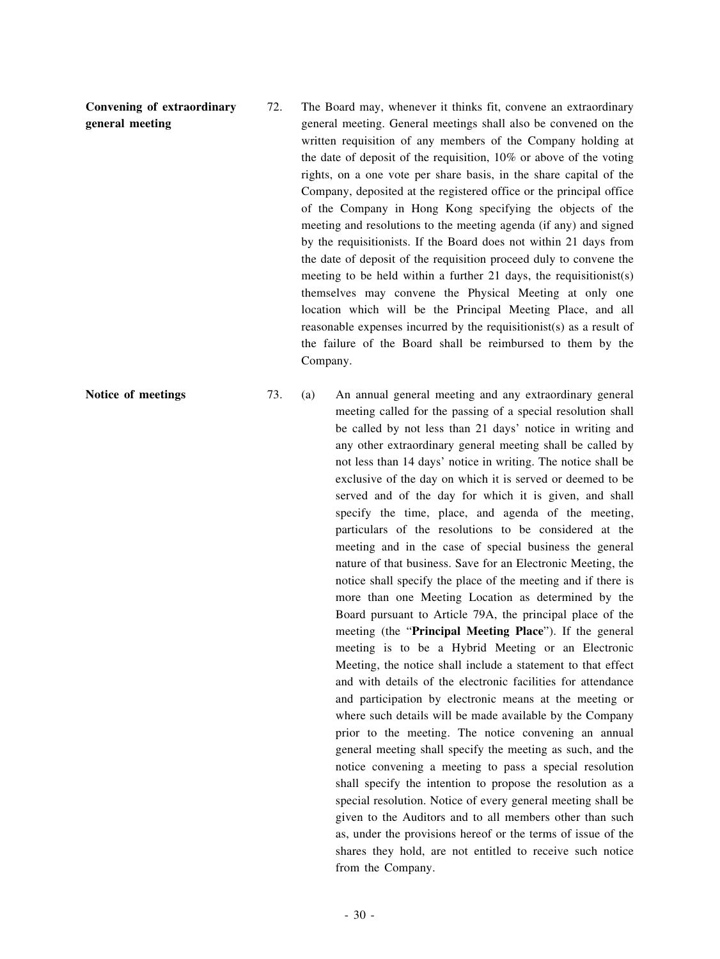**Convening of extraordinary general meeting**

72. The Board may, whenever it thinks fit, convene an extraordinary general meeting. General meetings shall also be convened on the written requisition of any members of the Company holding at the date of deposit of the requisition, 10% or above of the voting rights, on a one vote per share basis, in the share capital of the Company, deposited at the registered office or the principal office of the Company in Hong Kong specifying the objects of the meeting and resolutions to the meeting agenda (if any) and signed by the requisitionists. If the Board does not within 21 days from the date of deposit of the requisition proceed duly to convene the meeting to be held within a further 21 days, the requisitionist(s) themselves may convene the Physical Meeting at only one location which will be the Principal Meeting Place, and all reasonable expenses incurred by the requisitionist(s) as a result of the failure of the Board shall be reimbursed to them by the Company.

**Notice of meetings** 73. (a) An annual general meeting and any extraordinary general meeting called for the passing of a special resolution shall be called by not less than 21 days' notice in writing and any other extraordinary general meeting shall be called by not less than 14 days' notice in writing. The notice shall be exclusive of the day on which it is served or deemed to be served and of the day for which it is given, and shall specify the time, place, and agenda of the meeting, particulars of the resolutions to be considered at the meeting and in the case of special business the general nature of that business. Save for an Electronic Meeting, the notice shall specify the place of the meeting and if there is more than one Meeting Location as determined by the Board pursuant to Article 79A, the principal place of the meeting (the "**Principal Meeting Place**"). If the general meeting is to be a Hybrid Meeting or an Electronic Meeting, the notice shall include a statement to that effect and with details of the electronic facilities for attendance and participation by electronic means at the meeting or where such details will be made available by the Company prior to the meeting. The notice convening an annual general meeting shall specify the meeting as such, and the notice convening a meeting to pass a special resolution shall specify the intention to propose the resolution as a special resolution. Notice of every general meeting shall be given to the Auditors and to all members other than such as, under the provisions hereof or the terms of issue of the shares they hold, are not entitled to receive such notice from the Company.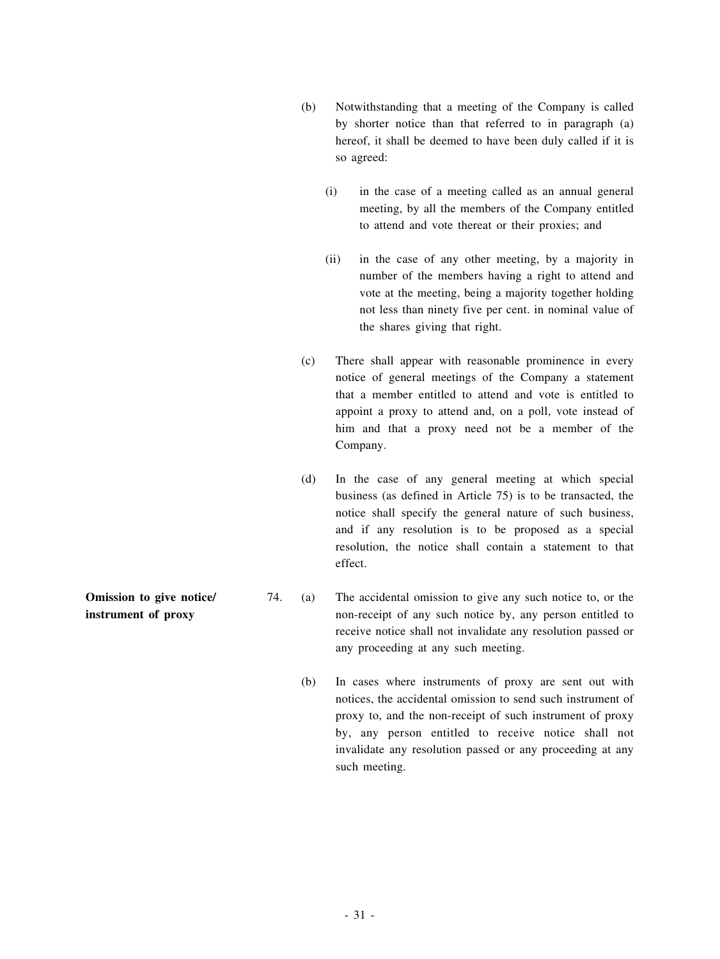- (b) Notwithstanding that a meeting of the Company is called by shorter notice than that referred to in paragraph (a) hereof, it shall be deemed to have been duly called if it is so agreed:
	- (i) in the case of a meeting called as an annual general meeting, by all the members of the Company entitled to attend and vote thereat or their proxies; and
	- (ii) in the case of any other meeting, by a majority in number of the members having a right to attend and vote at the meeting, being a majority together holding not less than ninety five per cent. in nominal value of the shares giving that right.
- (c) There shall appear with reasonable prominence in every notice of general meetings of the Company a statement that a member entitled to attend and vote is entitled to appoint a proxy to attend and, on a poll, vote instead of him and that a proxy need not be a member of the Company.
- (d) In the case of any general meeting at which special business (as defined in Article 75) is to be transacted, the notice shall specify the general nature of such business, and if any resolution is to be proposed as a special resolution, the notice shall contain a statement to that effect.
- 74. (a) The accidental omission to give any such notice to, or the non-receipt of any such notice by, any person entitled to receive notice shall not invalidate any resolution passed or any proceeding at any such meeting.
	- (b) In cases where instruments of proxy are sent out with notices, the accidental omission to send such instrument of proxy to, and the non-receipt of such instrument of proxy by, any person entitled to receive notice shall not invalidate any resolution passed or any proceeding at any such meeting.

**Omission to give notice/ instrument of proxy**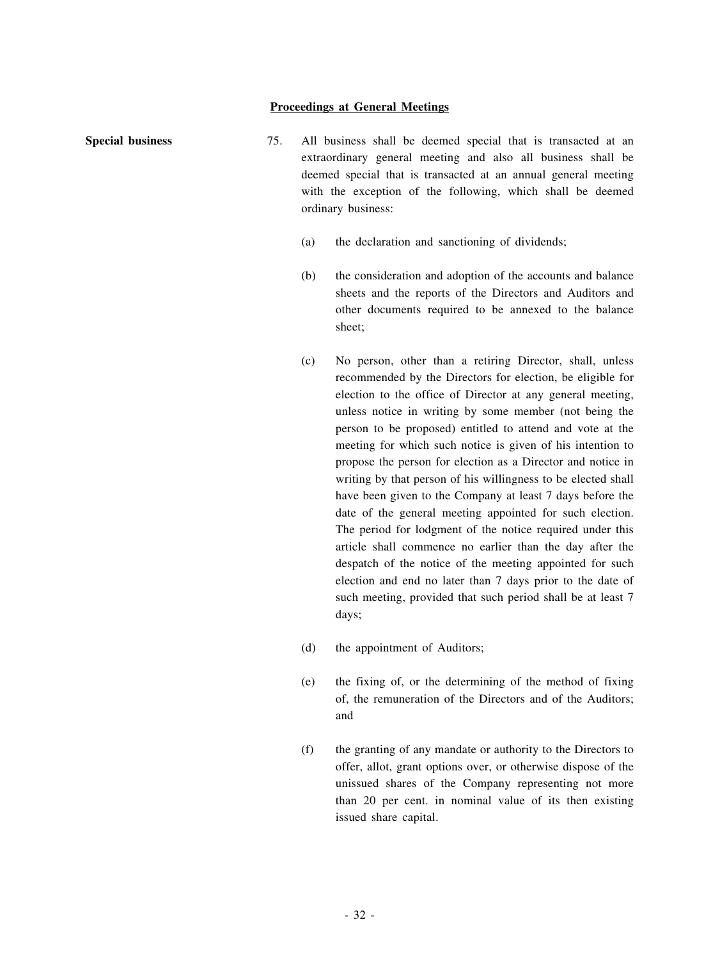#### **Proceedings at General Meetings**

- **Special business** 75. All business shall be deemed special that is transacted at an extraordinary general meeting and also all business shall be deemed special that is transacted at an annual general meeting with the exception of the following, which shall be deemed ordinary business:
	- (a) the declaration and sanctioning of dividends;
	- (b) the consideration and adoption of the accounts and balance sheets and the reports of the Directors and Auditors and other documents required to be annexed to the balance sheet;
	- (c) No person, other than a retiring Director, shall, unless recommended by the Directors for election, be eligible for election to the office of Director at any general meeting, unless notice in writing by some member (not being the person to be proposed) entitled to attend and vote at the meeting for which such notice is given of his intention to propose the person for election as a Director and notice in writing by that person of his willingness to be elected shall have been given to the Company at least 7 days before the date of the general meeting appointed for such election. The period for lodgment of the notice required under this article shall commence no earlier than the day after the despatch of the notice of the meeting appointed for such election and end no later than 7 days prior to the date of such meeting, provided that such period shall be at least 7 days;
	- (d) the appointment of Auditors;
	- (e) the fixing of, or the determining of the method of fixing of, the remuneration of the Directors and of the Auditors; and
	- (f) the granting of any mandate or authority to the Directors to offer, allot, grant options over, or otherwise dispose of the unissued shares of the Company representing not more than 20 per cent. in nominal value of its then existing issued share capital.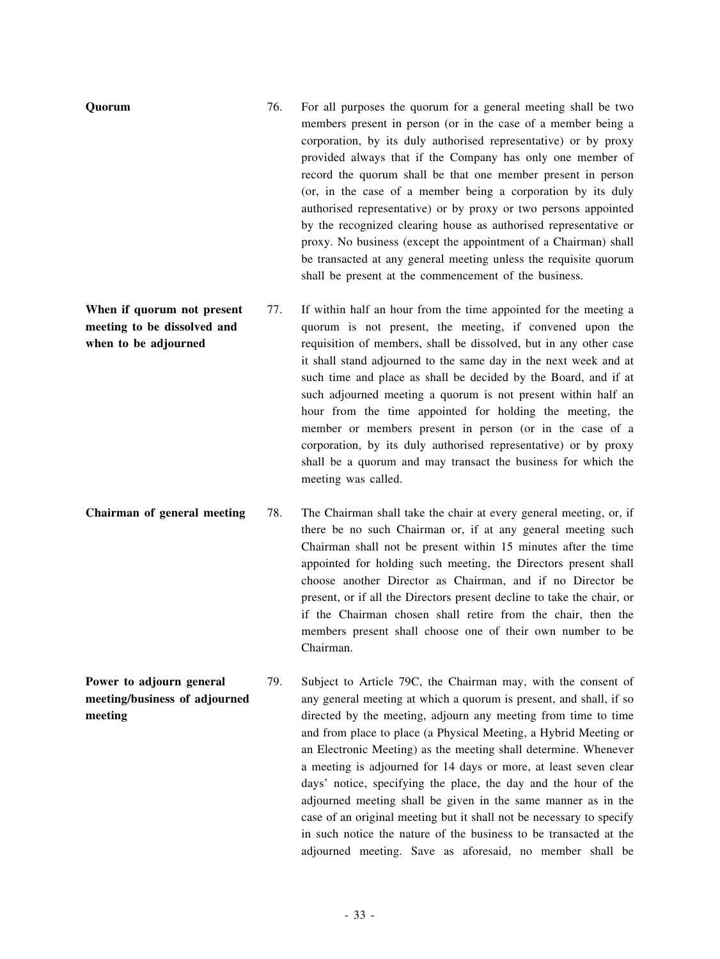| Quorum                                                                            | 76. | For all purposes the quorum for a general meeting shall be two<br>members present in person (or in the case of a member being a<br>corporation, by its duly authorised representative) or by proxy<br>provided always that if the Company has only one member of<br>record the quorum shall be that one member present in person<br>(or, in the case of a member being a corporation by its duly<br>authorised representative) or by proxy or two persons appointed<br>by the recognized clearing house as authorised representative or<br>proxy. No business (except the appointment of a Chairman) shall<br>be transacted at any general meeting unless the requisite quorum<br>shall be present at the commencement of the business. |
|-----------------------------------------------------------------------------------|-----|-----------------------------------------------------------------------------------------------------------------------------------------------------------------------------------------------------------------------------------------------------------------------------------------------------------------------------------------------------------------------------------------------------------------------------------------------------------------------------------------------------------------------------------------------------------------------------------------------------------------------------------------------------------------------------------------------------------------------------------------|
| When if quorum not present<br>meeting to be dissolved and<br>when to be adjourned | 77. | If within half an hour from the time appointed for the meeting a<br>quorum is not present, the meeting, if convened upon the<br>requisition of members, shall be dissolved, but in any other case<br>it shall stand adjourned to the same day in the next week and at<br>such time and place as shall be decided by the Board, and if at<br>such adjourned meeting a quorum is not present within half an<br>hour from the time appointed for holding the meeting, the<br>member or members present in person (or in the case of a<br>corporation, by its duly authorised representative) or by proxy<br>shall be a quorum and may transact the business for which the<br>meeting was called.                                           |
| Chairman of general meeting                                                       | 78. | The Chairman shall take the chair at every general meeting, or, if<br>there be no such Chairman or, if at any general meeting such<br>Chairman shall not be present within 15 minutes after the time<br>appointed for holding such meeting, the Directors present shall<br>choose another Director as Chairman, and if no Director be<br>present, or if all the Directors present decline to take the chair, or                                                                                                                                                                                                                                                                                                                         |

if the Chairman chosen shall retire from the chair, then the members present shall choose one of their own number to be Chairman. **Power to adjourn general meeting/business of adjourned** 79. Subject to Article 79C, the Chairman may, with the consent of any general meeting at which a quorum is present, and shall, if so directed by the meeting, adjourn any meeting from time to time

**meeting**

and from place to place (a Physical Meeting, a Hybrid Meeting or an Electronic Meeting) as the meeting shall determine. Whenever a meeting is adjourned for 14 days or more, at least seven clear days' notice, specifying the place, the day and the hour of the adjourned meeting shall be given in the same manner as in the case of an original meeting but it shall not be necessary to specify in such notice the nature of the business to be transacted at the adjourned meeting. Save as aforesaid, no member shall be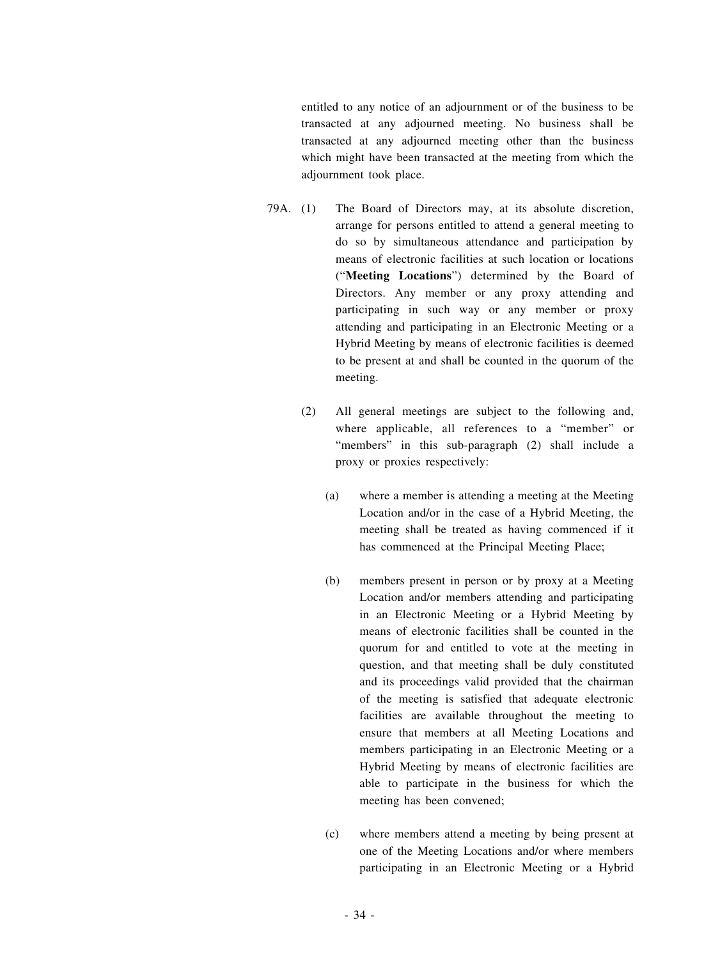entitled to any notice of an adjournment or of the business to be transacted at any adjourned meeting. No business shall be transacted at any adjourned meeting other than the business which might have been transacted at the meeting from which the adjournment took place.

- 79A. (1) The Board of Directors may, at its absolute discretion, arrange for persons entitled to attend a general meeting to do so by simultaneous attendance and participation by means of electronic facilities at such location or locations ("**Meeting Locations**") determined by the Board of Directors. Any member or any proxy attending and participating in such way or any member or proxy attending and participating in an Electronic Meeting or a Hybrid Meeting by means of electronic facilities is deemed to be present at and shall be counted in the quorum of the meeting.
	- (2) All general meetings are subject to the following and, where applicable, all references to a "member" or "members" in this sub-paragraph (2) shall include a proxy or proxies respectively:
		- (a) where a member is attending a meeting at the Meeting Location and/or in the case of a Hybrid Meeting, the meeting shall be treated as having commenced if it has commenced at the Principal Meeting Place;
		- (b) members present in person or by proxy at a Meeting Location and/or members attending and participating in an Electronic Meeting or a Hybrid Meeting by means of electronic facilities shall be counted in the quorum for and entitled to vote at the meeting in question, and that meeting shall be duly constituted and its proceedings valid provided that the chairman of the meeting is satisfied that adequate electronic facilities are available throughout the meeting to ensure that members at all Meeting Locations and members participating in an Electronic Meeting or a Hybrid Meeting by means of electronic facilities are able to participate in the business for which the meeting has been convened;
		- (c) where members attend a meeting by being present at one of the Meeting Locations and/or where members participating in an Electronic Meeting or a Hybrid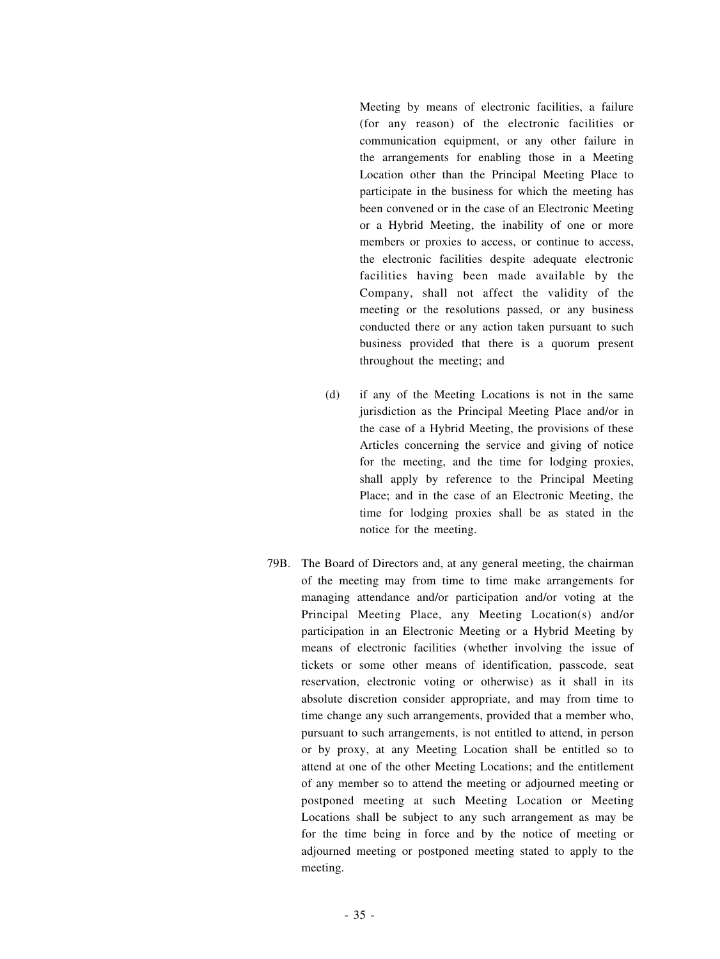Meeting by means of electronic facilities, a failure (for any reason) of the electronic facilities or communication equipment, or any other failure in the arrangements for enabling those in a Meeting Location other than the Principal Meeting Place to participate in the business for which the meeting has been convened or in the case of an Electronic Meeting or a Hybrid Meeting, the inability of one or more members or proxies to access, or continue to access, the electronic facilities despite adequate electronic facilities having been made available by the Company, shall not affect the validity of the meeting or the resolutions passed, or any business conducted there or any action taken pursuant to such business provided that there is a quorum present throughout the meeting; and

- (d) if any of the Meeting Locations is not in the same jurisdiction as the Principal Meeting Place and/or in the case of a Hybrid Meeting, the provisions of these Articles concerning the service and giving of notice for the meeting, and the time for lodging proxies, shall apply by reference to the Principal Meeting Place; and in the case of an Electronic Meeting, the time for lodging proxies shall be as stated in the notice for the meeting.
- 79B. The Board of Directors and, at any general meeting, the chairman of the meeting may from time to time make arrangements for managing attendance and/or participation and/or voting at the Principal Meeting Place, any Meeting Location(s) and/or participation in an Electronic Meeting or a Hybrid Meeting by means of electronic facilities (whether involving the issue of tickets or some other means of identification, passcode, seat reservation, electronic voting or otherwise) as it shall in its absolute discretion consider appropriate, and may from time to time change any such arrangements, provided that a member who, pursuant to such arrangements, is not entitled to attend, in person or by proxy, at any Meeting Location shall be entitled so to attend at one of the other Meeting Locations; and the entitlement of any member so to attend the meeting or adjourned meeting or postponed meeting at such Meeting Location or Meeting Locations shall be subject to any such arrangement as may be for the time being in force and by the notice of meeting or adjourned meeting or postponed meeting stated to apply to the meeting.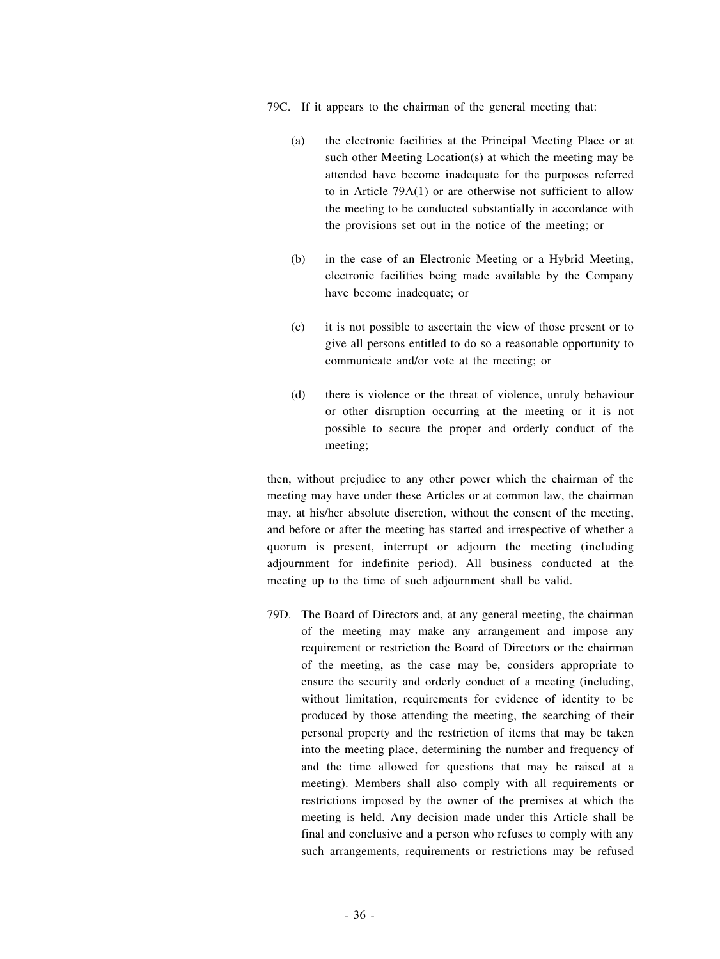79C. If it appears to the chairman of the general meeting that:

- (a) the electronic facilities at the Principal Meeting Place or at such other Meeting Location(s) at which the meeting may be attended have become inadequate for the purposes referred to in Article 79A(1) or are otherwise not sufficient to allow the meeting to be conducted substantially in accordance with the provisions set out in the notice of the meeting; or
- (b) in the case of an Electronic Meeting or a Hybrid Meeting, electronic facilities being made available by the Company have become inadequate; or
- (c) it is not possible to ascertain the view of those present or to give all persons entitled to do so a reasonable opportunity to communicate and/or vote at the meeting; or
- (d) there is violence or the threat of violence, unruly behaviour or other disruption occurring at the meeting or it is not possible to secure the proper and orderly conduct of the meeting;

then, without prejudice to any other power which the chairman of the meeting may have under these Articles or at common law, the chairman may, at his/her absolute discretion, without the consent of the meeting, and before or after the meeting has started and irrespective of whether a quorum is present, interrupt or adjourn the meeting (including adjournment for indefinite period). All business conducted at the meeting up to the time of such adjournment shall be valid.

79D. The Board of Directors and, at any general meeting, the chairman of the meeting may make any arrangement and impose any requirement or restriction the Board of Directors or the chairman of the meeting, as the case may be, considers appropriate to ensure the security and orderly conduct of a meeting (including, without limitation, requirements for evidence of identity to be produced by those attending the meeting, the searching of their personal property and the restriction of items that may be taken into the meeting place, determining the number and frequency of and the time allowed for questions that may be raised at a meeting). Members shall also comply with all requirements or restrictions imposed by the owner of the premises at which the meeting is held. Any decision made under this Article shall be final and conclusive and a person who refuses to comply with any such arrangements, requirements or restrictions may be refused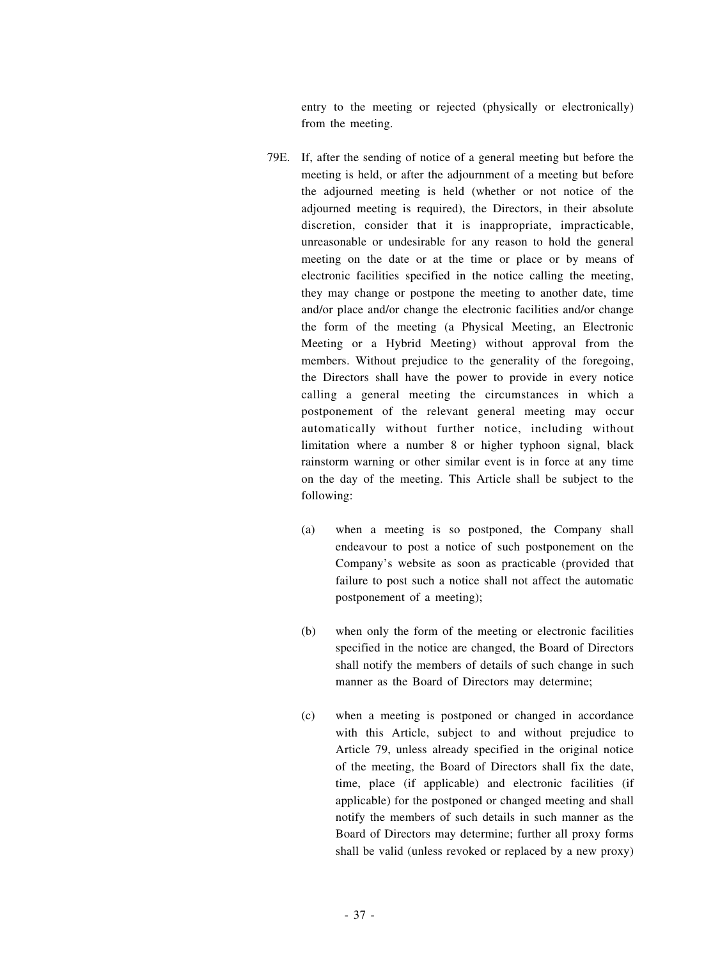entry to the meeting or rejected (physically or electronically) from the meeting.

- 79E. If, after the sending of notice of a general meeting but before the meeting is held, or after the adjournment of a meeting but before the adjourned meeting is held (whether or not notice of the adjourned meeting is required), the Directors, in their absolute discretion, consider that it is inappropriate, impracticable, unreasonable or undesirable for any reason to hold the general meeting on the date or at the time or place or by means of electronic facilities specified in the notice calling the meeting, they may change or postpone the meeting to another date, time and/or place and/or change the electronic facilities and/or change the form of the meeting (a Physical Meeting, an Electronic Meeting or a Hybrid Meeting) without approval from the members. Without prejudice to the generality of the foregoing, the Directors shall have the power to provide in every notice calling a general meeting the circumstances in which a postponement of the relevant general meeting may occur automatically without further notice, including without limitation where a number 8 or higher typhoon signal, black rainstorm warning or other similar event is in force at any time on the day of the meeting. This Article shall be subject to the following:
	- (a) when a meeting is so postponed, the Company shall endeavour to post a notice of such postponement on the Company's website as soon as practicable (provided that failure to post such a notice shall not affect the automatic postponement of a meeting);
	- (b) when only the form of the meeting or electronic facilities specified in the notice are changed, the Board of Directors shall notify the members of details of such change in such manner as the Board of Directors may determine;
	- (c) when a meeting is postponed or changed in accordance with this Article, subject to and without prejudice to Article 79, unless already specified in the original notice of the meeting, the Board of Directors shall fix the date, time, place (if applicable) and electronic facilities (if applicable) for the postponed or changed meeting and shall notify the members of such details in such manner as the Board of Directors may determine; further all proxy forms shall be valid (unless revoked or replaced by a new proxy)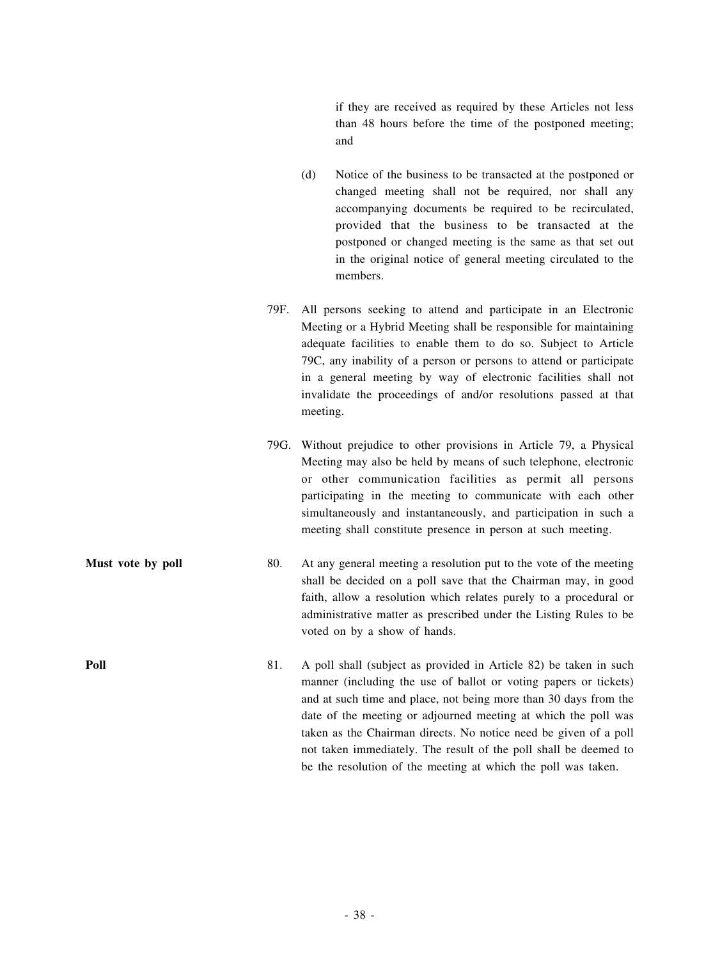if they are received as required by these Articles not less than 48 hours before the time of the postponed meeting; and

- (d) Notice of the business to be transacted at the postponed or changed meeting shall not be required, nor shall any accompanying documents be required to be recirculated, provided that the business to be transacted at the postponed or changed meeting is the same as that set out in the original notice of general meeting circulated to the members.
- 79F. All persons seeking to attend and participate in an Electronic Meeting or a Hybrid Meeting shall be responsible for maintaining adequate facilities to enable them to do so. Subject to Article 79C, any inability of a person or persons to attend or participate in a general meeting by way of electronic facilities shall not invalidate the proceedings of and/or resolutions passed at that meeting.
- 79G. Without prejudice to other provisions in Article 79, a Physical Meeting may also be held by means of such telephone, electronic or other communication facilities as permit all persons participating in the meeting to communicate with each other simultaneously and instantaneously, and participation in such a meeting shall constitute presence in person at such meeting.
- **Must vote** by **poll** 80. At any general meeting a resolution put to the vote of the meeting shall be decided on a poll save that the Chairman may, in good faith, allow a resolution which relates purely to a procedural or administrative matter as prescribed under the Listing Rules to be voted on by a show of hands.
- **Poll** 81. A poll shall (subject as provided in Article 82) be taken in such manner (including the use of ballot or voting papers or tickets) and at such time and place, not being more than 30 days from the date of the meeting or adjourned meeting at which the poll was taken as the Chairman directs. No notice need be given of a poll not taken immediately. The result of the poll shall be deemed to be the resolution of the meeting at which the poll was taken.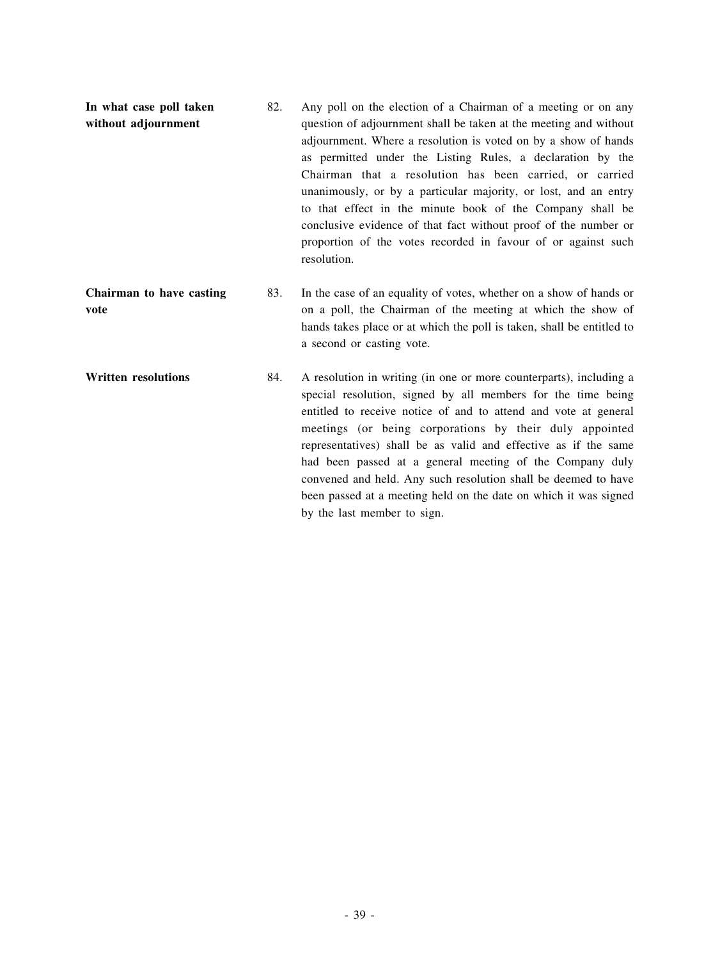- **In what case poll taken without adjournment** 82. Any poll on the election of a Chairman of a meeting or on any question of adjournment shall be taken at the meeting and without adjournment. Where a resolution is voted on by a show of hands as permitted under the Listing Rules, a declaration by the Chairman that a resolution has been carried, or carried unanimously, or by a particular majority, or lost, and an entry to that effect in the minute book of the Company shall be conclusive evidence of that fact without proof of the number or proportion of the votes recorded in favour of or against such resolution. **Chairman to have casting vote** 83. In the case of an equality of votes, whether on a show of hands or on a poll, the Chairman of the meeting at which the show of hands takes place or at which the poll is taken, shall be entitled to a second or casting vote. **Written resolutions** 84. A resolution in writing (in one or more counterparts), including a special resolution, signed by all members for the time being entitled to receive notice of and to attend and vote at general meetings (or being corporations by their duly appointed representatives) shall be as valid and effective as if the same
	- had been passed at a general meeting of the Company duly convened and held. Any such resolution shall be deemed to have been passed at a meeting held on the date on which it was signed by the last member to sign.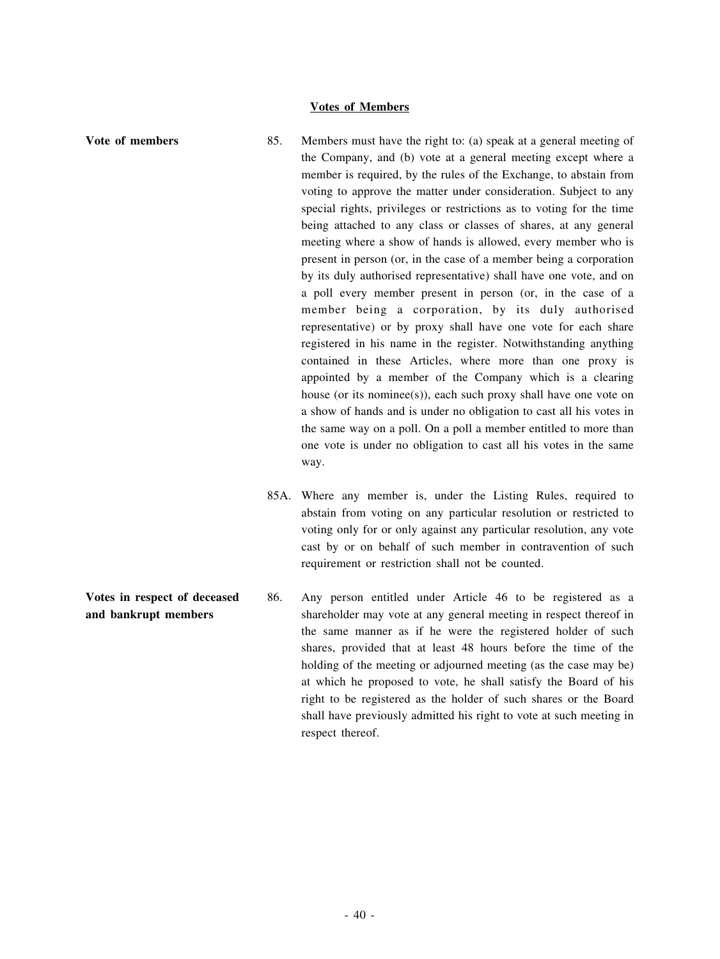## **Votes of Members**

- **Vote of members** 85. Members must have the right to: (a) speak at a general meeting of the Company, and (b) vote at a general meeting except where a member is required, by the rules of the Exchange, to abstain from voting to approve the matter under consideration. Subject to any special rights, privileges or restrictions as to voting for the time being attached to any class or classes of shares, at any general meeting where a show of hands is allowed, every member who is present in person (or, in the case of a member being a corporation by its duly authorised representative) shall have one vote, and on a poll every member present in person (or, in the case of a member being a corporation, by its duly authorised representative) or by proxy shall have one vote for each share registered in his name in the register. Notwithstanding anything contained in these Articles, where more than one proxy is appointed by a member of the Company which is a clearing house (or its nominee(s)), each such proxy shall have one vote on a show of hands and is under no obligation to cast all his votes in the same way on a poll. On a poll a member entitled to more than one vote is under no obligation to cast all his votes in the same way.
	- 85A. Where any member is, under the Listing Rules, required to abstain from voting on any particular resolution or restricted to voting only for or only against any particular resolution, any vote cast by or on behalf of such member in contravention of such requirement or restriction shall not be counted.
- **Votes in respect of deceased and bankrupt members** 86. Any person entitled under Article 46 to be registered as a shareholder may vote at any general meeting in respect thereof in the same manner as if he were the registered holder of such shares, provided that at least 48 hours before the time of the holding of the meeting or adjourned meeting (as the case may be) at which he proposed to vote, he shall satisfy the Board of his right to be registered as the holder of such shares or the Board shall have previously admitted his right to vote at such meeting in respect thereof.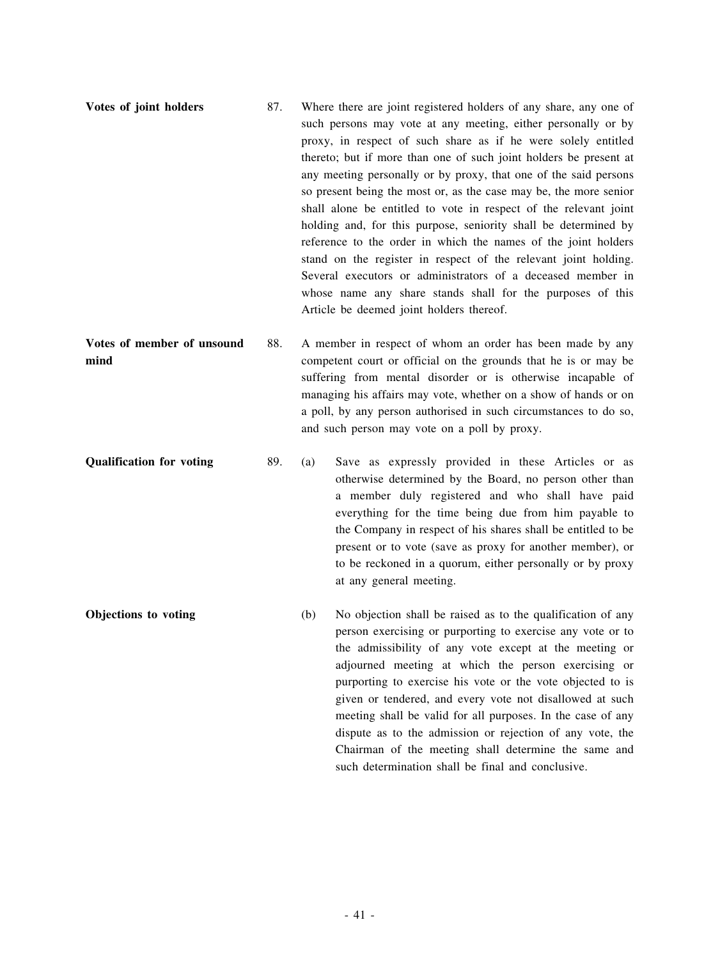| Votes of joint holders     | 87. | Where there are joint registered holders of any share, any one of<br>such persons may vote at any meeting, either personally or by<br>proxy, in respect of such share as if he were solely entitled                                                                                                                                                                                                                                                                                                                                                   |
|----------------------------|-----|-------------------------------------------------------------------------------------------------------------------------------------------------------------------------------------------------------------------------------------------------------------------------------------------------------------------------------------------------------------------------------------------------------------------------------------------------------------------------------------------------------------------------------------------------------|
|                            |     | thereto; but if more than one of such joint holders be present at<br>any meeting personally or by proxy, that one of the said persons<br>so present being the most or, as the case may be, the more senior<br>shall alone be entitled to vote in respect of the relevant joint<br>holding and, for this purpose, seniority shall be determined by<br>reference to the order in which the names of the joint holders<br>stand on the register in respect of the relevant joint holding.<br>Several executors or administrators of a deceased member in |
|                            |     | whose name any share stands shall for the purposes of this<br>Article be deemed joint holders thereof.                                                                                                                                                                                                                                                                                                                                                                                                                                                |
| Votes of member of unsound | 88. | A member in respect of whom an order has been made by any                                                                                                                                                                                                                                                                                                                                                                                                                                                                                             |

**mind** competent court or official on the grounds that he is or may be suffering from mental disorder or is otherwise incapable of managing his affairs may vote, whether on a show of hands or on a poll, by any person authorised in such circumstances to do so, and such person may vote on a poll by proxy.

**Qualification for voting** 89. (a) Save as expressly provided in these Articles or as otherwise determined by the Board, no person other than a member duly registered and who shall have paid everything for the time being due from him payable to the Company in respect of his shares shall be entitled to be present or to vote (save as proxy for another member), or to be reckoned in a quorum, either personally or by proxy at any general meeting.

**Objections to voting** (b) No objection shall be raised as to the qualification of any person exercising or purporting to exercise any vote or to the admissibility of any vote except at the meeting or adjourned meeting at which the person exercising or purporting to exercise his vote or the vote objected to is given or tendered, and every vote not disallowed at such meeting shall be valid for all purposes. In the case of any dispute as to the admission or rejection of any vote, the Chairman of the meeting shall determine the same and such determination shall be final and conclusive.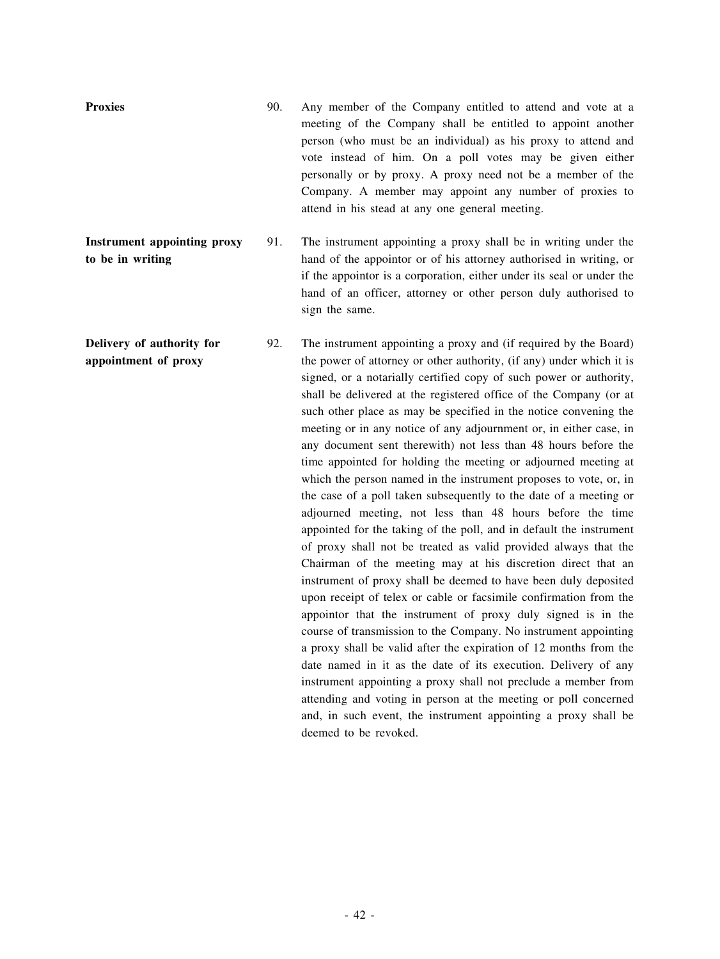**Proxies** 90. Any member of the Company entitled to attend and vote at a meeting of the Company shall be entitled to appoint another person (who must be an individual) as his proxy to attend and vote instead of him. On a poll votes may be given either personally or by proxy. A proxy need not be a member of the Company. A member may appoint any number of proxies to attend in his stead at any one general meeting.

**Instrument appointing proxy to be in writing** 91. The instrument appointing a proxy shall be in writing under the hand of the appointor or of his attorney authorised in writing, or if the appointor is a corporation, either under its seal or under the hand of an officer, attorney or other person duly authorised to sign the same.

**Delivery of authority for appointment of proxy** 92. The instrument appointing a proxy and (if required by the Board) the power of attorney or other authority, (if any) under which it is signed, or a notarially certified copy of such power or authority, shall be delivered at the registered office of the Company (or at such other place as may be specified in the notice convening the meeting or in any notice of any adjournment or, in either case, in any document sent therewith) not less than 48 hours before the time appointed for holding the meeting or adjourned meeting at which the person named in the instrument proposes to vote, or, in the case of a poll taken subsequently to the date of a meeting or adjourned meeting, not less than 48 hours before the time appointed for the taking of the poll, and in default the instrument of proxy shall not be treated as valid provided always that the Chairman of the meeting may at his discretion direct that an instrument of proxy shall be deemed to have been duly deposited upon receipt of telex or cable or facsimile confirmation from the appointor that the instrument of proxy duly signed is in the course of transmission to the Company. No instrument appointing a proxy shall be valid after the expiration of 12 months from the date named in it as the date of its execution. Delivery of any instrument appointing a proxy shall not preclude a member from attending and voting in person at the meeting or poll concerned and, in such event, the instrument appointing a proxy shall be deemed to be revoked.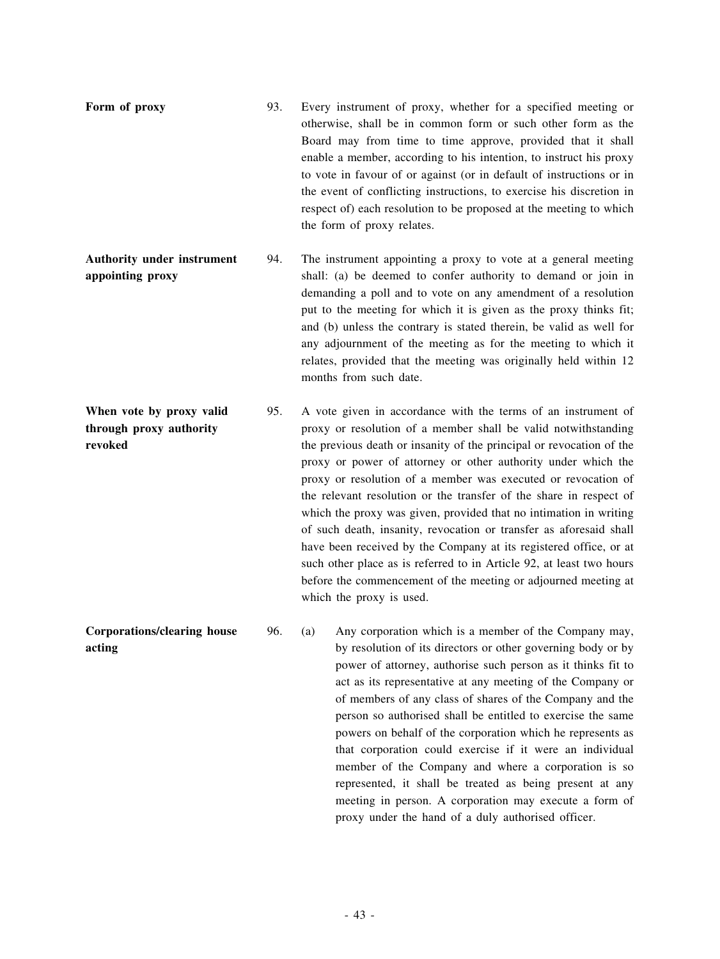- **Form of proxy** 93. Every instrument of proxy, whether for a specified meeting or otherwise, shall be in common form or such other form as the Board may from time to time approve, provided that it shall enable a member, according to his intention, to instruct his proxy to vote in favour of or against (or in default of instructions or in the event of conflicting instructions, to exercise his discretion in respect of) each resolution to be proposed at the meeting to which the form of proxy relates.
- **Authority under instrument appointing proxy** 94. The instrument appointing a proxy to vote at a general meeting shall: (a) be deemed to confer authority to demand or join in demanding a poll and to vote on any amendment of a resolution put to the meeting for which it is given as the proxy thinks fit; and (b) unless the contrary is stated therein, be valid as well for any adjournment of the meeting as for the meeting to which it relates, provided that the meeting was originally held within 12 months from such date.
- **When vote by proxy valid through proxy authority revoked** 95. A vote given in accordance with the terms of an instrument of proxy or resolution of a member shall be valid notwithstanding the previous death or insanity of the principal or revocation of the proxy or power of attorney or other authority under which the proxy or resolution of a member was executed or revocation of the relevant resolution or the transfer of the share in respect of which the proxy was given, provided that no intimation in writing of such death, insanity, revocation or transfer as aforesaid shall have been received by the Company at its registered office, or at such other place as is referred to in Article 92, at least two hours before the commencement of the meeting or adjourned meeting at which the proxy is used.
- **Corporations/clearing house acting** 96. (a) Any corporation which is a member of the Company may, by resolution of its directors or other governing body or by power of attorney, authorise such person as it thinks fit to act as its representative at any meeting of the Company or of members of any class of shares of the Company and the person so authorised shall be entitled to exercise the same powers on behalf of the corporation which he represents as that corporation could exercise if it were an individual member of the Company and where a corporation is so represented, it shall be treated as being present at any meeting in person. A corporation may execute a form of proxy under the hand of a duly authorised officer.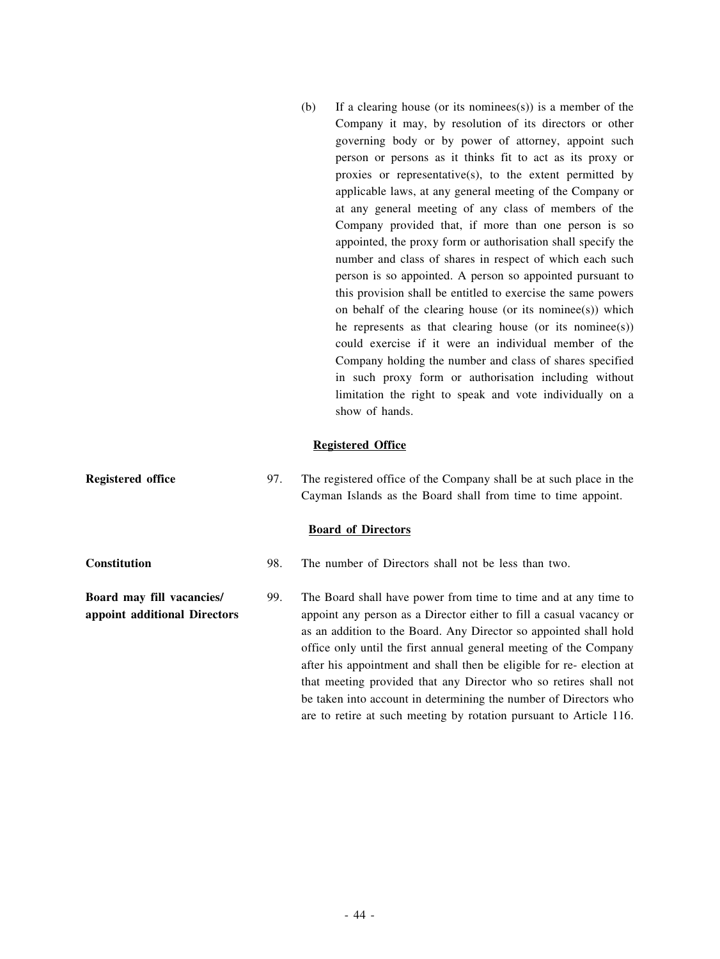(b) If a clearing house (or its nominees(s)) is a member of the Company it may, by resolution of its directors or other governing body or by power of attorney, appoint such person or persons as it thinks fit to act as its proxy or proxies or representative(s), to the extent permitted by applicable laws, at any general meeting of the Company or at any general meeting of any class of members of the Company provided that, if more than one person is so appointed, the proxy form or authorisation shall specify the number and class of shares in respect of which each such person is so appointed. A person so appointed pursuant to this provision shall be entitled to exercise the same powers on behalf of the clearing house (or its nominee(s)) which he represents as that clearing house (or its nominee(s)) could exercise if it were an individual member of the Company holding the number and class of shares specified in such proxy form or authorisation including without limitation the right to speak and vote individually on a show of hands.

## **Registered Office**

**Registered office** 97. The registered office of the Company shall be at such place in the Cayman Islands as the Board shall from time to time appoint.

## **Board of Directors**

**Constitution** 98. The number of Directors shall not be less than two.

**Board may fill vacancies/ appoint additional Directors** 99. The Board shall have power from time to time and at any time to appoint any person as a Director either to fill a casual vacancy or as an addition to the Board. Any Director so appointed shall hold office only until the first annual general meeting of the Company after his appointment and shall then be eligible for re- election at that meeting provided that any Director who so retires shall not be taken into account in determining the number of Directors who are to retire at such meeting by rotation pursuant to Article 116.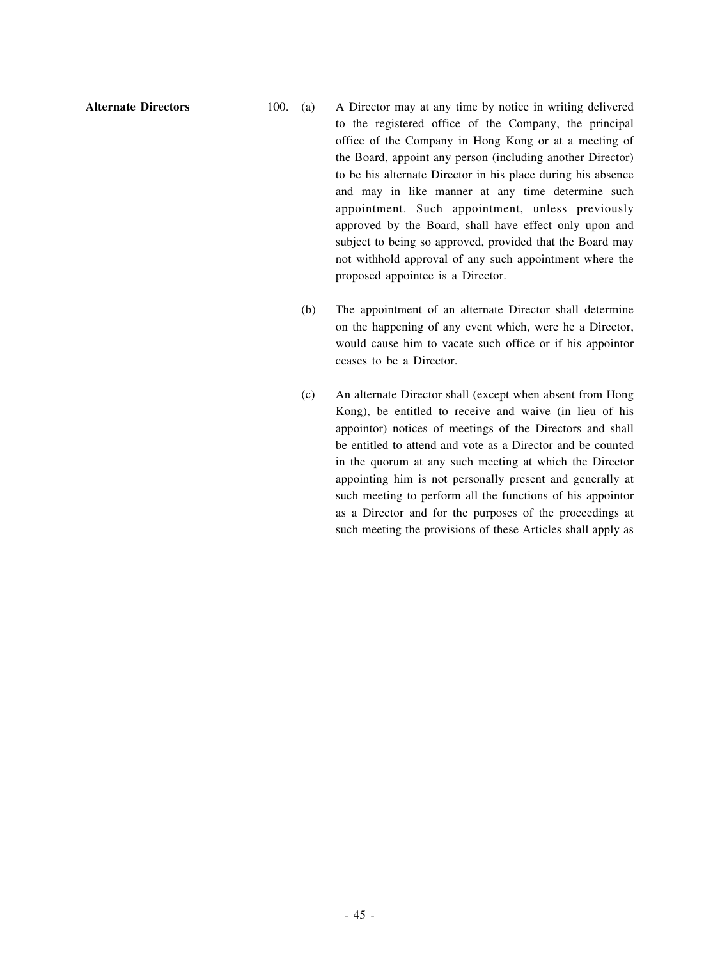- **Alternate Directors** 100. (a) A Director may at any time by notice in writing delivered to the registered office of the Company, the principal office of the Company in Hong Kong or at a meeting of the Board, appoint any person (including another Director) to be his alternate Director in his place during his absence and may in like manner at any time determine such appointment. Such appointment, unless previously approved by the Board, shall have effect only upon and subject to being so approved, provided that the Board may not withhold approval of any such appointment where the proposed appointee is a Director.
	- (b) The appointment of an alternate Director shall determine on the happening of any event which, were he a Director, would cause him to vacate such office or if his appointor ceases to be a Director.
	- (c) An alternate Director shall (except when absent from Hong Kong), be entitled to receive and waive (in lieu of his appointor) notices of meetings of the Directors and shall be entitled to attend and vote as a Director and be counted in the quorum at any such meeting at which the Director appointing him is not personally present and generally at such meeting to perform all the functions of his appointor as a Director and for the purposes of the proceedings at such meeting the provisions of these Articles shall apply as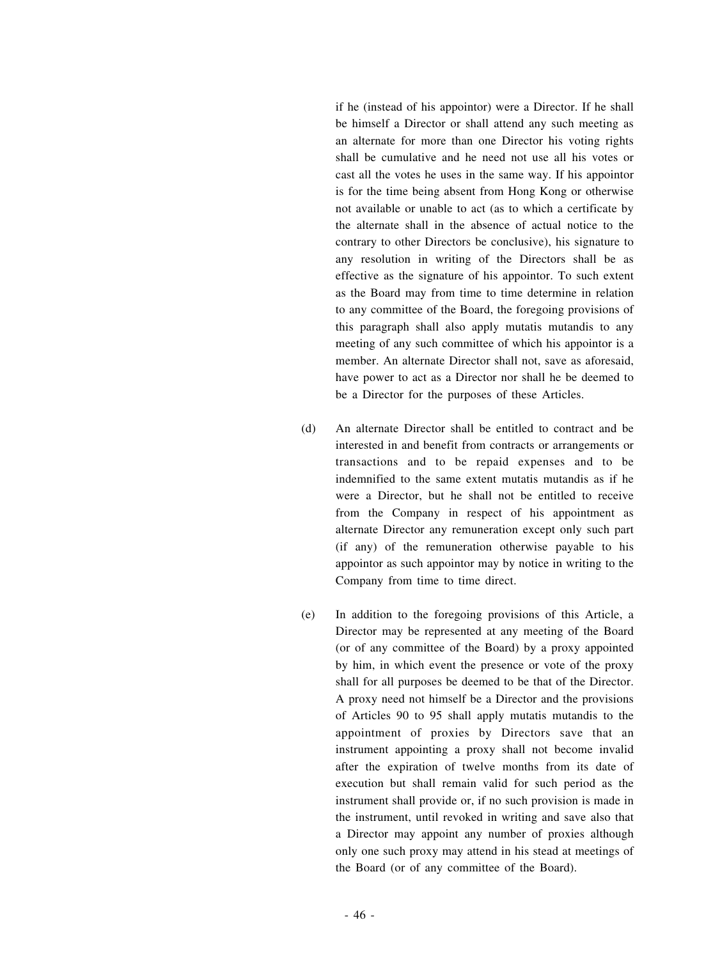if he (instead of his appointor) were a Director. If he shall be himself a Director or shall attend any such meeting as an alternate for more than one Director his voting rights shall be cumulative and he need not use all his votes or cast all the votes he uses in the same way. If his appointor is for the time being absent from Hong Kong or otherwise not available or unable to act (as to which a certificate by the alternate shall in the absence of actual notice to the contrary to other Directors be conclusive), his signature to any resolution in writing of the Directors shall be as effective as the signature of his appointor. To such extent as the Board may from time to time determine in relation to any committee of the Board, the foregoing provisions of this paragraph shall also apply mutatis mutandis to any meeting of any such committee of which his appointor is a member. An alternate Director shall not, save as aforesaid, have power to act as a Director nor shall he be deemed to be a Director for the purposes of these Articles.

- (d) An alternate Director shall be entitled to contract and be interested in and benefit from contracts or arrangements or transactions and to be repaid expenses and to be indemnified to the same extent mutatis mutandis as if he were a Director, but he shall not be entitled to receive from the Company in respect of his appointment as alternate Director any remuneration except only such part (if any) of the remuneration otherwise payable to his appointor as such appointor may by notice in writing to the Company from time to time direct.
- (e) In addition to the foregoing provisions of this Article, a Director may be represented at any meeting of the Board (or of any committee of the Board) by a proxy appointed by him, in which event the presence or vote of the proxy shall for all purposes be deemed to be that of the Director. A proxy need not himself be a Director and the provisions of Articles 90 to 95 shall apply mutatis mutandis to the appointment of proxies by Directors save that an instrument appointing a proxy shall not become invalid after the expiration of twelve months from its date of execution but shall remain valid for such period as the instrument shall provide or, if no such provision is made in the instrument, until revoked in writing and save also that a Director may appoint any number of proxies although only one such proxy may attend in his stead at meetings of the Board (or of any committee of the Board).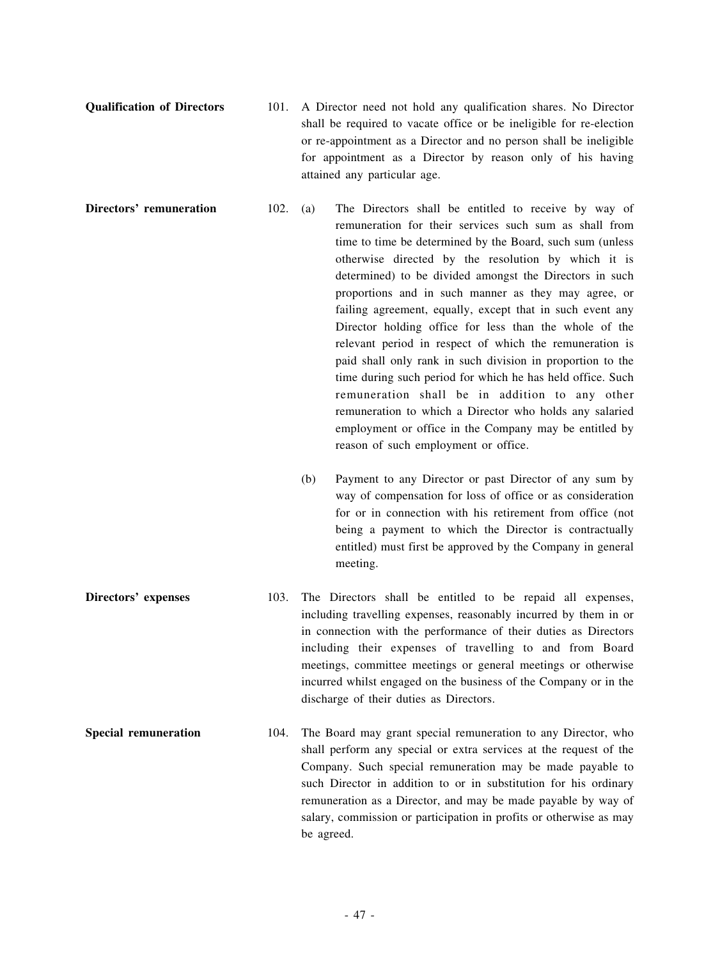- **Qualification of Directors** 101. A Director need not hold any qualification shares. No Director shall be required to vacate office or be ineligible for re-election or re-appointment as a Director and no person shall be ineligible for appointment as a Director by reason only of his having attained any particular age.
- **Directors' remuneration** 102. (a) The Directors shall be entitled to receive by way of remuneration for their services such sum as shall from time to time be determined by the Board, such sum (unless otherwise directed by the resolution by which it is determined) to be divided amongst the Directors in such proportions and in such manner as they may agree, or failing agreement, equally, except that in such event any Director holding office for less than the whole of the relevant period in respect of which the remuneration is paid shall only rank in such division in proportion to the time during such period for which he has held office. Such remuneration shall be in addition to any other remuneration to which a Director who holds any salaried employment or office in the Company may be entitled by reason of such employment or office.
	- (b) Payment to any Director or past Director of any sum by way of compensation for loss of office or as consideration for or in connection with his retirement from office (not being a payment to which the Director is contractually entitled) must first be approved by the Company in general meeting.
- **Directors' expenses** 103. The Directors shall be entitled to be repaid all expenses, including travelling expenses, reasonably incurred by them in or in connection with the performance of their duties as Directors including their expenses of travelling to and from Board meetings, committee meetings or general meetings or otherwise incurred whilst engaged on the business of the Company or in the discharge of their duties as Directors.
- **Special remuneration** 104. The Board may grant special remuneration to any Director, who shall perform any special or extra services at the request of the Company. Such special remuneration may be made payable to such Director in addition to or in substitution for his ordinary remuneration as a Director, and may be made payable by way of salary, commission or participation in profits or otherwise as may be agreed.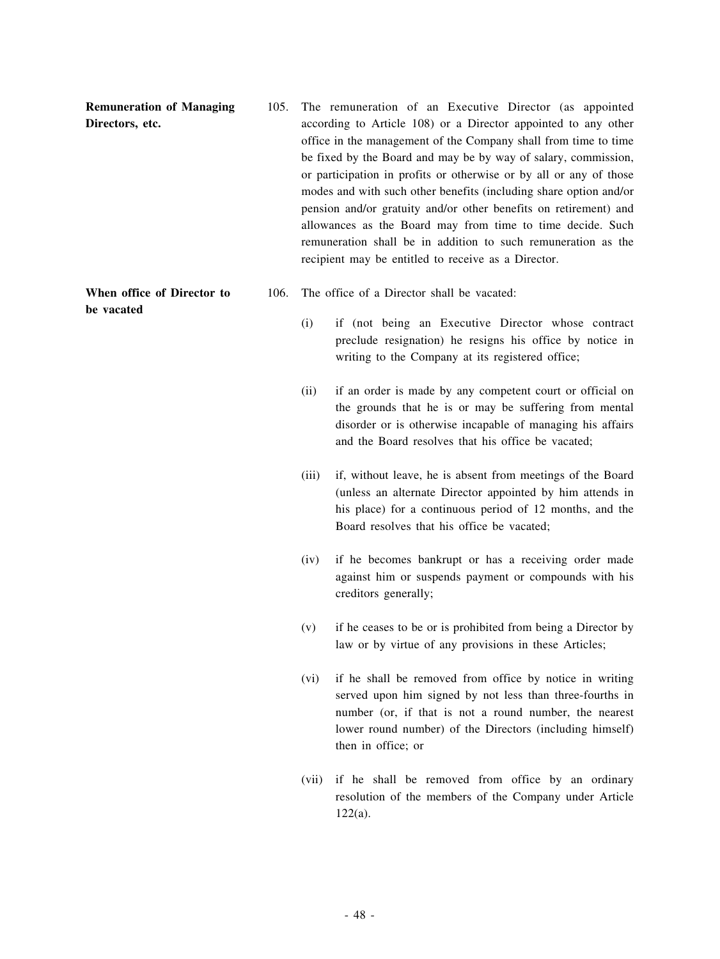| <b>Remuneration of Managing</b><br>Directors, etc. | 105. |       | The remuneration of an Executive Director (as appointed<br>according to Article 108) or a Director appointed to any other<br>office in the management of the Company shall from time to time<br>be fixed by the Board and may be by way of salary, commission,<br>or participation in profits or otherwise or by all or any of those<br>modes and with such other benefits (including share option and/or<br>pension and/or gratuity and/or other benefits on retirement) and<br>allowances as the Board may from time to time decide. Such<br>remuneration shall be in addition to such remuneration as the<br>recipient may be entitled to receive as a Director. |
|----------------------------------------------------|------|-------|---------------------------------------------------------------------------------------------------------------------------------------------------------------------------------------------------------------------------------------------------------------------------------------------------------------------------------------------------------------------------------------------------------------------------------------------------------------------------------------------------------------------------------------------------------------------------------------------------------------------------------------------------------------------|
| When office of Director to<br>be vacated           | 106. |       | The office of a Director shall be vacated:                                                                                                                                                                                                                                                                                                                                                                                                                                                                                                                                                                                                                          |
|                                                    |      | (i)   | if (not being an Executive Director whose contract<br>preclude resignation) he resigns his office by notice in<br>writing to the Company at its registered office;                                                                                                                                                                                                                                                                                                                                                                                                                                                                                                  |
|                                                    |      | (ii)  | if an order is made by any competent court or official on<br>the grounds that he is or may be suffering from mental<br>disorder or is otherwise incapable of managing his affairs<br>and the Board resolves that his office be vacated;                                                                                                                                                                                                                                                                                                                                                                                                                             |
|                                                    |      | (iii) | if, without leave, he is absent from meetings of the Board<br>(unless an alternate Director appointed by him attends in<br>his place) for a continuous period of 12 months, and the<br>Board resolves that his office be vacated;                                                                                                                                                                                                                                                                                                                                                                                                                                   |
|                                                    |      | (iv)  | if he becomes bankrupt or has a receiving order made<br>against him or suspends payment or compounds with his<br>creditors generally;                                                                                                                                                                                                                                                                                                                                                                                                                                                                                                                               |
|                                                    |      | (v)   | if he ceases to be or is prohibited from being a Director by<br>law or by virtue of any provisions in these Articles;                                                                                                                                                                                                                                                                                                                                                                                                                                                                                                                                               |
|                                                    |      | (vi)  | if he shall be removed from office by notice in writing<br>served upon him signed by not less than three-fourths in<br>number (or, if that is not a round number, the nearest<br>lower round number) of the Directors (including himself)<br>then in office; or                                                                                                                                                                                                                                                                                                                                                                                                     |
|                                                    |      | (vii) | if he shall be removed from office by an ordinary<br>resolution of the members of the Company under Article<br>$122(a)$ .                                                                                                                                                                                                                                                                                                                                                                                                                                                                                                                                           |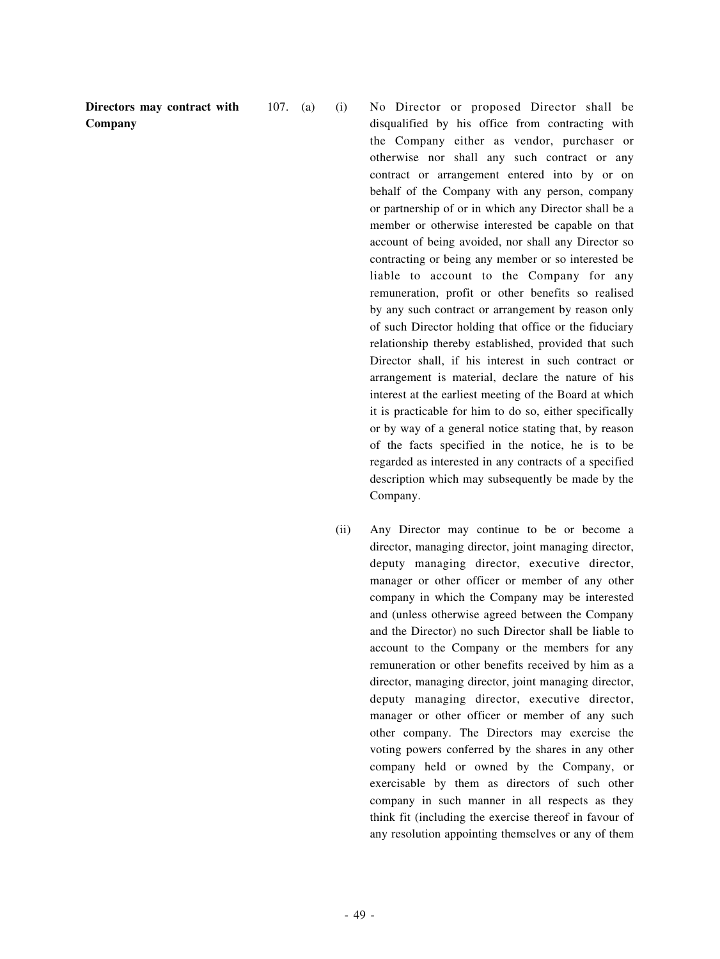**Directors may contract with Company**

107. (a) (i) No Director or proposed Director shall be disqualified by his office from contracting with the Company either as vendor, purchaser or otherwise nor shall any such contract or any contract or arrangement entered into by or on behalf of the Company with any person, company or partnership of or in which any Director shall be a member or otherwise interested be capable on that account of being avoided, nor shall any Director so contracting or being any member or so interested be liable to account to the Company for any remuneration, profit or other benefits so realised by any such contract or arrangement by reason only of such Director holding that office or the fiduciary relationship thereby established, provided that such Director shall, if his interest in such contract or arrangement is material, declare the nature of his interest at the earliest meeting of the Board at which it is practicable for him to do so, either specifically or by way of a general notice stating that, by reason of the facts specified in the notice, he is to be regarded as interested in any contracts of a specified description which may subsequently be made by the Company.

> (ii) Any Director may continue to be or become a director, managing director, joint managing director, deputy managing director, executive director, manager or other officer or member of any other company in which the Company may be interested and (unless otherwise agreed between the Company and the Director) no such Director shall be liable to account to the Company or the members for any remuneration or other benefits received by him as a director, managing director, joint managing director, deputy managing director, executive director, manager or other officer or member of any such other company. The Directors may exercise the voting powers conferred by the shares in any other company held or owned by the Company, or exercisable by them as directors of such other company in such manner in all respects as they think fit (including the exercise thereof in favour of any resolution appointing themselves or any of them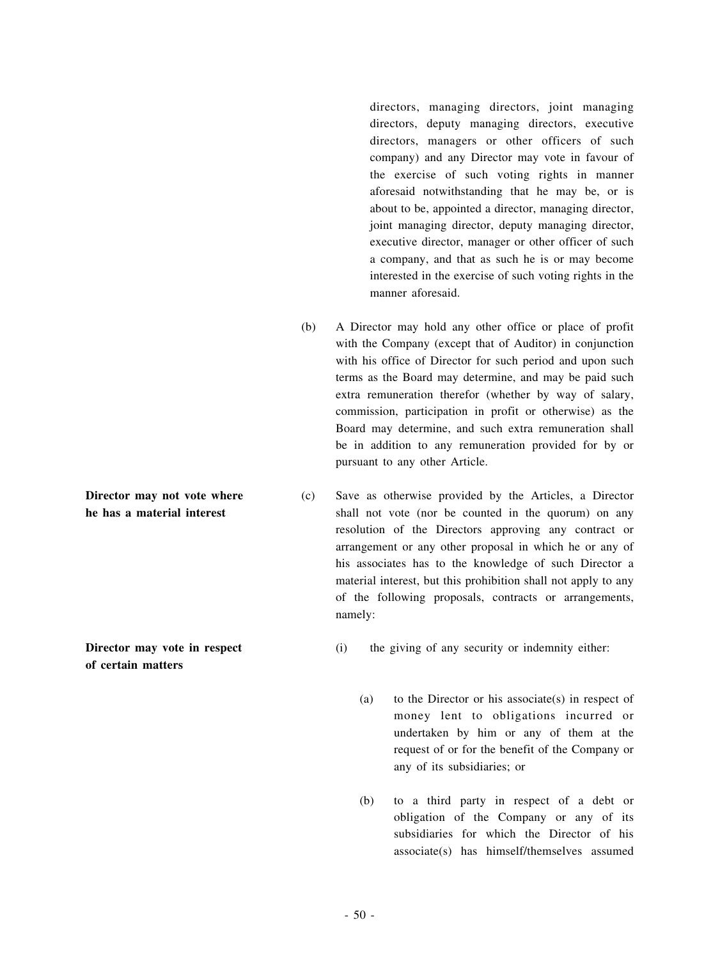directors, managing directors, joint managing directors, deputy managing directors, executive directors, managers or other officers of such company) and any Director may vote in favour of the exercise of such voting rights in manner aforesaid notwithstanding that he may be, or is about to be, appointed a director, managing director, joint managing director, deputy managing director, executive director, manager or other officer of such a company, and that as such he is or may become interested in the exercise of such voting rights in the manner aforesaid.

- (b) A Director may hold any other office or place of profit with the Company (except that of Auditor) in conjunction with his office of Director for such period and upon such terms as the Board may determine, and may be paid such extra remuneration therefor (whether by way of salary, commission, participation in profit or otherwise) as the Board may determine, and such extra remuneration shall be in addition to any remuneration provided for by or pursuant to any other Article.
- (c) Save as otherwise provided by the Articles, a Director shall not vote (nor be counted in the quorum) on any resolution of the Directors approving any contract or arrangement or any other proposal in which he or any of his associates has to the knowledge of such Director a material interest, but this prohibition shall not apply to any of the following proposals, contracts or arrangements, namely:
- **Director may vote in respect of certain matters**

**Director may not vote where he has a material interest**

- (i) the giving of any security or indemnity either:
	- (a) to the Director or his associate(s) in respect of money lent to obligations incurred or undertaken by him or any of them at the request of or for the benefit of the Company or any of its subsidiaries; or
	- (b) to a third party in respect of a debt or obligation of the Company or any of its subsidiaries for which the Director of his associate(s) has himself/themselves assumed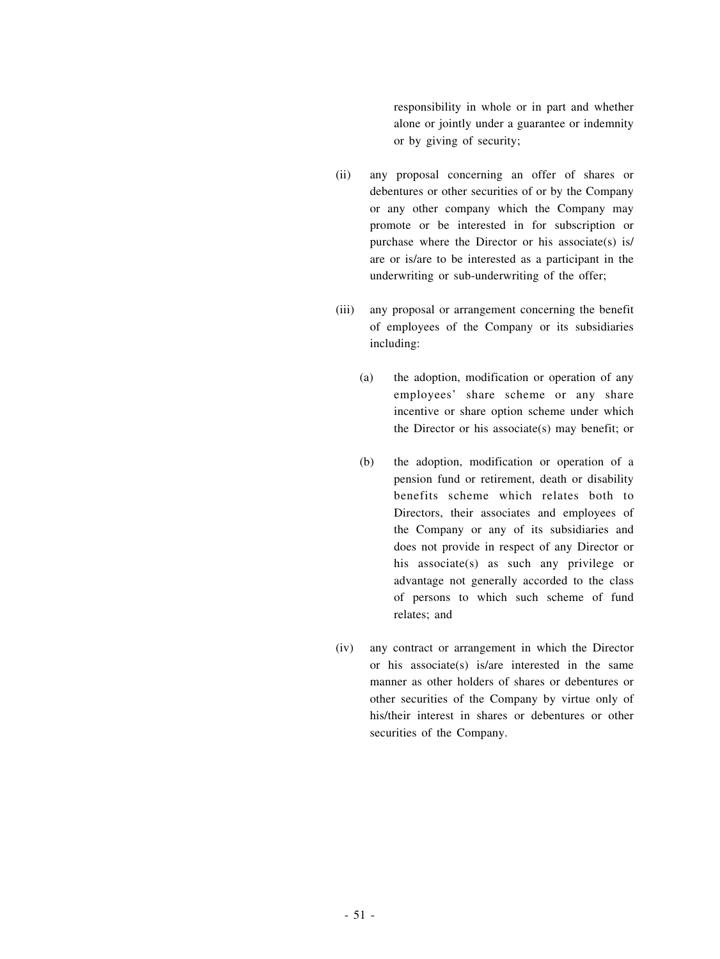responsibility in whole or in part and whether alone or jointly under a guarantee or indemnity or by giving of security;

- (ii) any proposal concerning an offer of shares or debentures or other securities of or by the Company or any other company which the Company may promote or be interested in for subscription or purchase where the Director or his associate(s) is/ are or is/are to be interested as a participant in the underwriting or sub-underwriting of the offer;
- (iii) any proposal or arrangement concerning the benefit of employees of the Company or its subsidiaries including:
	- (a) the adoption, modification or operation of any employees' share scheme or any share incentive or share option scheme under which the Director or his associate(s) may benefit; or
	- (b) the adoption, modification or operation of a pension fund or retirement, death or disability benefits scheme which relates both to Directors, their associates and employees of the Company or any of its subsidiaries and does not provide in respect of any Director or his associate(s) as such any privilege or advantage not generally accorded to the class of persons to which such scheme of fund relates; and
- (iv) any contract or arrangement in which the Director or his associate(s) is/are interested in the same manner as other holders of shares or debentures or other securities of the Company by virtue only of his/their interest in shares or debentures or other securities of the Company.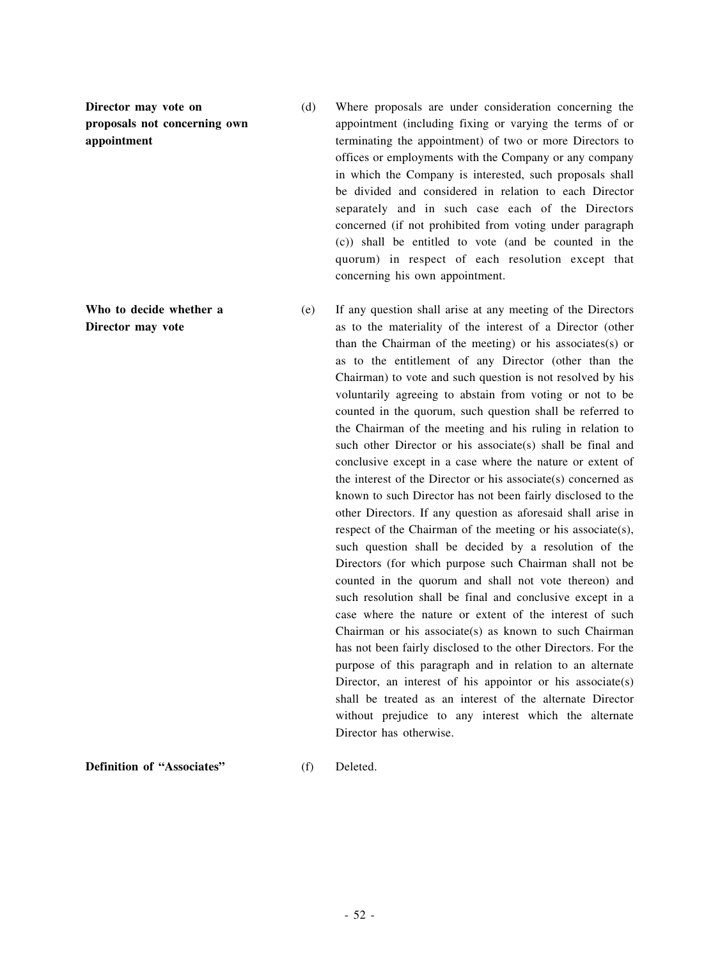**Director may vote on proposals not concerning own appointment**

**Who to decide whether a Director may vote**

- (d) Where proposals are under consideration concerning the appointment (including fixing or varying the terms of or terminating the appointment) of two or more Directors to offices or employments with the Company or any company in which the Company is interested, such proposals shall be divided and considered in relation to each Director separately and in such case each of the Directors concerned (if not prohibited from voting under paragraph (c)) shall be entitled to vote (and be counted in the quorum) in respect of each resolution except that concerning his own appointment.
- (e) If any question shall arise at any meeting of the Directors as to the materiality of the interest of a Director (other than the Chairman of the meeting) or his associates(s) or as to the entitlement of any Director (other than the Chairman) to vote and such question is not resolved by his voluntarily agreeing to abstain from voting or not to be counted in the quorum, such question shall be referred to the Chairman of the meeting and his ruling in relation to such other Director or his associate(s) shall be final and conclusive except in a case where the nature or extent of the interest of the Director or his associate(s) concerned as known to such Director has not been fairly disclosed to the other Directors. If any question as aforesaid shall arise in respect of the Chairman of the meeting or his associate(s), such question shall be decided by a resolution of the Directors (for which purpose such Chairman shall not be counted in the quorum and shall not vote thereon) and such resolution shall be final and conclusive except in a case where the nature or extent of the interest of such Chairman or his associate(s) as known to such Chairman has not been fairly disclosed to the other Directors. For the purpose of this paragraph and in relation to an alternate Director, an interest of his appointor or his associate(s) shall be treated as an interest of the alternate Director without prejudice to any interest which the alternate Director has otherwise.

**Definition of "Associates"** (f) Deleted.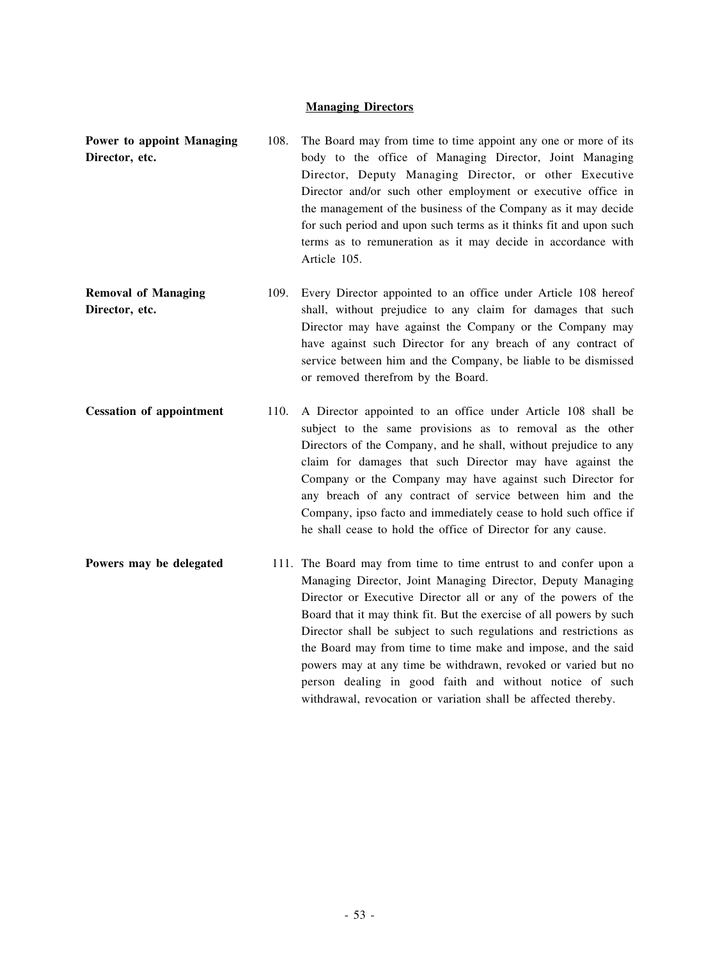# **Managing Directors**

| Power to appoint Managing                    | 108. | The Board may from time to time appoint any one or more of its                                                                                                                                                                                                                                                                                                                                                                                                                                                                              |
|----------------------------------------------|------|---------------------------------------------------------------------------------------------------------------------------------------------------------------------------------------------------------------------------------------------------------------------------------------------------------------------------------------------------------------------------------------------------------------------------------------------------------------------------------------------------------------------------------------------|
| Director, etc.                               |      | body to the office of Managing Director, Joint Managing<br>Director, Deputy Managing Director, or other Executive<br>Director and/or such other employment or executive office in<br>the management of the business of the Company as it may decide<br>for such period and upon such terms as it thinks fit and upon such<br>terms as to remuneration as it may decide in accordance with<br>Article 105.                                                                                                                                   |
| <b>Removal of Managing</b><br>Director, etc. | 109. | Every Director appointed to an office under Article 108 hereof<br>shall, without prejudice to any claim for damages that such<br>Director may have against the Company or the Company may<br>have against such Director for any breach of any contract of<br>service between him and the Company, be liable to be dismissed<br>or removed therefrom by the Board.                                                                                                                                                                           |
| <b>Cessation of appointment</b>              | 110. | A Director appointed to an office under Article 108 shall be<br>subject to the same provisions as to removal as the other<br>Directors of the Company, and he shall, without prejudice to any<br>claim for damages that such Director may have against the<br>Company or the Company may have against such Director for<br>any breach of any contract of service between him and the<br>Company, ipso facto and immediately cease to hold such office if<br>he shall cease to hold the office of Director for any cause.                    |
| Powers may be delegated                      |      | 111. The Board may from time to time entrust to and confer upon a<br>Managing Director, Joint Managing Director, Deputy Managing<br>Director or Executive Director all or any of the powers of the<br>Board that it may think fit. But the exercise of all powers by such<br>Director shall be subject to such regulations and restrictions as<br>the Board may from time to time make and impose, and the said<br>powers may at any time be withdrawn, revoked or varied but no<br>person dealing in good faith and without notice of such |

withdrawal, revocation or variation shall be affected thereby.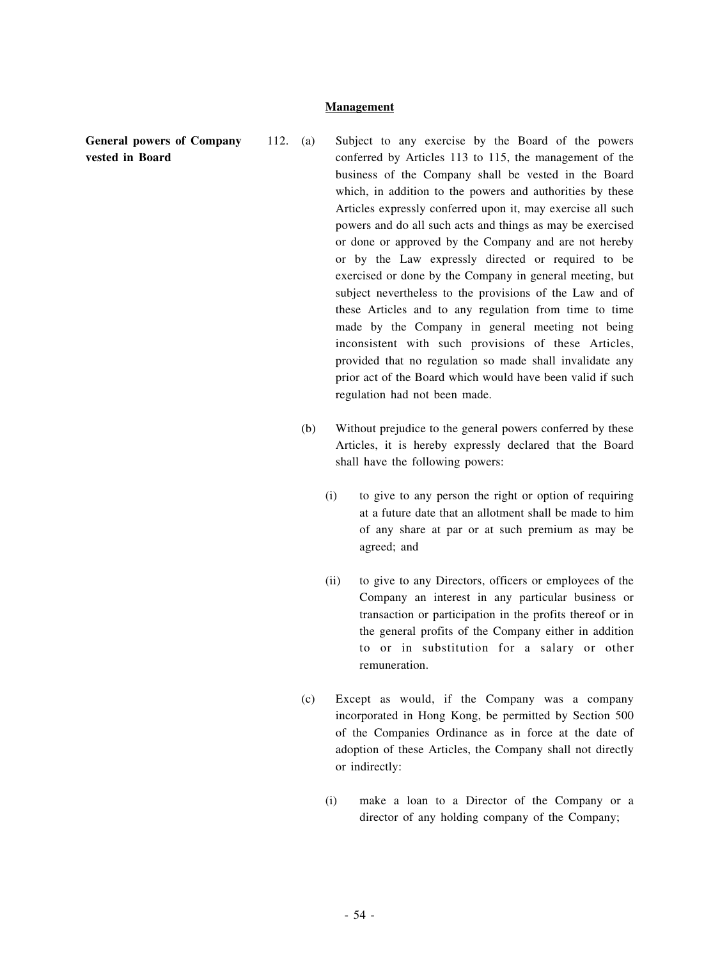## **Management**

**General powers of Company vested in Board**

- 112. (a) Subject to any exercise by the Board of the powers conferred by Articles 113 to 115, the management of the business of the Company shall be vested in the Board which, in addition to the powers and authorities by these Articles expressly conferred upon it, may exercise all such powers and do all such acts and things as may be exercised or done or approved by the Company and are not hereby or by the Law expressly directed or required to be exercised or done by the Company in general meeting, but subject nevertheless to the provisions of the Law and of these Articles and to any regulation from time to time made by the Company in general meeting not being inconsistent with such provisions of these Articles, provided that no regulation so made shall invalidate any prior act of the Board which would have been valid if such regulation had not been made.
	- (b) Without prejudice to the general powers conferred by these Articles, it is hereby expressly declared that the Board shall have the following powers:
		- (i) to give to any person the right or option of requiring at a future date that an allotment shall be made to him of any share at par or at such premium as may be agreed; and
		- (ii) to give to any Directors, officers or employees of the Company an interest in any particular business or transaction or participation in the profits thereof or in the general profits of the Company either in addition to or in substitution for a salary or other remuneration.
	- (c) Except as would, if the Company was a company incorporated in Hong Kong, be permitted by Section 500 of the Companies Ordinance as in force at the date of adoption of these Articles, the Company shall not directly or indirectly:
		- (i) make a loan to a Director of the Company or a director of any holding company of the Company;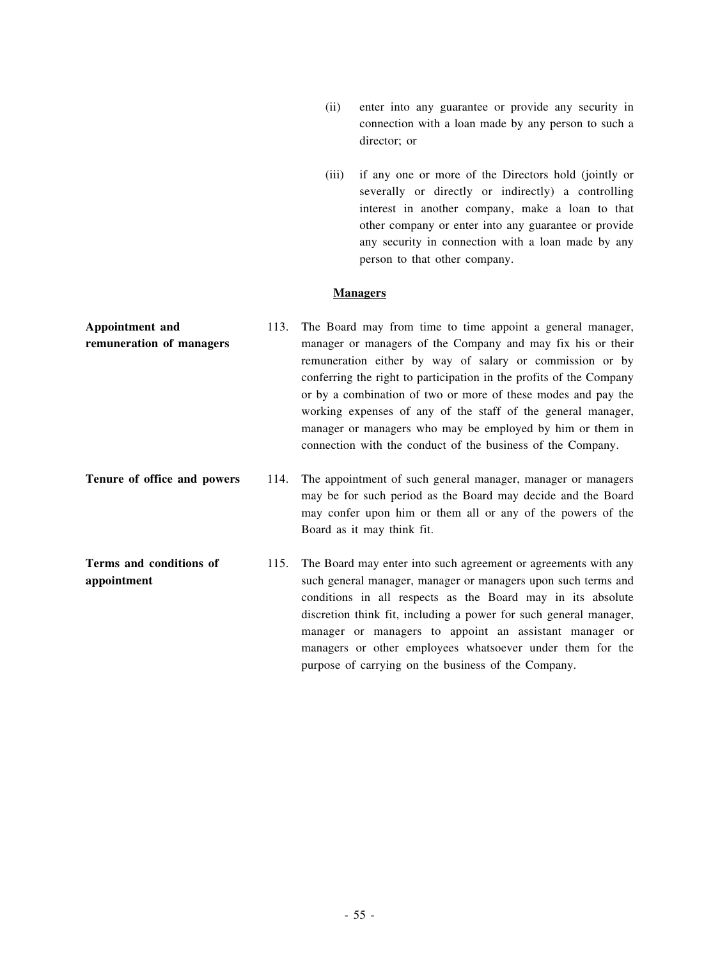- (ii) enter into any guarantee or provide any security in connection with a loan made by any person to such a director; or
- (iii) if any one or more of the Directors hold (jointly or severally or directly or indirectly) a controlling interest in another company, make a loan to that other company or enter into any guarantee or provide any security in connection with a loan made by any person to that other company.

## **Managers**

- **Appointment and remuneration of managers** 113. The Board may from time to time appoint a general manager, manager or managers of the Company and may fix his or their remuneration either by way of salary or commission or by conferring the right to participation in the profits of the Company or by a combination of two or more of these modes and pay the working expenses of any of the staff of the general manager, manager or managers who may be employed by him or them in connection with the conduct of the business of the Company.
- **Tenure of office and powers** 114. The appointment of such general manager, manager or managers may be for such period as the Board may decide and the Board may confer upon him or them all or any of the powers of the Board as it may think fit.
- **Terms and conditions of appointment** 115. The Board may enter into such agreement or agreements with any such general manager, manager or managers upon such terms and conditions in all respects as the Board may in its absolute discretion think fit, including a power for such general manager, manager or managers to appoint an assistant manager or managers or other employees whatsoever under them for the purpose of carrying on the business of the Company.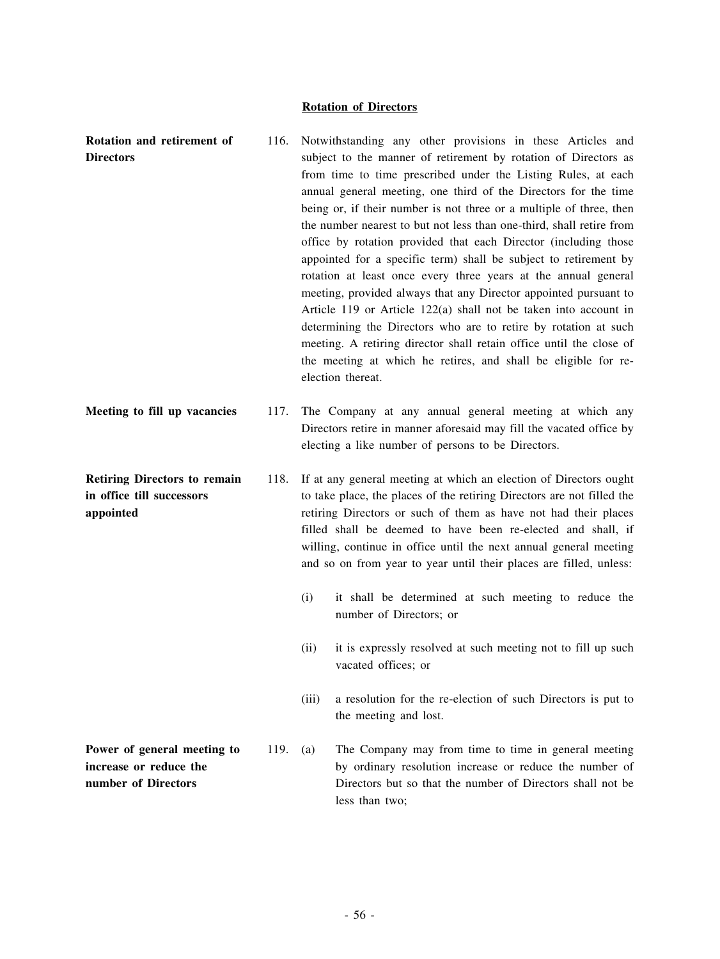## **Rotation of Directors**

| Rotation and retirement of<br><b>Directors</b>                                | 116. |                                                                                                                                                                                                                                                                                                                                                                                                                           | Notwithstanding any other provisions in these Articles and<br>subject to the manner of retirement by rotation of Directors as<br>from time to time prescribed under the Listing Rules, at each<br>annual general meeting, one third of the Directors for the time<br>being or, if their number is not three or a multiple of three, then<br>the number nearest to but not less than one-third, shall retire from<br>office by rotation provided that each Director (including those<br>appointed for a specific term) shall be subject to retirement by<br>rotation at least once every three years at the annual general<br>meeting, provided always that any Director appointed pursuant to<br>Article 119 or Article 122(a) shall not be taken into account in<br>determining the Directors who are to retire by rotation at such<br>meeting. A retiring director shall retain office until the close of<br>the meeting at which he retires, and shall be eligible for re-<br>election thereat. |
|-------------------------------------------------------------------------------|------|---------------------------------------------------------------------------------------------------------------------------------------------------------------------------------------------------------------------------------------------------------------------------------------------------------------------------------------------------------------------------------------------------------------------------|----------------------------------------------------------------------------------------------------------------------------------------------------------------------------------------------------------------------------------------------------------------------------------------------------------------------------------------------------------------------------------------------------------------------------------------------------------------------------------------------------------------------------------------------------------------------------------------------------------------------------------------------------------------------------------------------------------------------------------------------------------------------------------------------------------------------------------------------------------------------------------------------------------------------------------------------------------------------------------------------------|
| Meeting to fill up vacancies                                                  | 117. |                                                                                                                                                                                                                                                                                                                                                                                                                           | The Company at any annual general meeting at which any<br>Directors retire in manner aforesaid may fill the vacated office by<br>electing a like number of persons to be Directors.                                                                                                                                                                                                                                                                                                                                                                                                                                                                                                                                                                                                                                                                                                                                                                                                                |
| <b>Retiring Directors to remain</b><br>in office till successors<br>appointed | 118. | If at any general meeting at which an election of Directors ought<br>to take place, the places of the retiring Directors are not filled the<br>retiring Directors or such of them as have not had their places<br>filled shall be deemed to have been re-elected and shall, if<br>willing, continue in office until the next annual general meeting<br>and so on from year to year until their places are filled, unless: |                                                                                                                                                                                                                                                                                                                                                                                                                                                                                                                                                                                                                                                                                                                                                                                                                                                                                                                                                                                                    |
|                                                                               |      | (i)                                                                                                                                                                                                                                                                                                                                                                                                                       | it shall be determined at such meeting to reduce the<br>number of Directors; or                                                                                                                                                                                                                                                                                                                                                                                                                                                                                                                                                                                                                                                                                                                                                                                                                                                                                                                    |
|                                                                               |      | (ii)                                                                                                                                                                                                                                                                                                                                                                                                                      | it is expressly resolved at such meeting not to fill up such<br>vacated offices; or                                                                                                                                                                                                                                                                                                                                                                                                                                                                                                                                                                                                                                                                                                                                                                                                                                                                                                                |
|                                                                               |      | (iii)                                                                                                                                                                                                                                                                                                                                                                                                                     | a resolution for the re-election of such Directors is put to<br>the meeting and lost.                                                                                                                                                                                                                                                                                                                                                                                                                                                                                                                                                                                                                                                                                                                                                                                                                                                                                                              |
| Power of general meeting to<br>increase or reduce the<br>number of Directors  | 119. | (a)                                                                                                                                                                                                                                                                                                                                                                                                                       | The Company may from time to time in general meeting<br>by ordinary resolution increase or reduce the number of<br>Directors but so that the number of Directors shall not be<br>less than two;                                                                                                                                                                                                                                                                                                                                                                                                                                                                                                                                                                                                                                                                                                                                                                                                    |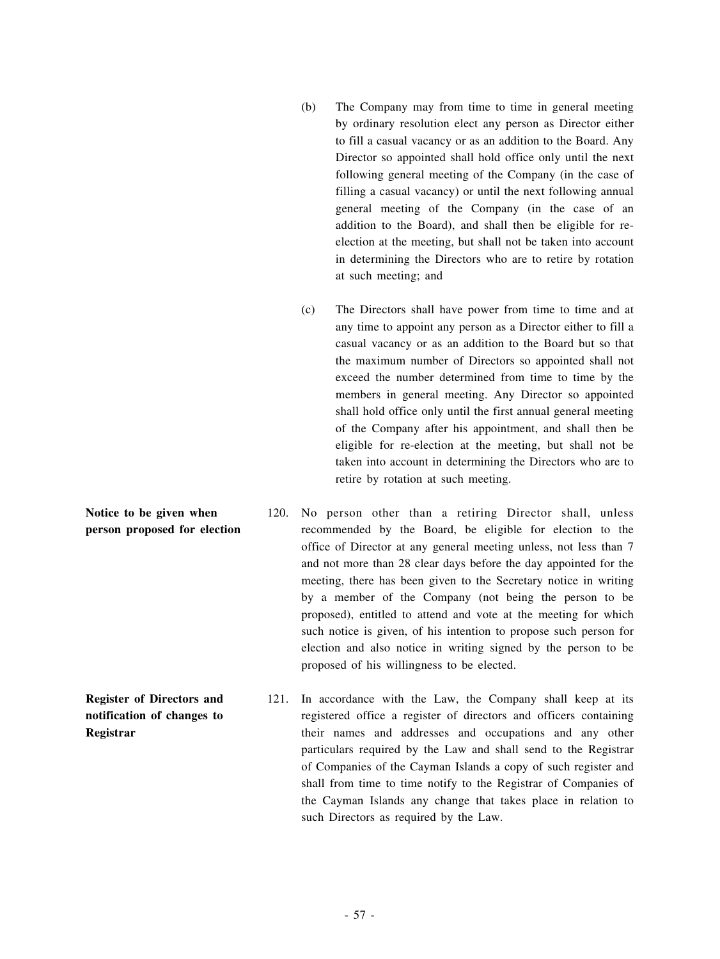- (b) The Company may from time to time in general meeting by ordinary resolution elect any person as Director either to fill a casual vacancy or as an addition to the Board. Any Director so appointed shall hold office only until the next following general meeting of the Company (in the case of filling a casual vacancy) or until the next following annual general meeting of the Company (in the case of an addition to the Board), and shall then be eligible for reelection at the meeting, but shall not be taken into account in determining the Directors who are to retire by rotation at such meeting; and
- (c) The Directors shall have power from time to time and at any time to appoint any person as a Director either to fill a casual vacancy or as an addition to the Board but so that the maximum number of Directors so appointed shall not exceed the number determined from time to time by the members in general meeting. Any Director so appointed shall hold office only until the first annual general meeting of the Company after his appointment, and shall then be eligible for re-election at the meeting, but shall not be taken into account in determining the Directors who are to retire by rotation at such meeting.
- **person proposed for election** 120. No person other than a retiring Director shall, unless recommended by the Board, be eligible for election to the office of Director at any general meeting unless, not less than 7 and not more than 28 clear days before the day appointed for the meeting, there has been given to the Secretary notice in writing by a member of the Company (not being the person to be proposed), entitled to attend and vote at the meeting for which such notice is given, of his intention to propose such person for election and also notice in writing signed by the person to be proposed of his willingness to be elected.
	- 121. In accordance with the Law, the Company shall keep at its registered office a register of directors and officers containing their names and addresses and occupations and any other particulars required by the Law and shall send to the Registrar of Companies of the Cayman Islands a copy of such register and shall from time to time notify to the Registrar of Companies of the Cayman Islands any change that takes place in relation to such Directors as required by the Law.

**Notice to be given when**

**Register of Directors and notification of changes to Registrar**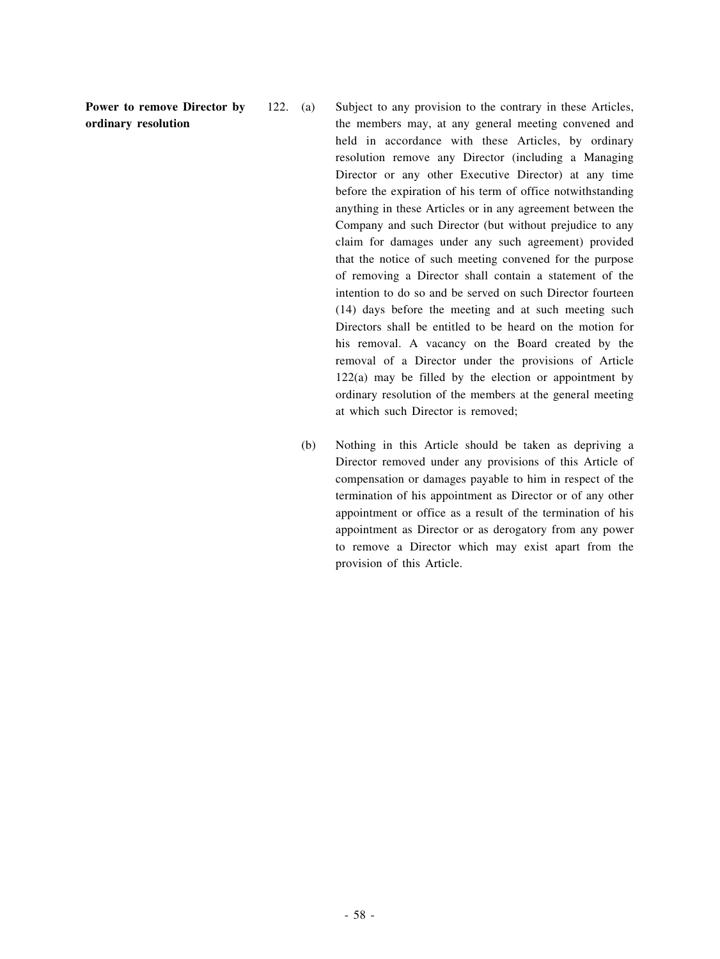**Power to remove Director by ordinary resolution**

122. (a) Subject to any provision to the contrary in these Articles, the members may, at any general meeting convened and held in accordance with these Articles, by ordinary resolution remove any Director (including a Managing Director or any other Executive Director) at any time before the expiration of his term of office notwithstanding anything in these Articles or in any agreement between the Company and such Director (but without prejudice to any claim for damages under any such agreement) provided that the notice of such meeting convened for the purpose of removing a Director shall contain a statement of the intention to do so and be served on such Director fourteen (14) days before the meeting and at such meeting such Directors shall be entitled to be heard on the motion for his removal. A vacancy on the Board created by the removal of a Director under the provisions of Article 122(a) may be filled by the election or appointment by ordinary resolution of the members at the general meeting at which such Director is removed;

(b) Nothing in this Article should be taken as depriving a Director removed under any provisions of this Article of compensation or damages payable to him in respect of the termination of his appointment as Director or of any other appointment or office as a result of the termination of his appointment as Director or as derogatory from any power to remove a Director which may exist apart from the provision of this Article.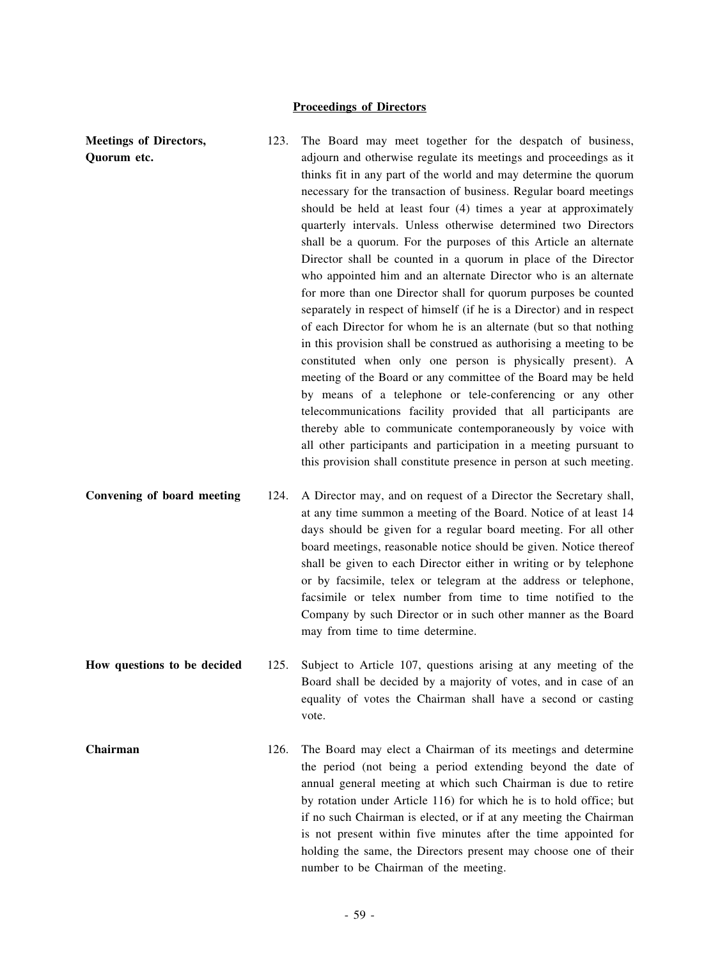## **Proceedings of Directors**

**Meetings of Directors, Quorum etc.**

- 123. The Board may meet together for the despatch of business, adjourn and otherwise regulate its meetings and proceedings as it thinks fit in any part of the world and may determine the quorum necessary for the transaction of business. Regular board meetings should be held at least four (4) times a year at approximately quarterly intervals. Unless otherwise determined two Directors shall be a quorum. For the purposes of this Article an alternate Director shall be counted in a quorum in place of the Director who appointed him and an alternate Director who is an alternate for more than one Director shall for quorum purposes be counted separately in respect of himself (if he is a Director) and in respect of each Director for whom he is an alternate (but so that nothing in this provision shall be construed as authorising a meeting to be constituted when only one person is physically present). A meeting of the Board or any committee of the Board may be held by means of a telephone or tele-conferencing or any other telecommunications facility provided that all participants are thereby able to communicate contemporaneously by voice with all other participants and participation in a meeting pursuant to this provision shall constitute presence in person at such meeting.
- **Convening of board meeting** 124. A Director may, and on request of a Director the Secretary shall, at any time summon a meeting of the Board. Notice of at least 14 days should be given for a regular board meeting. For all other board meetings, reasonable notice should be given. Notice thereof shall be given to each Director either in writing or by telephone or by facsimile, telex or telegram at the address or telephone, facsimile or telex number from time to time notified to the Company by such Director or in such other manner as the Board may from time to time determine.
- **How questions to be decided** 125. Subject to Article 107, questions arising at any meeting of the Board shall be decided by a majority of votes, and in case of an equality of votes the Chairman shall have a second or casting vote.
- **Chairman** 126. The Board may elect a Chairman of its meetings and determine the period (not being a period extending beyond the date of annual general meeting at which such Chairman is due to retire by rotation under Article 116) for which he is to hold office; but if no such Chairman is elected, or if at any meeting the Chairman is not present within five minutes after the time appointed for holding the same, the Directors present may choose one of their number to be Chairman of the meeting.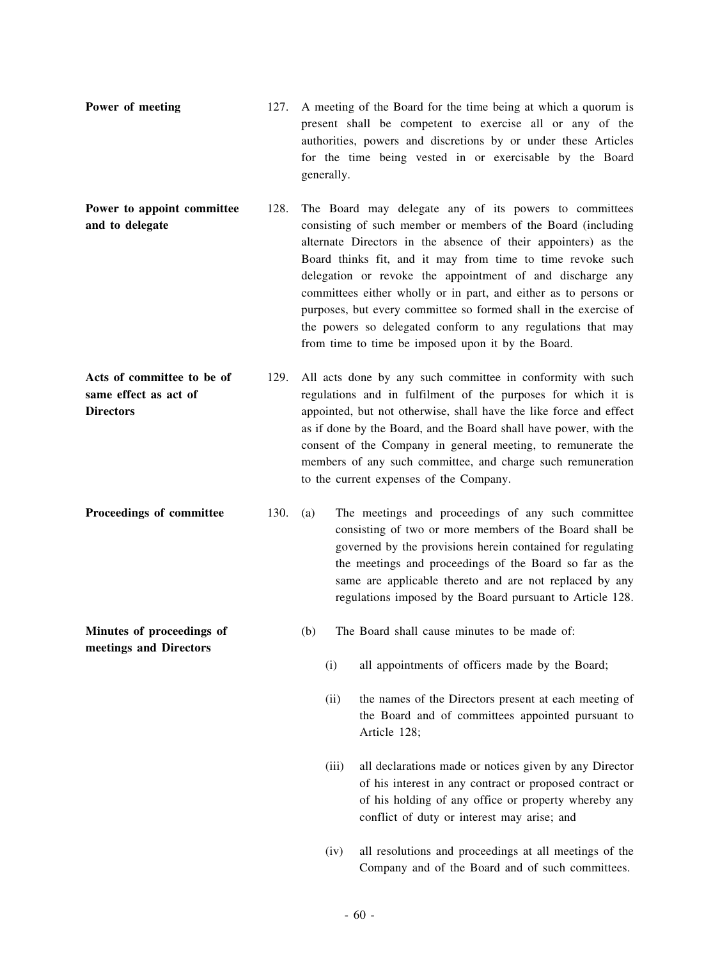- **Power** of meeting 127. A meeting of the Board for the time being at which a quorum is present shall be competent to exercise all or any of the authorities, powers and discretions by or under these Articles for the time being vested in or exercisable by the Board generally.
- **Power to appoint committee and to delegate** 128. The Board may delegate any of its powers to committees consisting of such member or members of the Board (including alternate Directors in the absence of their appointers) as the Board thinks fit, and it may from time to time revoke such delegation or revoke the appointment of and discharge any committees either wholly or in part, and either as to persons or purposes, but every committee so formed shall in the exercise of the powers so delegated conform to any regulations that may from time to time be imposed upon it by the Board.
- **Acts of committee to be of same effect as act of Directors** 129. All acts done by any such committee in conformity with such regulations and in fulfilment of the purposes for which it is appointed, but not otherwise, shall have the like force and effect as if done by the Board, and the Board shall have power, with the consent of the Company in general meeting, to remunerate the members of any such committee, and charge such remuneration to the current expenses of the Company.
- **Proceedings of committee** 130. (a) The meetings and proceedings of any such committee consisting of two or more members of the Board shall be governed by the provisions herein contained for regulating the meetings and proceedings of the Board so far as the same are applicable thereto and are not replaced by any regulations imposed by the Board pursuant to Article 128.

**Minutes of proceedings of meetings and Directors**

- (b) The Board shall cause minutes to be made of:
	- (i) all appointments of officers made by the Board;
	- (ii) the names of the Directors present at each meeting of the Board and of committees appointed pursuant to Article 128;
	- (iii) all declarations made or notices given by any Director of his interest in any contract or proposed contract or of his holding of any office or property whereby any conflict of duty or interest may arise; and
	- (iv) all resolutions and proceedings at all meetings of the Company and of the Board and of such committees.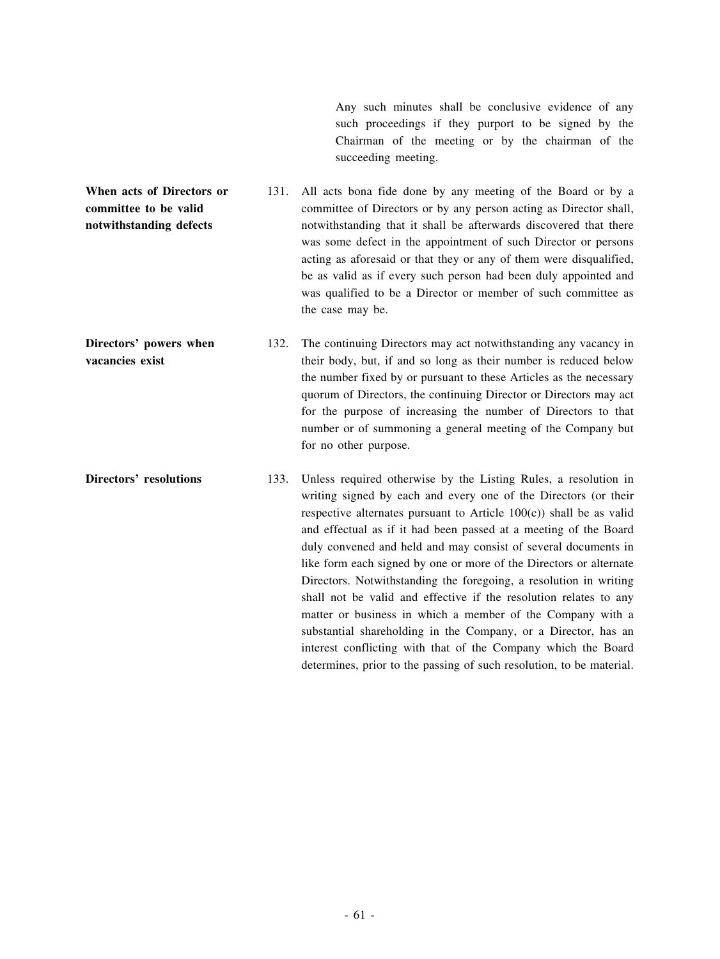Any such minutes shall be conclusive evidence of any such proceedings if they purport to be signed by the Chairman of the meeting or by the chairman of the succeeding meeting.

**When acts of Directors or committee to be valid notwithstanding defects** 131. All acts bona fide done by any meeting of the Board or by a committee of Directors or by any person acting as Director shall, notwithstanding that it shall be afterwards discovered that there was some defect in the appointment of such Director or persons acting as aforesaid or that they or any of them were disqualified, be as valid as if every such person had been duly appointed and was qualified to be a Director or member of such committee as the case may be.

**Directors' powers when vacancies exist** 132. The continuing Directors may act notwithstanding any vacancy in their body, but, if and so long as their number is reduced below the number fixed by or pursuant to these Articles as the necessary quorum of Directors, the continuing Director or Directors may act for the purpose of increasing the number of Directors to that number or of summoning a general meeting of the Company but for no other purpose.

**Directors' resolutions** 133. Unless required otherwise by the Listing Rules, a resolution in writing signed by each and every one of the Directors (or their respective alternates pursuant to Article  $100(c)$ ) shall be as valid and effectual as if it had been passed at a meeting of the Board duly convened and held and may consist of several documents in like form each signed by one or more of the Directors or alternate Directors. Notwithstanding the foregoing, a resolution in writing shall not be valid and effective if the resolution relates to any matter or business in which a member of the Company with a substantial shareholding in the Company, or a Director, has an interest conflicting with that of the Company which the Board determines, prior to the passing of such resolution, to be material.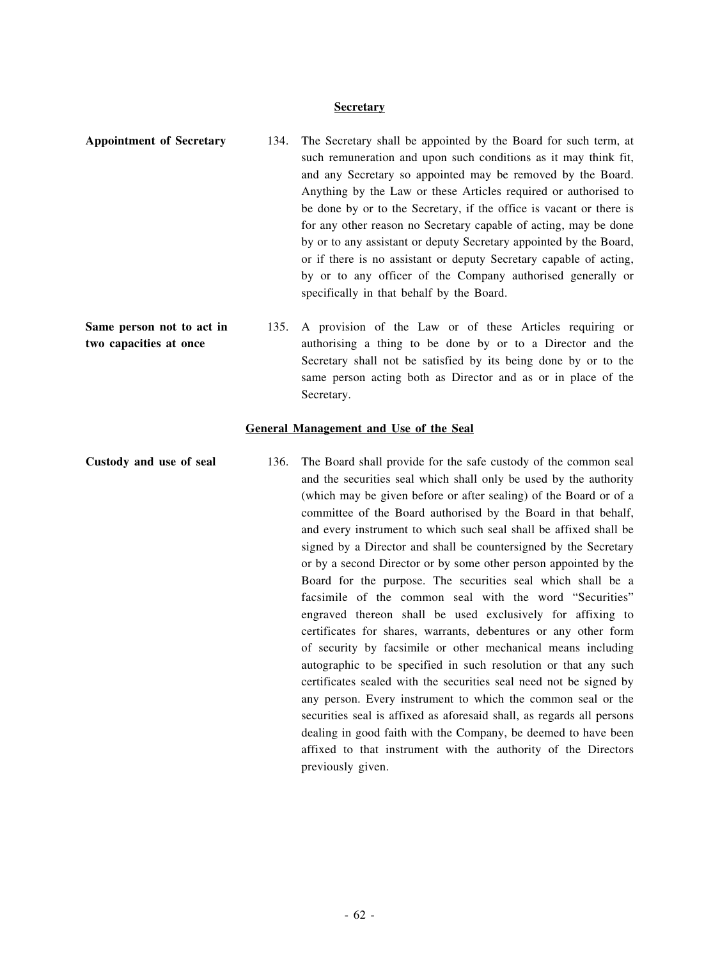## **Secretary**

| <b>Appointment of Secretary</b>                     | 134. | The Secretary shall be appointed by the Board for such term, at<br>such remuneration and upon such conditions as it may think fit,<br>and any Secretary so appointed may be removed by the Board.<br>Anything by the Law or these Articles required or authorised to<br>be done by or to the Secretary, if the office is vacant or there is<br>for any other reason no Secretary capable of acting, may be done<br>by or to any assistant or deputy Secretary appointed by the Board,<br>or if there is no assistant or deputy Secretary capable of acting,<br>by or to any officer of the Company authorised generally or<br>specifically in that behalf by the Board. |
|-----------------------------------------------------|------|-------------------------------------------------------------------------------------------------------------------------------------------------------------------------------------------------------------------------------------------------------------------------------------------------------------------------------------------------------------------------------------------------------------------------------------------------------------------------------------------------------------------------------------------------------------------------------------------------------------------------------------------------------------------------|
| Same person not to act in<br>two capacities at once | 135. | A provision of the Law or of these Articles requiring or<br>authorising a thing to be done by or to a Director and the<br>Secretary shall not be satisfied by its being done by or to the<br>same person acting both as Director and as or in place of the<br>Secretary.                                                                                                                                                                                                                                                                                                                                                                                                |
|                                                     |      | <b>General Management and Use of the Seal</b>                                                                                                                                                                                                                                                                                                                                                                                                                                                                                                                                                                                                                           |
| Custody and use of seal                             | 136. | The Board shall provide for the safe custody of the common seal<br>and the securities seal which shall only be used by the authority<br>(which may be given before or after sealing) of the Board or of a<br>committee of the Board authorised by the Board in that behalf,<br>and every instrument to which such seal shall be affixed shall be                                                                                                                                                                                                                                                                                                                        |

signed by a Director and shall be countersigned by the Secretary or by a second Director or by some other person appointed by the Board for the purpose. The securities seal which shall be a facsimile of the common seal with the word "Securities" engraved thereon shall be used exclusively for affixing to certificates for shares, warrants, debentures or any other form of security by facsimile or other mechanical means including autographic to be specified in such resolution or that any such certificates sealed with the securities seal need not be signed by any person. Every instrument to which the common seal or the securities seal is affixed as aforesaid shall, as regards all persons dealing in good faith with the Company, be deemed to have been affixed to that instrument with the authority of the Directors

previously given.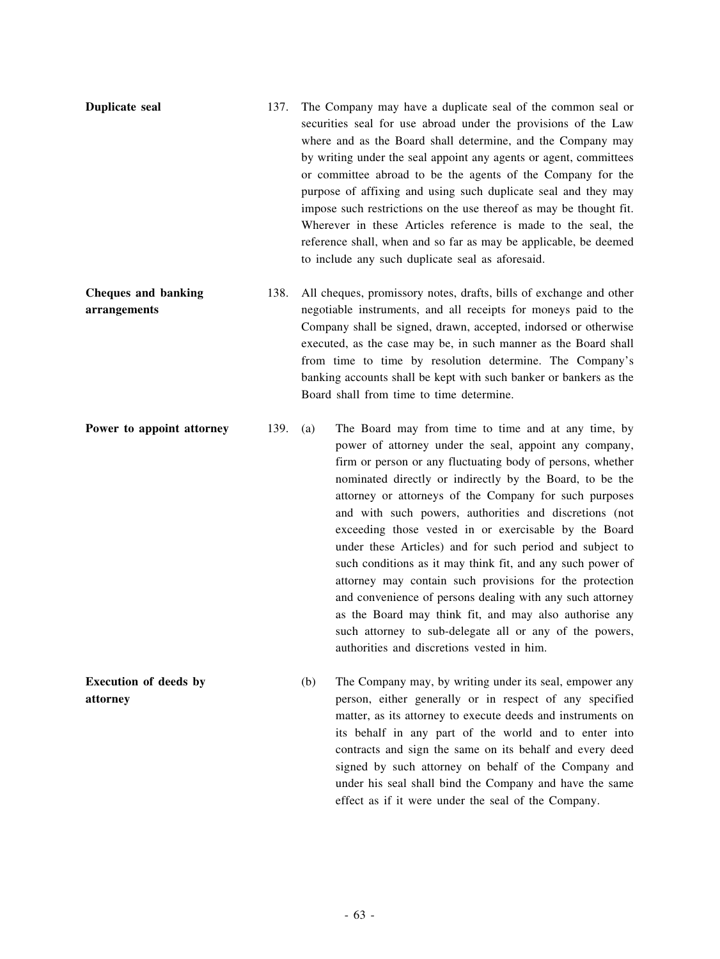| Duplicate seal                             | 137. | The Company may have a duplicate seal of the common seal or<br>securities seal for use abroad under the provisions of the Law<br>where and as the Board shall determine, and the Company may<br>by writing under the seal appoint any agents or agent, committees<br>or committee abroad to be the agents of the Company for the<br>purpose of affixing and using such duplicate seal and they may<br>impose such restrictions on the use thereof as may be thought fit.<br>Wherever in these Articles reference is made to the seal, the<br>reference shall, when and so far as may be applicable, be deemed<br>to include any such duplicate seal as aforesaid. |
|--------------------------------------------|------|-------------------------------------------------------------------------------------------------------------------------------------------------------------------------------------------------------------------------------------------------------------------------------------------------------------------------------------------------------------------------------------------------------------------------------------------------------------------------------------------------------------------------------------------------------------------------------------------------------------------------------------------------------------------|
| <b>Cheques and banking</b><br>arrangements | 138. | All cheques, promissory notes, drafts, bills of exchange and other<br>negotiable instruments, and all receipts for moneys paid to the<br>Company shall be signed, drawn, accepted, indorsed or otherwise<br>executed, as the case may be, in such manner as the Board shall<br>from time to time by resolution determine. The Company's<br>banking accounts shall be kept with such banker or bankers as the<br>Board shall from time to time determine.                                                                                                                                                                                                          |
| Power to appoint attorney                  | 139. | The Board may from time to time and at any time, by<br>(a)<br>power of attorney under the seal, appoint any company,<br>firm or person or any fluctuating body of persons, whether<br>nominated directly or indirectly by the Board, to be the<br>attorney or attorneys of the Company for such purposes<br>and with such powers, authorities and discretions (not<br>exceeding those vested in or exercisable by the Board<br>under these Articles) and for such period and subject to<br>such conditions as it may think fit, and any such power of<br>attorney may contain such provisions for the protection                                                  |

and convenience of persons dealing with any such attorney as the Board may think fit, and may also authorise any such attorney to sub-delegate all or any of the powers, authorities and discretions vested in him.

(b) The Company may, by writing under its seal, empower any person, either generally or in respect of any specified matter, as its attorney to execute deeds and instruments on its behalf in any part of the world and to enter into contracts and sign the same on its behalf and every deed signed by such attorney on behalf of the Company and under his seal shall bind the Company and have the same effect as if it were under the seal of the Company.

**Execution of deeds by**

**attorney**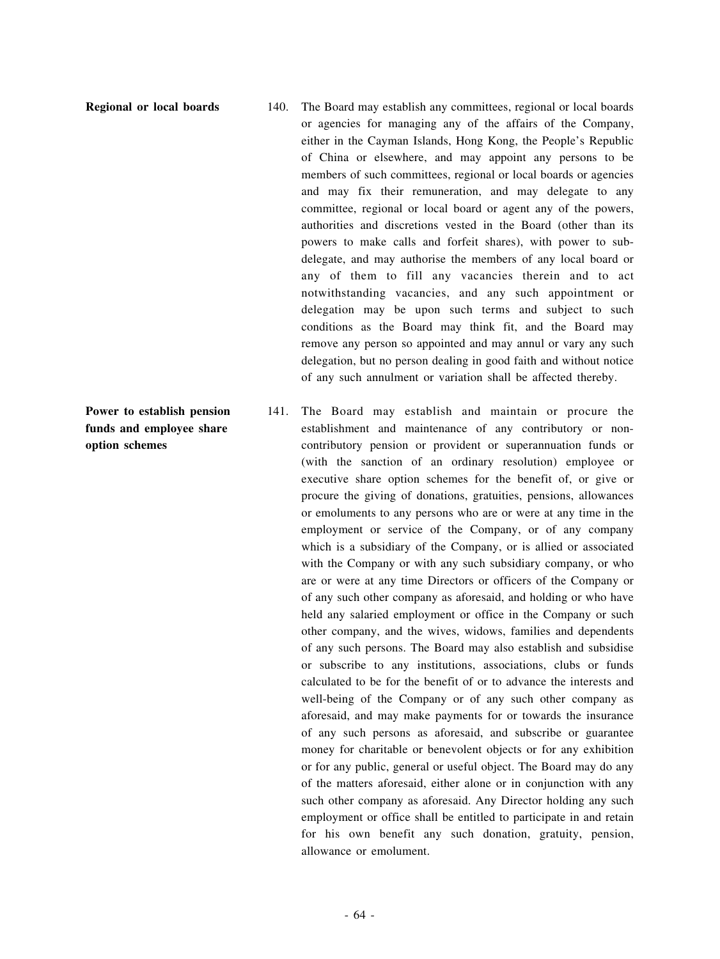**Power to establish pension funds and employee share**

**option schemes**

**Regional or local boards** 140. The Board may establish any committees, regional or local boards or agencies for managing any of the affairs of the Company, either in the Cayman Islands, Hong Kong, the People's Republic of China or elsewhere, and may appoint any persons to be members of such committees, regional or local boards or agencies and may fix their remuneration, and may delegate to any committee, regional or local board or agent any of the powers, authorities and discretions vested in the Board (other than its powers to make calls and forfeit shares), with power to subdelegate, and may authorise the members of any local board or any of them to fill any vacancies therein and to act notwithstanding vacancies, and any such appointment or delegation may be upon such terms and subject to such conditions as the Board may think fit, and the Board may remove any person so appointed and may annul or vary any such delegation, but no person dealing in good faith and without notice of any such annulment or variation shall be affected thereby.

- 141. The Board may establish and maintain or procure the establishment and maintenance of any contributory or noncontributory pension or provident or superannuation funds or (with the sanction of an ordinary resolution) employee or executive share option schemes for the benefit of, or give or procure the giving of donations, gratuities, pensions, allowances or emoluments to any persons who are or were at any time in the employment or service of the Company, or of any company which is a subsidiary of the Company, or is allied or associated with the Company or with any such subsidiary company, or who are or were at any time Directors or officers of the Company or of any such other company as aforesaid, and holding or who have held any salaried employment or office in the Company or such other company, and the wives, widows, families and dependents of any such persons. The Board may also establish and subsidise or subscribe to any institutions, associations, clubs or funds calculated to be for the benefit of or to advance the interests and well-being of the Company or of any such other company as aforesaid, and may make payments for or towards the insurance of any such persons as aforesaid, and subscribe or guarantee money for charitable or benevolent objects or for any exhibition or for any public, general or useful object. The Board may do any of the matters aforesaid, either alone or in conjunction with any such other company as aforesaid. Any Director holding any such employment or office shall be entitled to participate in and retain for his own benefit any such donation, gratuity, pension, allowance or emolument.
-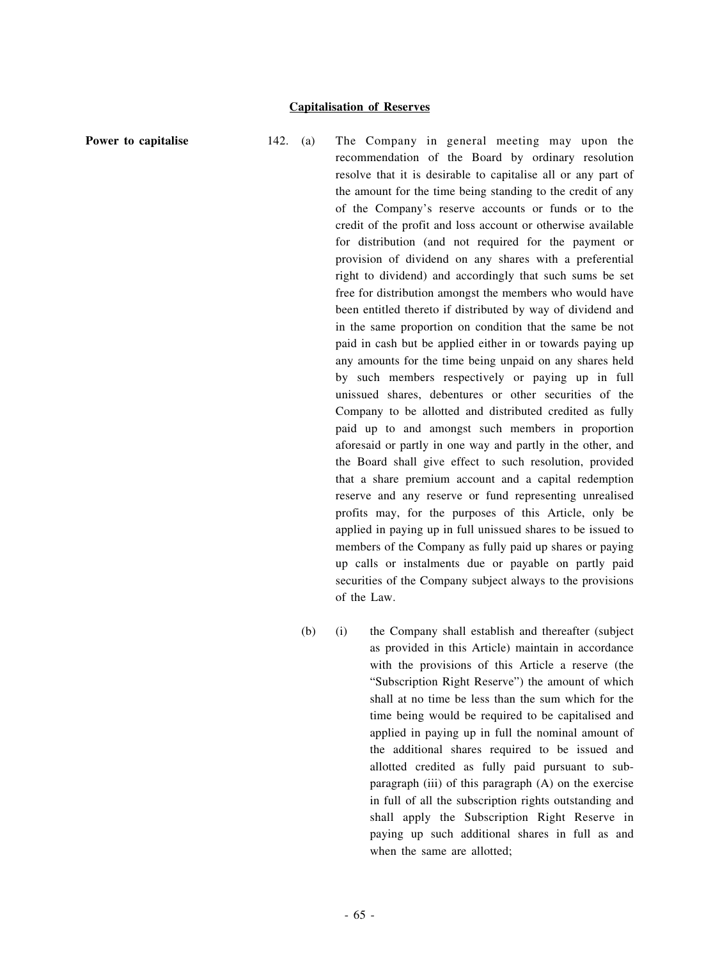**Power to capitalise** 142. (a) The Company in general meeting may upon the recommendation of the Board by ordinary resolution resolve that it is desirable to capitalise all or any part of the amount for the time being standing to the credit of any of the Company's reserve accounts or funds or to the credit of the profit and loss account or otherwise available for distribution (and not required for the payment or provision of dividend on any shares with a preferential right to dividend) and accordingly that such sums be set free for distribution amongst the members who would have been entitled thereto if distributed by way of dividend and in the same proportion on condition that the same be not paid in cash but be applied either in or towards paying up any amounts for the time being unpaid on any shares held by such members respectively or paying up in full unissued shares, debentures or other securities of the Company to be allotted and distributed credited as fully paid up to and amongst such members in proportion aforesaid or partly in one way and partly in the other, and the Board shall give effect to such resolution, provided that a share premium account and a capital redemption reserve and any reserve or fund representing unrealised profits may, for the purposes of this Article, only be applied in paying up in full unissued shares to be issued to members of the Company as fully paid up shares or paying up calls or instalments due or payable on partly paid securities of the Company subject always to the provisions of the Law.

> (b) (i) the Company shall establish and thereafter (subject as provided in this Article) maintain in accordance with the provisions of this Article a reserve (the "Subscription Right Reserve") the amount of which shall at no time be less than the sum which for the time being would be required to be capitalised and applied in paying up in full the nominal amount of the additional shares required to be issued and allotted credited as fully paid pursuant to subparagraph (iii) of this paragraph  $(A)$  on the exercise in full of all the subscription rights outstanding and shall apply the Subscription Right Reserve in paying up such additional shares in full as and when the same are allotted;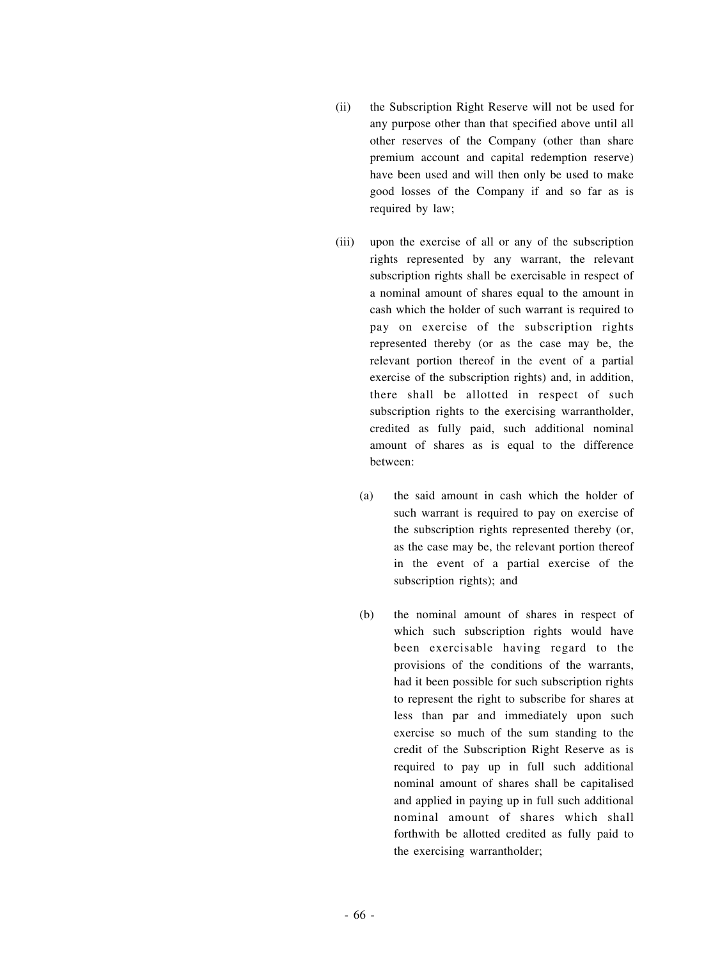- (ii) the Subscription Right Reserve will not be used for any purpose other than that specified above until all other reserves of the Company (other than share premium account and capital redemption reserve) have been used and will then only be used to make good losses of the Company if and so far as is required by law;
- (iii) upon the exercise of all or any of the subscription rights represented by any warrant, the relevant subscription rights shall be exercisable in respect of a nominal amount of shares equal to the amount in cash which the holder of such warrant is required to pay on exercise of the subscription rights represented thereby (or as the case may be, the relevant portion thereof in the event of a partial exercise of the subscription rights) and, in addition, there shall be allotted in respect of such subscription rights to the exercising warrantholder, credited as fully paid, such additional nominal amount of shares as is equal to the difference between:
	- (a) the said amount in cash which the holder of such warrant is required to pay on exercise of the subscription rights represented thereby (or, as the case may be, the relevant portion thereof in the event of a partial exercise of the subscription rights); and
	- (b) the nominal amount of shares in respect of which such subscription rights would have been exercisable having regard to the provisions of the conditions of the warrants, had it been possible for such subscription rights to represent the right to subscribe for shares at less than par and immediately upon such exercise so much of the sum standing to the credit of the Subscription Right Reserve as is required to pay up in full such additional nominal amount of shares shall be capitalised and applied in paying up in full such additional nominal amount of shares which shall forthwith be allotted credited as fully paid to the exercising warrantholder;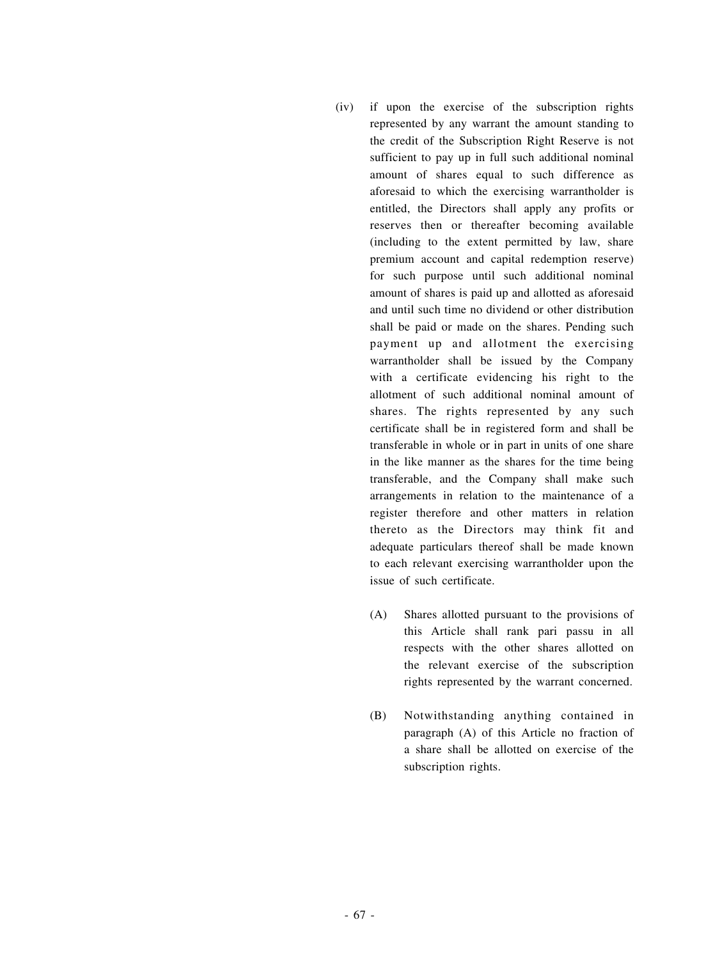- (iv) if upon the exercise of the subscription rights represented by any warrant the amount standing to the credit of the Subscription Right Reserve is not sufficient to pay up in full such additional nominal amount of shares equal to such difference as aforesaid to which the exercising warrantholder is entitled, the Directors shall apply any profits or reserves then or thereafter becoming available (including to the extent permitted by law, share premium account and capital redemption reserve) for such purpose until such additional nominal amount of shares is paid up and allotted as aforesaid and until such time no dividend or other distribution shall be paid or made on the shares. Pending such payment up and allotment the exercising warrantholder shall be issued by the Company with a certificate evidencing his right to the allotment of such additional nominal amount of shares. The rights represented by any such certificate shall be in registered form and shall be transferable in whole or in part in units of one share in the like manner as the shares for the time being transferable, and the Company shall make such arrangements in relation to the maintenance of a register therefore and other matters in relation thereto as the Directors may think fit and adequate particulars thereof shall be made known to each relevant exercising warrantholder upon the issue of such certificate.
	- (A) Shares allotted pursuant to the provisions of this Article shall rank pari passu in all respects with the other shares allotted on the relevant exercise of the subscription rights represented by the warrant concerned.
	- (B) Notwithstanding anything contained in paragraph (A) of this Article no fraction of a share shall be allotted on exercise of the subscription rights.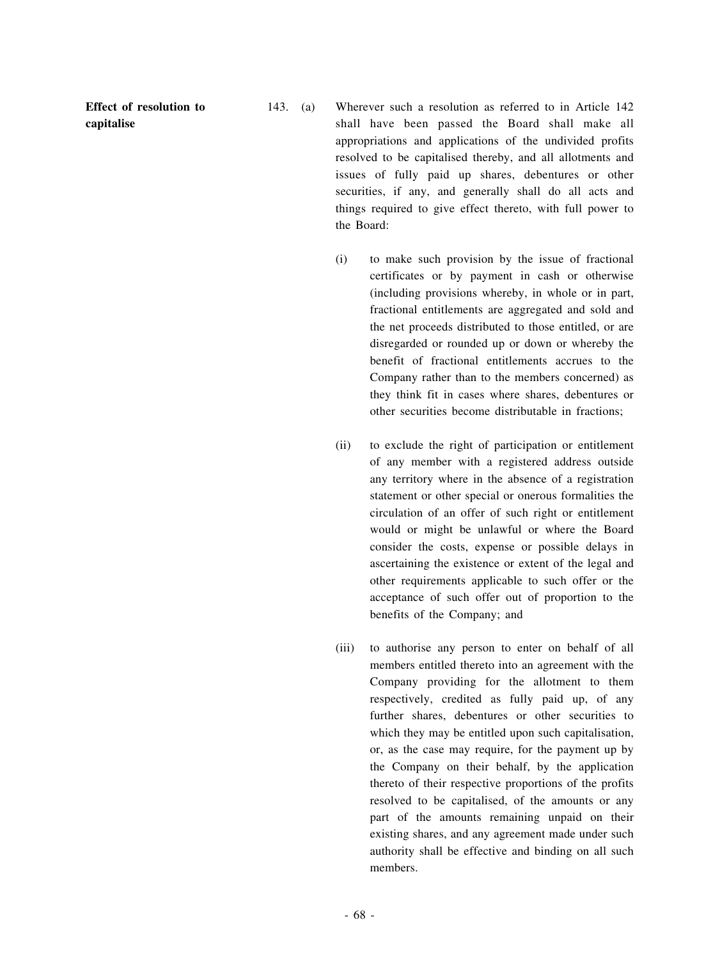**Effect of resolution to capitalise**

- 143. (a) Wherever such a resolution as referred to in Article 142 shall have been passed the Board shall make all appropriations and applications of the undivided profits resolved to be capitalised thereby, and all allotments and issues of fully paid up shares, debentures or other securities, if any, and generally shall do all acts and things required to give effect thereto, with full power to the Board:
	- (i) to make such provision by the issue of fractional certificates or by payment in cash or otherwise (including provisions whereby, in whole or in part, fractional entitlements are aggregated and sold and the net proceeds distributed to those entitled, or are disregarded or rounded up or down or whereby the benefit of fractional entitlements accrues to the Company rather than to the members concerned) as they think fit in cases where shares, debentures or other securities become distributable in fractions;
	- (ii) to exclude the right of participation or entitlement of any member with a registered address outside any territory where in the absence of a registration statement or other special or onerous formalities the circulation of an offer of such right or entitlement would or might be unlawful or where the Board consider the costs, expense or possible delays in ascertaining the existence or extent of the legal and other requirements applicable to such offer or the acceptance of such offer out of proportion to the benefits of the Company; and
	- (iii) to authorise any person to enter on behalf of all members entitled thereto into an agreement with the Company providing for the allotment to them respectively, credited as fully paid up, of any further shares, debentures or other securities to which they may be entitled upon such capitalisation, or, as the case may require, for the payment up by the Company on their behalf, by the application thereto of their respective proportions of the profits resolved to be capitalised, of the amounts or any part of the amounts remaining unpaid on their existing shares, and any agreement made under such authority shall be effective and binding on all such members.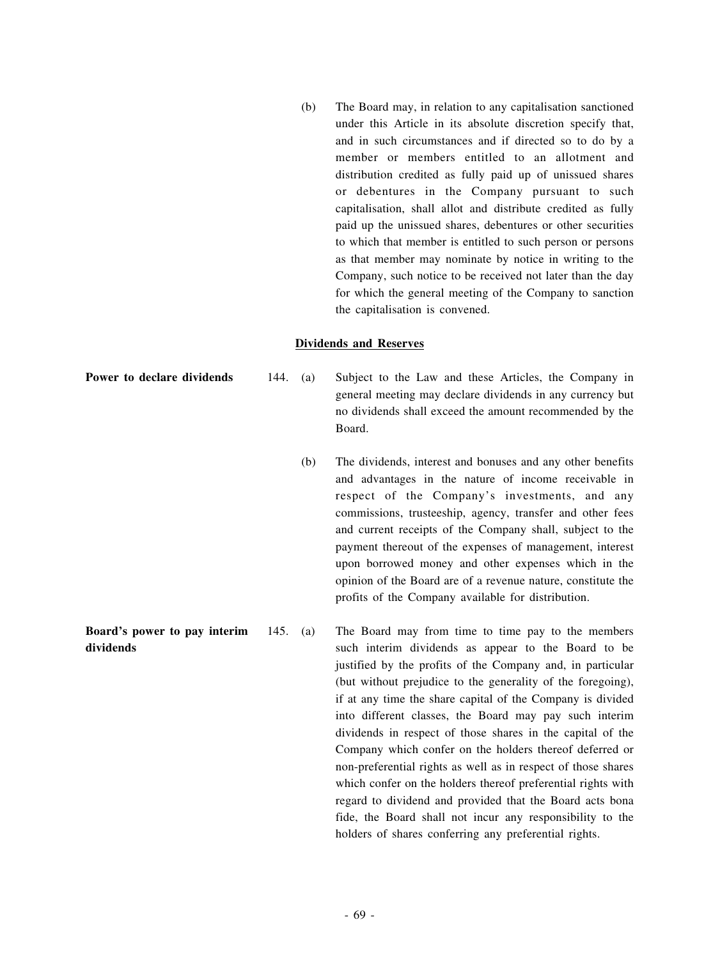(b) The Board may, in relation to any capitalisation sanctioned under this Article in its absolute discretion specify that, and in such circumstances and if directed so to do by a member or members entitled to an allotment and distribution credited as fully paid up of unissued shares or debentures in the Company pursuant to such capitalisation, shall allot and distribute credited as fully paid up the unissued shares, debentures or other securities to which that member is entitled to such person or persons as that member may nominate by notice in writing to the Company, such notice to be received not later than the day for which the general meeting of the Company to sanction the capitalisation is convened.

## **Dividends and Reserves**

- **Power to declare dividends** 144. (a) Subject to the Law and these Articles, the Company in general meeting may declare dividends in any currency but no dividends shall exceed the amount recommended by the Board.
	- (b) The dividends, interest and bonuses and any other benefits and advantages in the nature of income receivable in respect of the Company's investments, and any commissions, trusteeship, agency, transfer and other fees and current receipts of the Company shall, subject to the payment thereout of the expenses of management, interest upon borrowed money and other expenses which in the opinion of the Board are of a revenue nature, constitute the profits of the Company available for distribution.
- **Board's power to pay interim dividends** 145. (a) The Board may from time to time pay to the members such interim dividends as appear to the Board to be justified by the profits of the Company and, in particular (but without prejudice to the generality of the foregoing), if at any time the share capital of the Company is divided into different classes, the Board may pay such interim dividends in respect of those shares in the capital of the Company which confer on the holders thereof deferred or non-preferential rights as well as in respect of those shares which confer on the holders thereof preferential rights with regard to dividend and provided that the Board acts bona fide, the Board shall not incur any responsibility to the holders of shares conferring any preferential rights.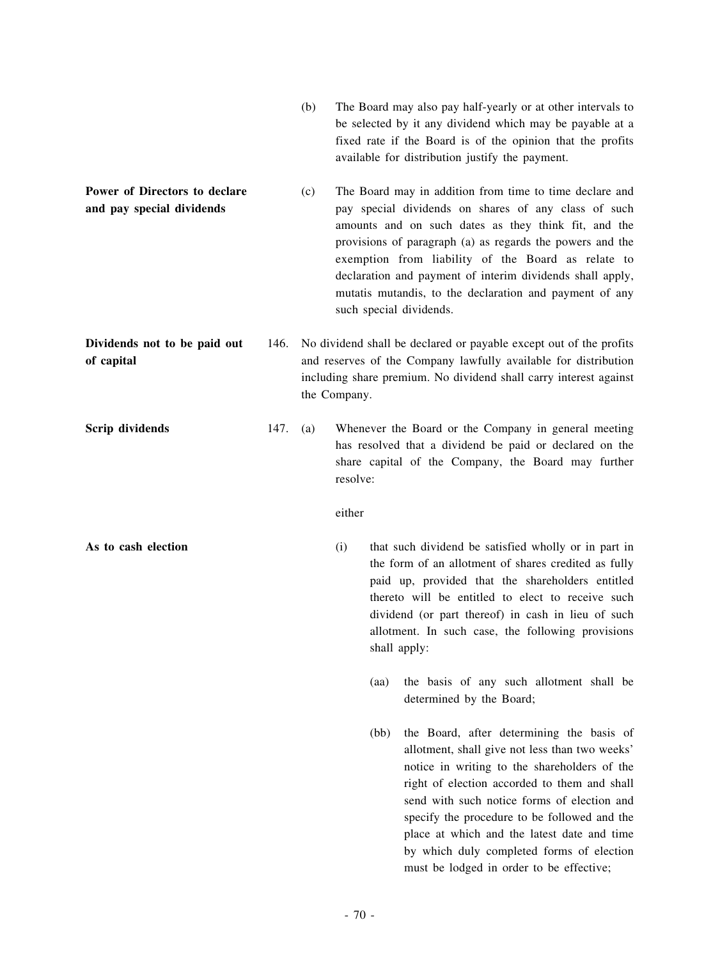- (b) The Board may also pay half-yearly or at other intervals to be selected by it any dividend which may be payable at a fixed rate if the Board is of the opinion that the profits available for distribution justify the payment.
- **Power of Directors to declare and pay special dividends** (c) The Board may in addition from time to time declare and pay special dividends on shares of any class of such amounts and on such dates as they think fit, and the provisions of paragraph (a) as regards the powers and the exemption from liability of the Board as relate to declaration and payment of interim dividends shall apply, mutatis mutandis, to the declaration and payment of any such special dividends.
- **Dividends not to be paid out of capital** 146. No dividend shall be declared or payable except out of the profits and reserves of the Company lawfully available for distribution including share premium. No dividend shall carry interest against the Company.
- **Scrip dividends** 147. (a) Whenever the Board or the Company in general meeting has resolved that a dividend be paid or declared on the share capital of the Company, the Board may further resolve:

## either

- **As to cash election** (i) that such dividend be satisfied wholly or in part in the form of an allotment of shares credited as fully paid up, provided that the shareholders entitled thereto will be entitled to elect to receive such dividend (or part thereof) in cash in lieu of such allotment. In such case, the following provisions shall apply:
	- (aa) the basis of any such allotment shall be determined by the Board;
	- (bb) the Board, after determining the basis of allotment, shall give not less than two weeks' notice in writing to the shareholders of the right of election accorded to them and shall send with such notice forms of election and specify the procedure to be followed and the place at which and the latest date and time by which duly completed forms of election must be lodged in order to be effective;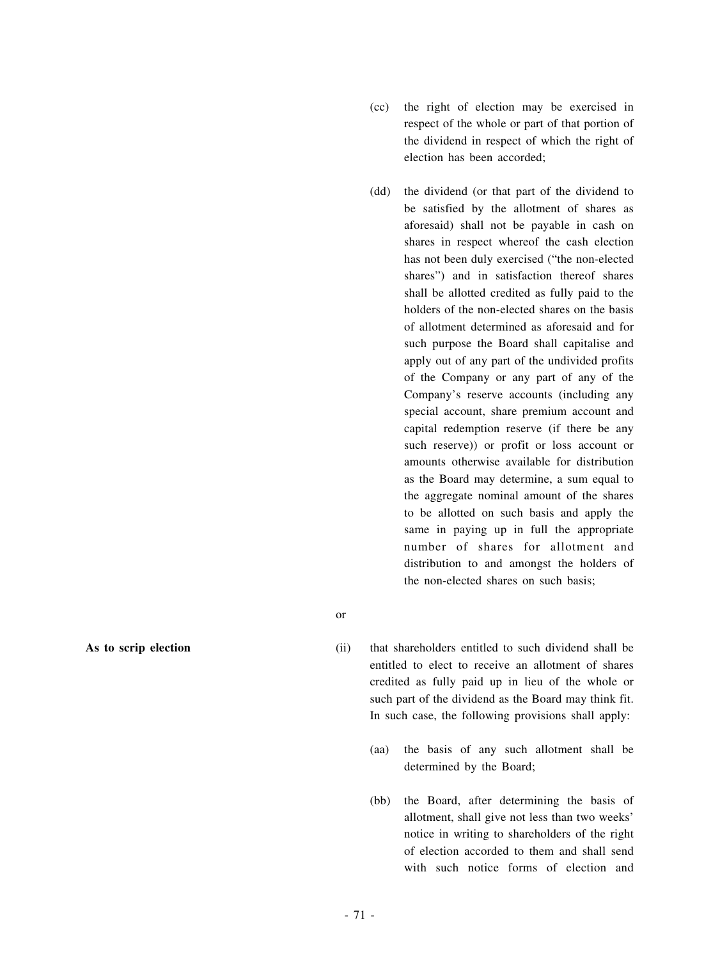- (cc) the right of election may be exercised in respect of the whole or part of that portion of the dividend in respect of which the right of election has been accorded;
- (dd) the dividend (or that part of the dividend to be satisfied by the allotment of shares as aforesaid) shall not be payable in cash on shares in respect whereof the cash election has not been duly exercised ("the non-elected shares") and in satisfaction thereof shares shall be allotted credited as fully paid to the holders of the non-elected shares on the basis of allotment determined as aforesaid and for such purpose the Board shall capitalise and apply out of any part of the undivided profits of the Company or any part of any of the Company's reserve accounts (including any special account, share premium account and capital redemption reserve (if there be any such reserve)) or profit or loss account or amounts otherwise available for distribution as the Board may determine, a sum equal to the aggregate nominal amount of the shares to be allotted on such basis and apply the same in paying up in full the appropriate number of shares for allotment and distribution to and amongst the holders of the non-elected shares on such basis;
- or

**As to scrip election** (ii) that shareholders entitled to such dividend shall be entitled to elect to receive an allotment of shares credited as fully paid up in lieu of the whole or such part of the dividend as the Board may think fit. In such case, the following provisions shall apply:

- (aa) the basis of any such allotment shall be determined by the Board;
- (bb) the Board, after determining the basis of allotment, shall give not less than two weeks' notice in writing to shareholders of the right of election accorded to them and shall send with such notice forms of election and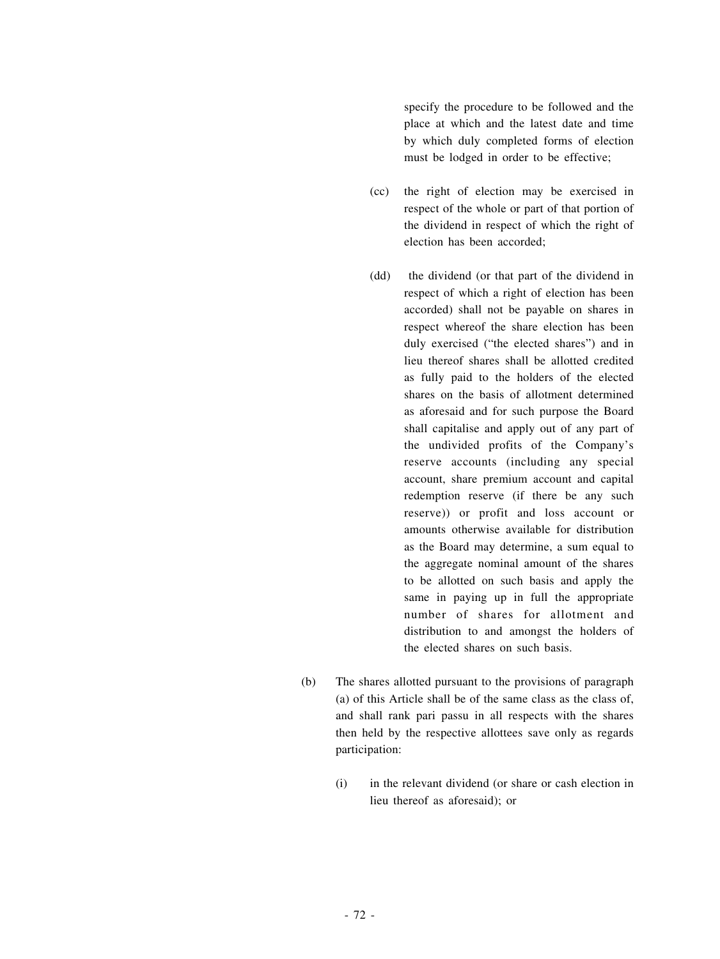specify the procedure to be followed and the place at which and the latest date and time by which duly completed forms of election must be lodged in order to be effective;

- (cc) the right of election may be exercised in respect of the whole or part of that portion of the dividend in respect of which the right of election has been accorded;
- (dd) the dividend (or that part of the dividend in respect of which a right of election has been accorded) shall not be payable on shares in respect whereof the share election has been duly exercised ("the elected shares") and in lieu thereof shares shall be allotted credited as fully paid to the holders of the elected shares on the basis of allotment determined as aforesaid and for such purpose the Board shall capitalise and apply out of any part of the undivided profits of the Company's reserve accounts (including any special account, share premium account and capital redemption reserve (if there be any such reserve)) or profit and loss account or amounts otherwise available for distribution as the Board may determine, a sum equal to the aggregate nominal amount of the shares to be allotted on such basis and apply the same in paying up in full the appropriate number of shares for allotment and distribution to and amongst the holders of the elected shares on such basis.
- (b) The shares allotted pursuant to the provisions of paragraph (a) of this Article shall be of the same class as the class of, and shall rank pari passu in all respects with the shares then held by the respective allottees save only as regards participation:
	- (i) in the relevant dividend (or share or cash election in lieu thereof as aforesaid); or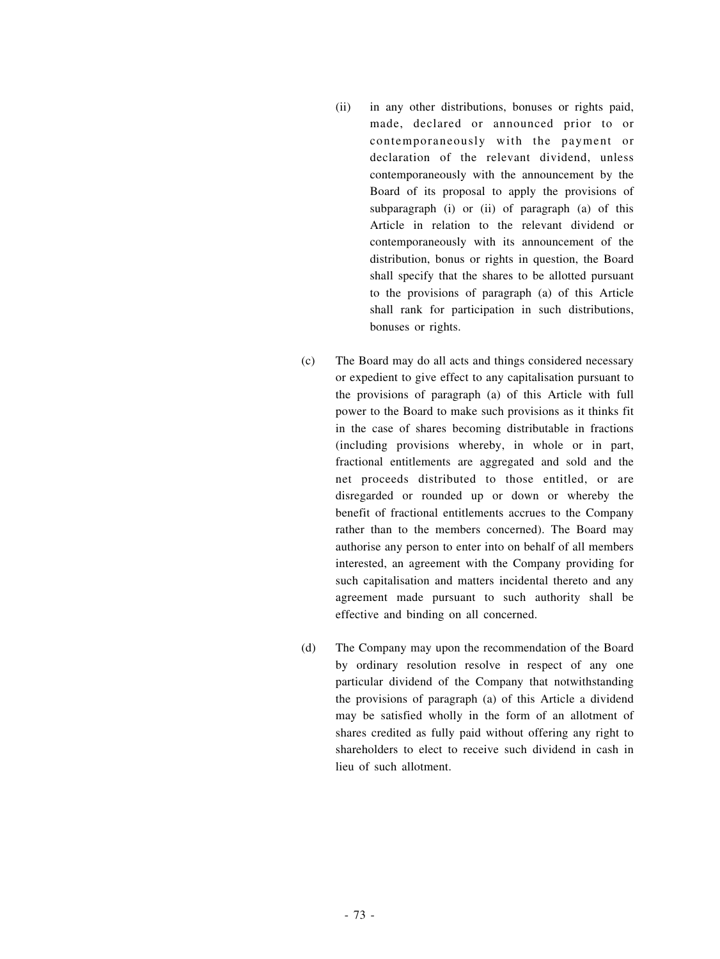- (ii) in any other distributions, bonuses or rights paid, made, declared or announced prior to or contemporaneously with the payment or declaration of the relevant dividend, unless contemporaneously with the announcement by the Board of its proposal to apply the provisions of subparagraph (i) or (ii) of paragraph (a) of this Article in relation to the relevant dividend or contemporaneously with its announcement of the distribution, bonus or rights in question, the Board shall specify that the shares to be allotted pursuant to the provisions of paragraph (a) of this Article shall rank for participation in such distributions, bonuses or rights.
- (c) The Board may do all acts and things considered necessary or expedient to give effect to any capitalisation pursuant to the provisions of paragraph (a) of this Article with full power to the Board to make such provisions as it thinks fit in the case of shares becoming distributable in fractions (including provisions whereby, in whole or in part, fractional entitlements are aggregated and sold and the net proceeds distributed to those entitled, or are disregarded or rounded up or down or whereby the benefit of fractional entitlements accrues to the Company rather than to the members concerned). The Board may authorise any person to enter into on behalf of all members interested, an agreement with the Company providing for such capitalisation and matters incidental thereto and any agreement made pursuant to such authority shall be effective and binding on all concerned.
- (d) The Company may upon the recommendation of the Board by ordinary resolution resolve in respect of any one particular dividend of the Company that notwithstanding the provisions of paragraph (a) of this Article a dividend may be satisfied wholly in the form of an allotment of shares credited as fully paid without offering any right to shareholders to elect to receive such dividend in cash in lieu of such allotment.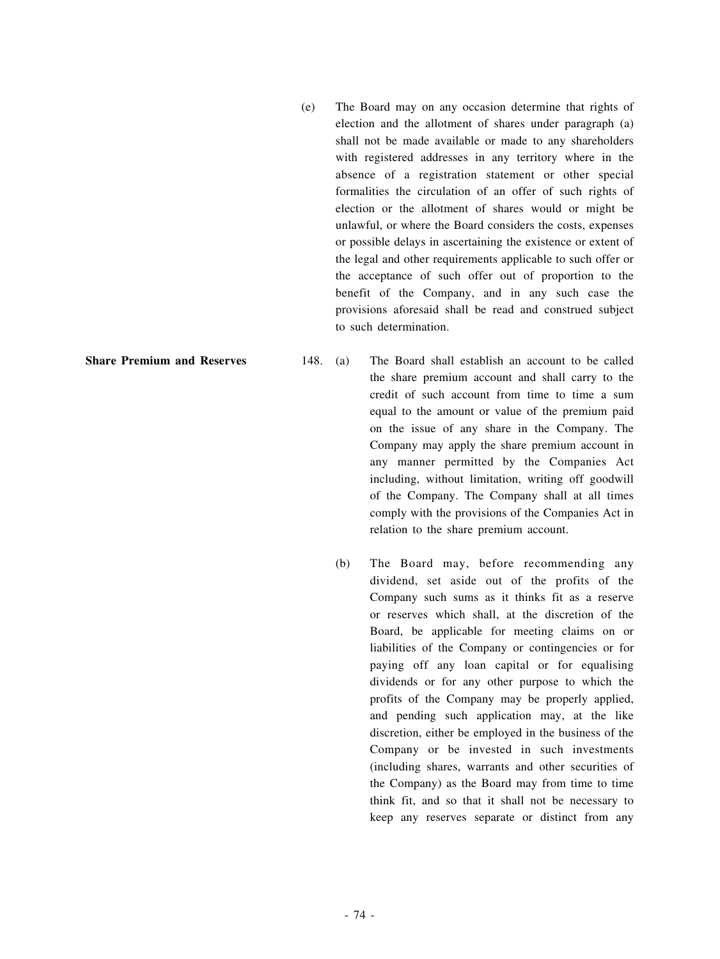(e) The Board may on any occasion determine that rights of election and the allotment of shares under paragraph (a) shall not be made available or made to any shareholders with registered addresses in any territory where in the absence of a registration statement or other special formalities the circulation of an offer of such rights of election or the allotment of shares would or might be unlawful, or where the Board considers the costs, expenses or possible delays in ascertaining the existence or extent of the legal and other requirements applicable to such offer or the acceptance of such offer out of proportion to the benefit of the Company, and in any such case the provisions aforesaid shall be read and construed subject to such determination.

- **Share Premium and Reserves** 148. (a) The Board shall establish an account to be called the share premium account and shall carry to the credit of such account from time to time a sum equal to the amount or value of the premium paid on the issue of any share in the Company. The Company may apply the share premium account in any manner permitted by the Companies Act including, without limitation, writing off goodwill of the Company. The Company shall at all times comply with the provisions of the Companies Act in relation to the share premium account.
	- (b) The Board may, before recommending any dividend, set aside out of the profits of the Company such sums as it thinks fit as a reserve or reserves which shall, at the discretion of the Board, be applicable for meeting claims on or liabilities of the Company or contingencies or for paying off any loan capital or for equalising dividends or for any other purpose to which the profits of the Company may be properly applied, and pending such application may, at the like discretion, either be employed in the business of the Company or be invested in such investments (including shares, warrants and other securities of the Company) as the Board may from time to time think fit, and so that it shall not be necessary to keep any reserves separate or distinct from any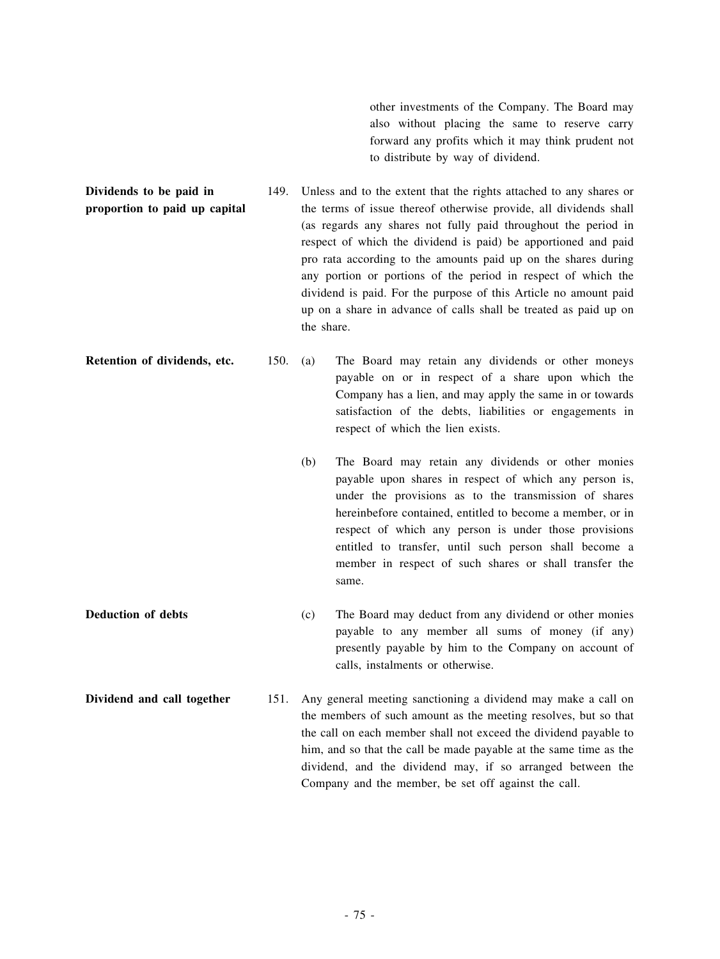other investments of the Company. The Board may also without placing the same to reserve carry forward any profits which it may think prudent not to distribute by way of dividend.

**Dividends to be paid in proportion to paid up capital** 149. Unless and to the extent that the rights attached to any shares or the terms of issue thereof otherwise provide, all dividends shall (as regards any shares not fully paid throughout the period in respect of which the dividend is paid) be apportioned and paid pro rata according to the amounts paid up on the shares during any portion or portions of the period in respect of which the dividend is paid. For the purpose of this Article no amount paid up on a share in advance of calls shall be treated as paid up on the share.

**Retention of dividends, etc.** 150. (a) The Board may retain any dividends or other moneys payable on or in respect of a share upon which the Company has a lien, and may apply the same in or towards satisfaction of the debts, liabilities or engagements in respect of which the lien exists.

- (b) The Board may retain any dividends or other monies payable upon shares in respect of which any person is, under the provisions as to the transmission of shares hereinbefore contained, entitled to become a member, or in respect of which any person is under those provisions entitled to transfer, until such person shall become a member in respect of such shares or shall transfer the same.
- **Deduction of debts** (c) The Board may deduct from any dividend or other monies payable to any member all sums of money (if any) presently payable by him to the Company on account of calls, instalments or otherwise.
- **Dividend and call together** 151. Any general meeting sanctioning a dividend may make a call on the members of such amount as the meeting resolves, but so that the call on each member shall not exceed the dividend payable to him, and so that the call be made payable at the same time as the dividend, and the dividend may, if so arranged between the Company and the member, be set off against the call.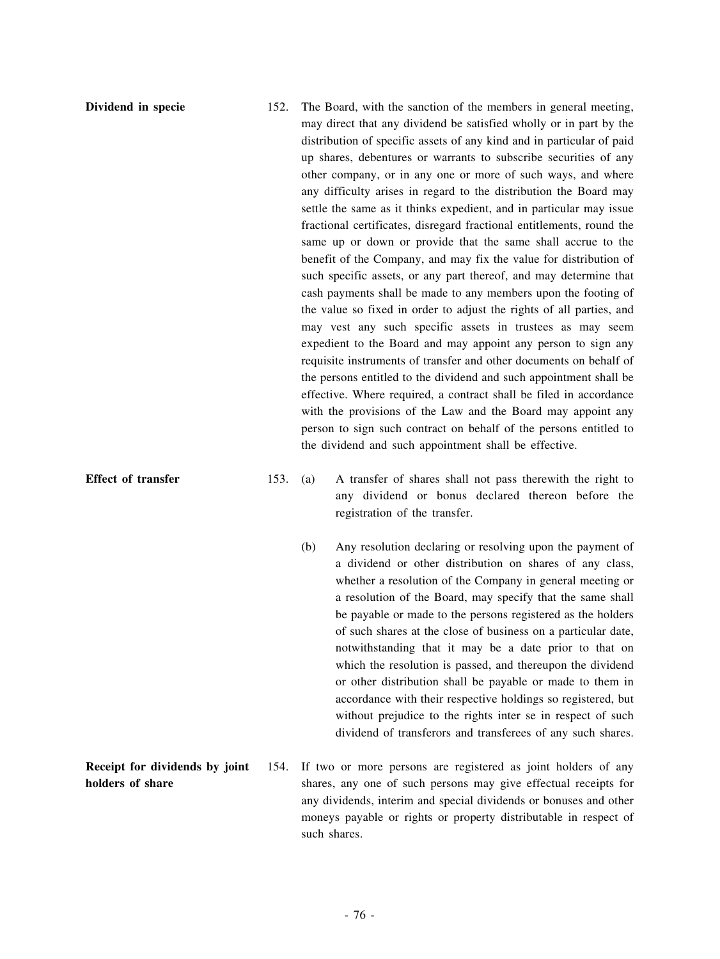- **Dividend in specie** 152. The Board, with the sanction of the members in general meeting, may direct that any dividend be satisfied wholly or in part by the distribution of specific assets of any kind and in particular of paid up shares, debentures or warrants to subscribe securities of any other company, or in any one or more of such ways, and where any difficulty arises in regard to the distribution the Board may settle the same as it thinks expedient, and in particular may issue fractional certificates, disregard fractional entitlements, round the same up or down or provide that the same shall accrue to the benefit of the Company, and may fix the value for distribution of such specific assets, or any part thereof, and may determine that cash payments shall be made to any members upon the footing of the value so fixed in order to adjust the rights of all parties, and may vest any such specific assets in trustees as may seem expedient to the Board and may appoint any person to sign any requisite instruments of transfer and other documents on behalf of the persons entitled to the dividend and such appointment shall be effective. Where required, a contract shall be filed in accordance with the provisions of the Law and the Board may appoint any person to sign such contract on behalf of the persons entitled to the dividend and such appointment shall be effective.
- **Effect of transfer** 153. (a) A transfer of shares shall not pass therewith the right to any dividend or bonus declared thereon before the registration of the transfer.
	- (b) Any resolution declaring or resolving upon the payment of a dividend or other distribution on shares of any class, whether a resolution of the Company in general meeting or a resolution of the Board, may specify that the same shall be payable or made to the persons registered as the holders of such shares at the close of business on a particular date, notwithstanding that it may be a date prior to that on which the resolution is passed, and thereupon the dividend or other distribution shall be payable or made to them in accordance with their respective holdings so registered, but without prejudice to the rights inter se in respect of such dividend of transferors and transferees of any such shares.
- **Receipt for dividends by joint holders of share** 154. If two or more persons are registered as joint holders of any shares, any one of such persons may give effectual receipts for any dividends, interim and special dividends or bonuses and other moneys payable or rights or property distributable in respect of such shares.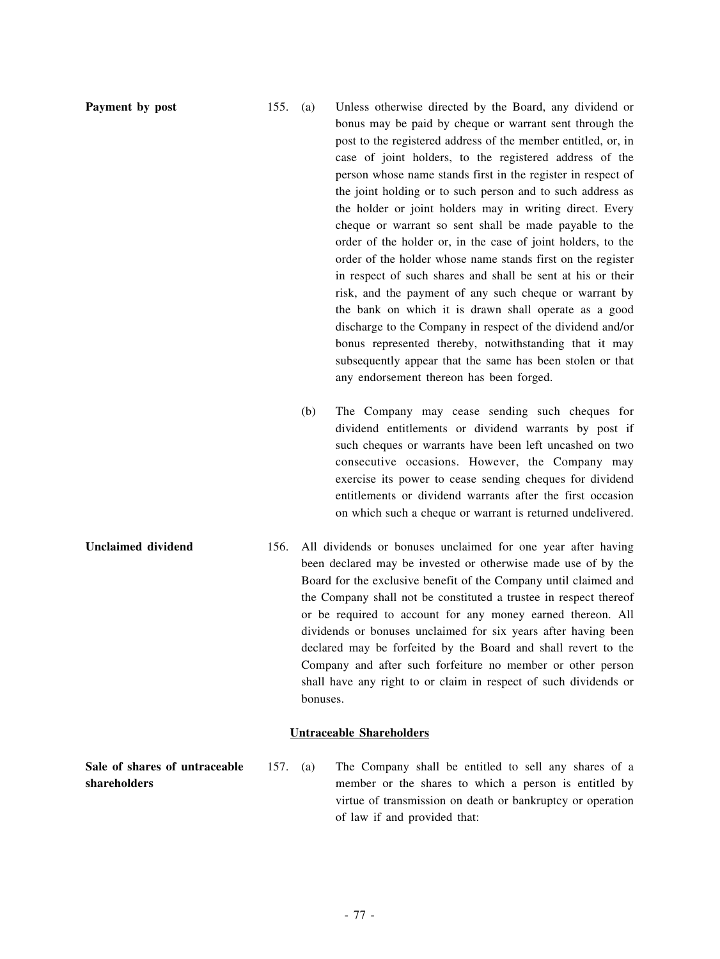- **Payment by post** 155. (a) Unless otherwise directed by the Board, any dividend or bonus may be paid by cheque or warrant sent through the post to the registered address of the member entitled, or, in case of joint holders, to the registered address of the person whose name stands first in the register in respect of the joint holding or to such person and to such address as the holder or joint holders may in writing direct. Every cheque or warrant so sent shall be made payable to the order of the holder or, in the case of joint holders, to the order of the holder whose name stands first on the register in respect of such shares and shall be sent at his or their risk, and the payment of any such cheque or warrant by the bank on which it is drawn shall operate as a good discharge to the Company in respect of the dividend and/or bonus represented thereby, notwithstanding that it may subsequently appear that the same has been stolen or that any endorsement thereon has been forged.
	- (b) The Company may cease sending such cheques for dividend entitlements or dividend warrants by post if such cheques or warrants have been left uncashed on two consecutive occasions. However, the Company may exercise its power to cease sending cheques for dividend entitlements or dividend warrants after the first occasion on which such a cheque or warrant is returned undelivered.
- **Unclaimed dividend** 156. All dividends or bonuses unclaimed for one year after having been declared may be invested or otherwise made use of by the Board for the exclusive benefit of the Company until claimed and the Company shall not be constituted a trustee in respect thereof or be required to account for any money earned thereon. All dividends or bonuses unclaimed for six years after having been declared may be forfeited by the Board and shall revert to the Company and after such forfeiture no member or other person shall have any right to or claim in respect of such dividends or bonuses.

## **Untraceable Shareholders**

**Sale of shares of untraceable shareholders**

157. (a) The Company shall be entitled to sell any shares of a member or the shares to which a person is entitled by virtue of transmission on death or bankruptcy or operation of law if and provided that: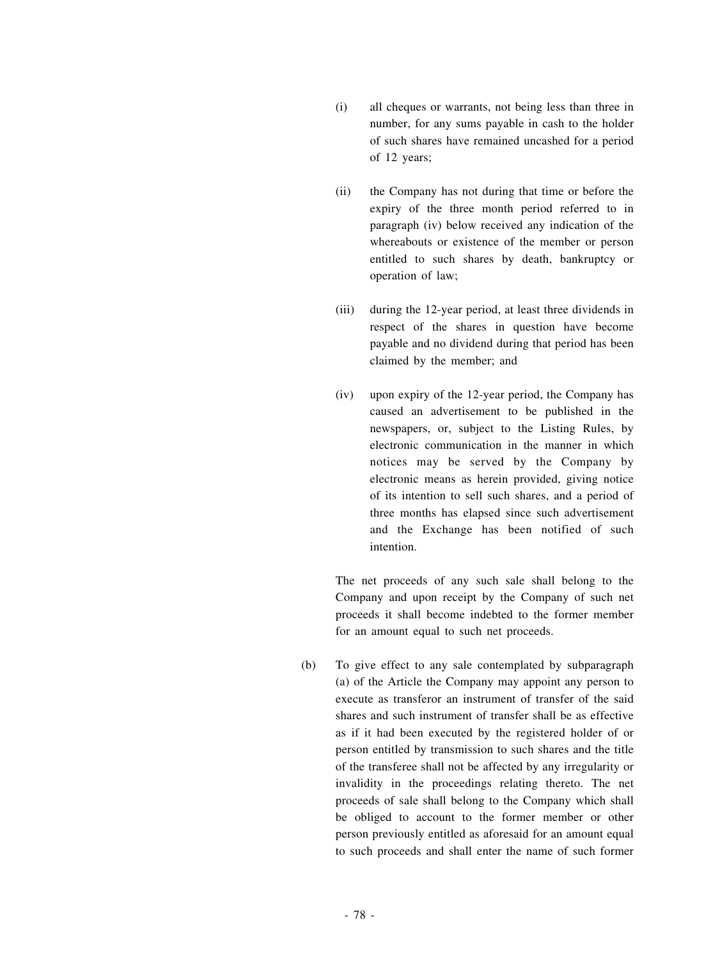- (i) all cheques or warrants, not being less than three in number, for any sums payable in cash to the holder of such shares have remained uncashed for a period of 12 years;
- (ii) the Company has not during that time or before the expiry of the three month period referred to in paragraph (iv) below received any indication of the whereabouts or existence of the member or person entitled to such shares by death, bankruptcy or operation of law;
- (iii) during the 12-year period, at least three dividends in respect of the shares in question have become payable and no dividend during that period has been claimed by the member; and
- (iv) upon expiry of the 12-year period, the Company has caused an advertisement to be published in the newspapers, or, subject to the Listing Rules, by electronic communication in the manner in which notices may be served by the Company by electronic means as herein provided, giving notice of its intention to sell such shares, and a period of three months has elapsed since such advertisement and the Exchange has been notified of such intention.

The net proceeds of any such sale shall belong to the Company and upon receipt by the Company of such net proceeds it shall become indebted to the former member for an amount equal to such net proceeds.

(b) To give effect to any sale contemplated by subparagraph (a) of the Article the Company may appoint any person to execute as transferor an instrument of transfer of the said shares and such instrument of transfer shall be as effective as if it had been executed by the registered holder of or person entitled by transmission to such shares and the title of the transferee shall not be affected by any irregularity or invalidity in the proceedings relating thereto. The net proceeds of sale shall belong to the Company which shall be obliged to account to the former member or other person previously entitled as aforesaid for an amount equal to such proceeds and shall enter the name of such former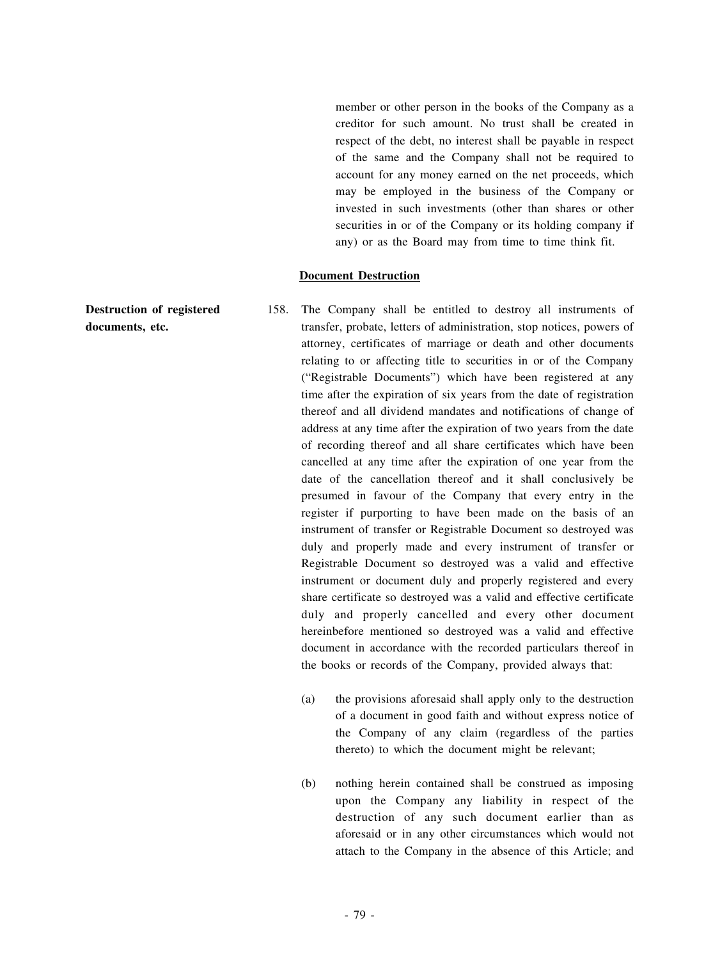member or other person in the books of the Company as a creditor for such amount. No trust shall be created in respect of the debt, no interest shall be payable in respect of the same and the Company shall not be required to account for any money earned on the net proceeds, which may be employed in the business of the Company or invested in such investments (other than shares or other securities in or of the Company or its holding company if any) or as the Board may from time to time think fit.

#### **Document Destruction**

- **documents, etc.** 158. The Company shall be entitled to destroy all instruments of transfer, probate, letters of administration, stop notices, powers of attorney, certificates of marriage or death and other documents relating to or affecting title to securities in or of the Company ("Registrable Documents") which have been registered at any time after the expiration of six years from the date of registration thereof and all dividend mandates and notifications of change of address at any time after the expiration of two years from the date of recording thereof and all share certificates which have been cancelled at any time after the expiration of one year from the date of the cancellation thereof and it shall conclusively be presumed in favour of the Company that every entry in the register if purporting to have been made on the basis of an instrument of transfer or Registrable Document so destroyed was duly and properly made and every instrument of transfer or Registrable Document so destroyed was a valid and effective instrument or document duly and properly registered and every share certificate so destroyed was a valid and effective certificate duly and properly cancelled and every other document hereinbefore mentioned so destroyed was a valid and effective document in accordance with the recorded particulars thereof in the books or records of the Company, provided always that: (a) the provisions aforesaid shall apply only to the destruction
	- of a document in good faith and without express notice of the Company of any claim (regardless of the parties thereto) to which the document might be relevant;
	- (b) nothing herein contained shall be construed as imposing upon the Company any liability in respect of the destruction of any such document earlier than as aforesaid or in any other circumstances which would not attach to the Company in the absence of this Article; and

**Destruction of registered**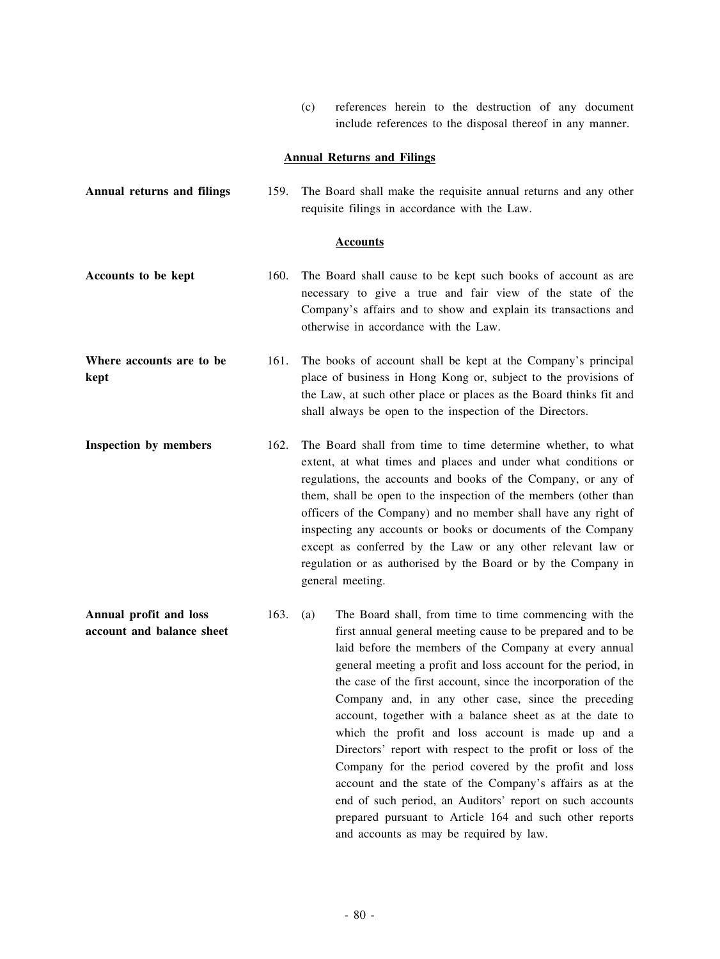(c) references herein to the destruction of any document include references to the disposal thereof in any manner.

# **Annual Returns and Filings**

| <b>Annual returns and filings</b>                   | 159. | The Board shall make the requisite annual returns and any other<br>requisite filings in accordance with the Law.                                                                                                                                                                                                                                                                                                                                                                                                                                                                                                         |
|-----------------------------------------------------|------|--------------------------------------------------------------------------------------------------------------------------------------------------------------------------------------------------------------------------------------------------------------------------------------------------------------------------------------------------------------------------------------------------------------------------------------------------------------------------------------------------------------------------------------------------------------------------------------------------------------------------|
| <b>Accounts</b>                                     |      |                                                                                                                                                                                                                                                                                                                                                                                                                                                                                                                                                                                                                          |
| Accounts to be kept                                 | 160. | The Board shall cause to be kept such books of account as are<br>necessary to give a true and fair view of the state of the<br>Company's affairs and to show and explain its transactions and<br>otherwise in accordance with the Law.                                                                                                                                                                                                                                                                                                                                                                                   |
| Where accounts are to be<br>kept                    | 161. | The books of account shall be kept at the Company's principal<br>place of business in Hong Kong or, subject to the provisions of<br>the Law, at such other place or places as the Board thinks fit and<br>shall always be open to the inspection of the Directors.                                                                                                                                                                                                                                                                                                                                                       |
| Inspection by members                               | 162. | The Board shall from time to time determine whether, to what<br>extent, at what times and places and under what conditions or<br>regulations, the accounts and books of the Company, or any of<br>them, shall be open to the inspection of the members (other than<br>officers of the Company) and no member shall have any right of<br>inspecting any accounts or books or documents of the Company<br>except as conferred by the Law or any other relevant law or<br>regulation or as authorised by the Board or by the Company in<br>general meeting.                                                                 |
| Annual profit and loss<br>account and balance sheet | 163. | The Board shall, from time to time commencing with the<br>(a)<br>first annual general meeting cause to be prepared and to be<br>laid before the members of the Company at every annual<br>general meeting a profit and loss account for the period, in<br>the case of the first account, since the incorporation of the<br>Company and, in any other case, since the preceding<br>account, together with a balance sheet as at the date to<br>which the profit and loss account is made up and a<br>Directors' report with respect to the profit or loss of the<br>Company for the period covered by the profit and loss |

account and the state of the Company's affairs as at the end of such period, an Auditors' report on such accounts prepared pursuant to Article 164 and such other reports

and accounts as may be required by law.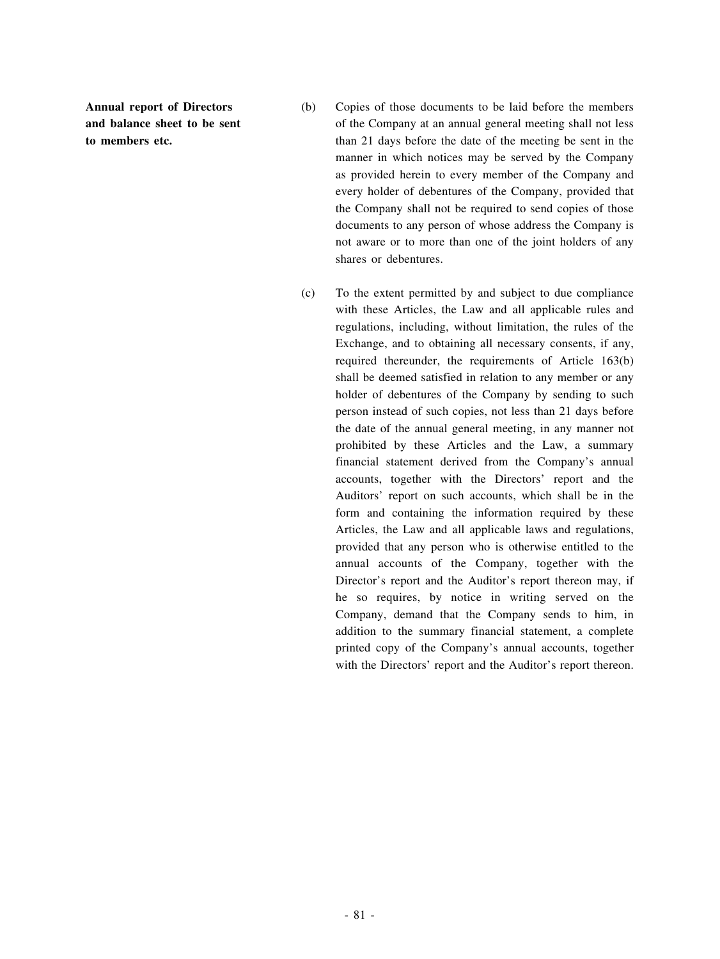**Annual report of Directors and balance sheet to be sent to members etc.**

- (b) Copies of those documents to be laid before the members of the Company at an annual general meeting shall not less than 21 days before the date of the meeting be sent in the manner in which notices may be served by the Company as provided herein to every member of the Company and every holder of debentures of the Company, provided that the Company shall not be required to send copies of those documents to any person of whose address the Company is not aware or to more than one of the joint holders of any shares or debentures.
- (c) To the extent permitted by and subject to due compliance with these Articles, the Law and all applicable rules and regulations, including, without limitation, the rules of the Exchange, and to obtaining all necessary consents, if any, required thereunder, the requirements of Article 163(b) shall be deemed satisfied in relation to any member or any holder of debentures of the Company by sending to such person instead of such copies, not less than 21 days before the date of the annual general meeting, in any manner not prohibited by these Articles and the Law, a summary financial statement derived from the Company's annual accounts, together with the Directors' report and the Auditors' report on such accounts, which shall be in the form and containing the information required by these Articles, the Law and all applicable laws and regulations, provided that any person who is otherwise entitled to the annual accounts of the Company, together with the Director's report and the Auditor's report thereon may, if he so requires, by notice in writing served on the Company, demand that the Company sends to him, in addition to the summary financial statement, a complete printed copy of the Company's annual accounts, together with the Directors' report and the Auditor's report thereon.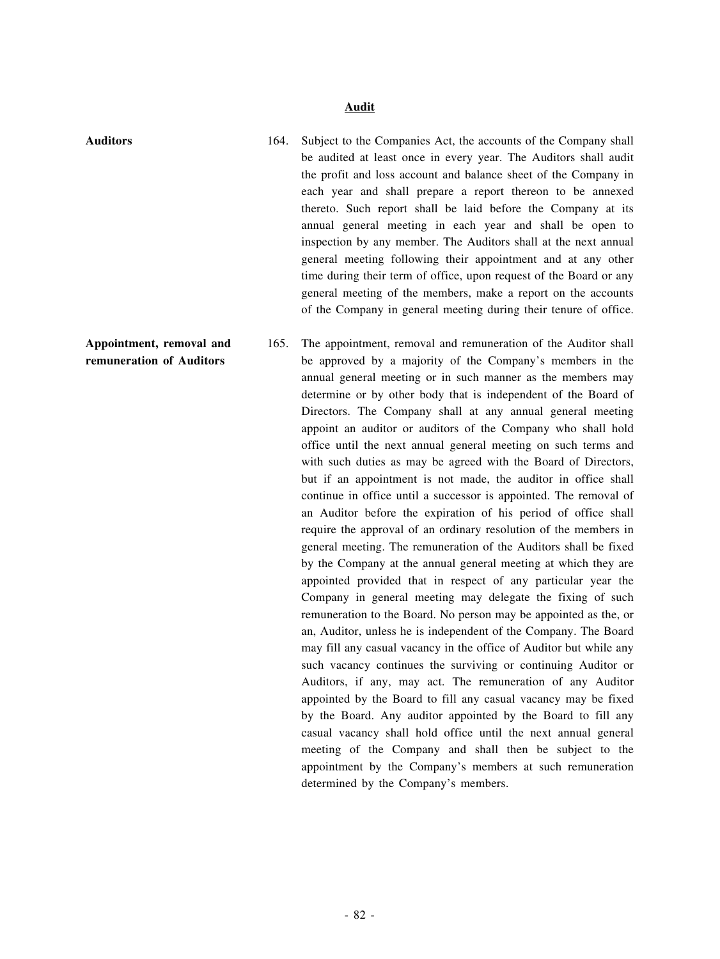### **Audit**

**Appointment, removal and remuneration of Auditors**

- **Auditors** 164. Subject to the Companies Act, the accounts of the Company shall be audited at least once in every year. The Auditors shall audit the profit and loss account and balance sheet of the Company in each year and shall prepare a report thereon to be annexed thereto. Such report shall be laid before the Company at its annual general meeting in each year and shall be open to inspection by any member. The Auditors shall at the next annual general meeting following their appointment and at any other time during their term of office, upon request of the Board or any general meeting of the members, make a report on the accounts of the Company in general meeting during their tenure of office.
	- 165. The appointment, removal and remuneration of the Auditor shall be approved by a majority of the Company's members in the annual general meeting or in such manner as the members may determine or by other body that is independent of the Board of Directors. The Company shall at any annual general meeting appoint an auditor or auditors of the Company who shall hold office until the next annual general meeting on such terms and with such duties as may be agreed with the Board of Directors, but if an appointment is not made, the auditor in office shall continue in office until a successor is appointed. The removal of an Auditor before the expiration of his period of office shall require the approval of an ordinary resolution of the members in general meeting. The remuneration of the Auditors shall be fixed by the Company at the annual general meeting at which they are appointed provided that in respect of any particular year the Company in general meeting may delegate the fixing of such remuneration to the Board. No person may be appointed as the, or an, Auditor, unless he is independent of the Company. The Board may fill any casual vacancy in the office of Auditor but while any such vacancy continues the surviving or continuing Auditor or Auditors, if any, may act. The remuneration of any Auditor appointed by the Board to fill any casual vacancy may be fixed by the Board. Any auditor appointed by the Board to fill any casual vacancy shall hold office until the next annual general meeting of the Company and shall then be subject to the appointment by the Company's members at such remuneration determined by the Company's members.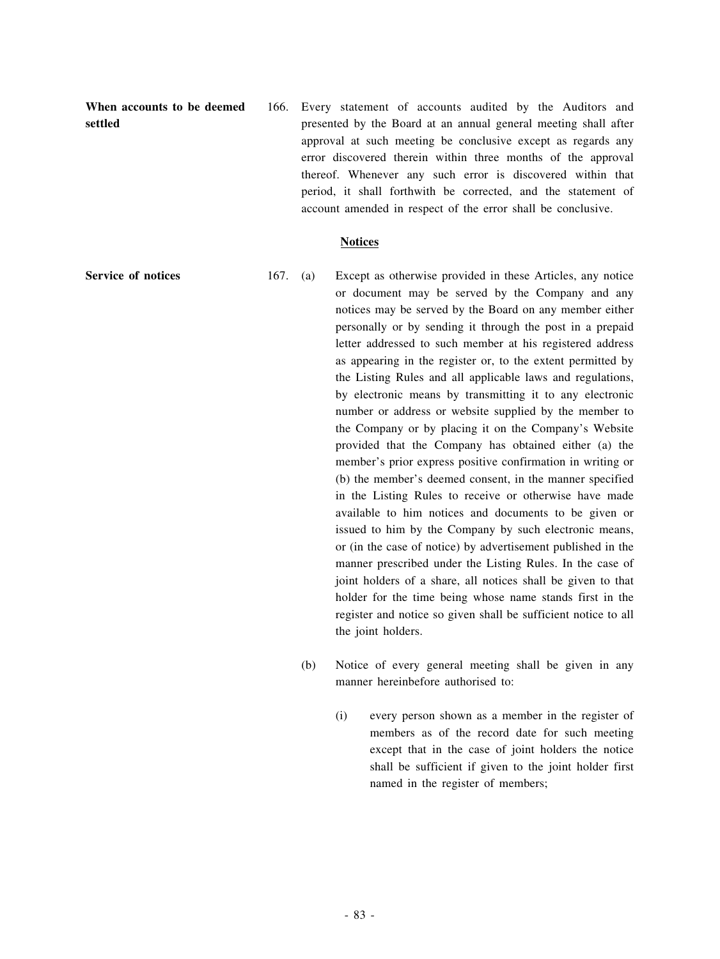**When accounts to be deemed settled**

166. Every statement of accounts audited by the Auditors and presented by the Board at an annual general meeting shall after approval at such meeting be conclusive except as regards any error discovered therein within three months of the approval thereof. Whenever any such error is discovered within that period, it shall forthwith be corrected, and the statement of account amended in respect of the error shall be conclusive.

#### **Notices**

- **Service of notices** 167. (a) Except as otherwise provided in these Articles, any notice or document may be served by the Company and any notices may be served by the Board on any member either personally or by sending it through the post in a prepaid letter addressed to such member at his registered address as appearing in the register or, to the extent permitted by the Listing Rules and all applicable laws and regulations, by electronic means by transmitting it to any electronic number or address or website supplied by the member to the Company or by placing it on the Company's Website provided that the Company has obtained either (a) the member's prior express positive confirmation in writing or (b) the member's deemed consent, in the manner specified in the Listing Rules to receive or otherwise have made available to him notices and documents to be given or issued to him by the Company by such electronic means, or (in the case of notice) by advertisement published in the manner prescribed under the Listing Rules. In the case of joint holders of a share, all notices shall be given to that holder for the time being whose name stands first in the register and notice so given shall be sufficient notice to all the joint holders.
	- (b) Notice of every general meeting shall be given in any manner hereinbefore authorised to:
		- (i) every person shown as a member in the register of members as of the record date for such meeting except that in the case of joint holders the notice shall be sufficient if given to the joint holder first named in the register of members;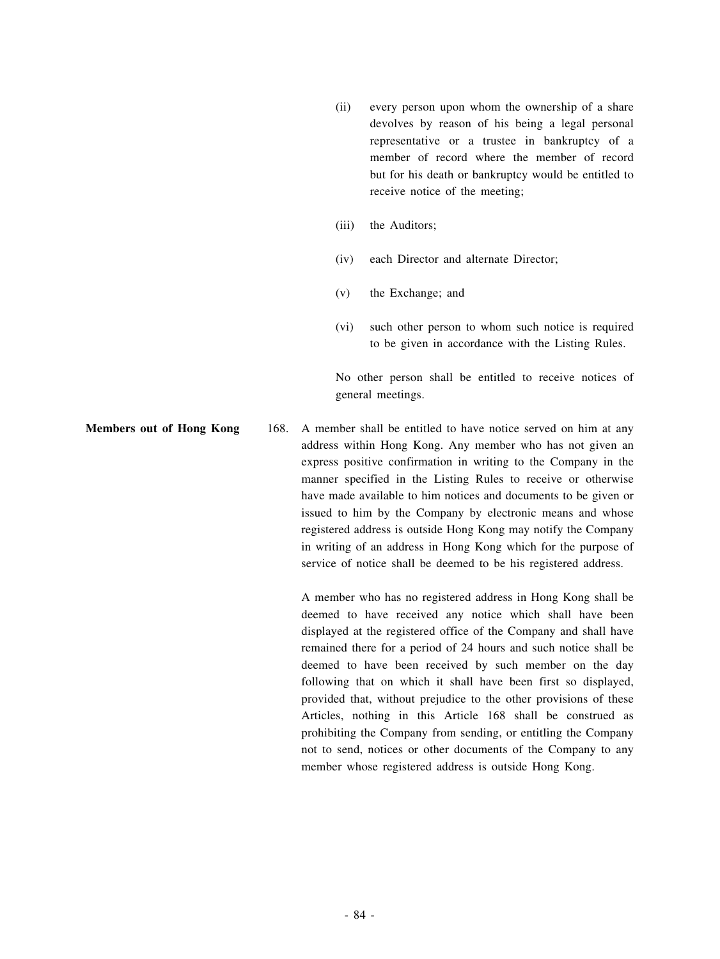- (ii) every person upon whom the ownership of a share devolves by reason of his being a legal personal representative or a trustee in bankruptcy of a member of record where the member of record but for his death or bankruptcy would be entitled to receive notice of the meeting;
- (iii) the Auditors;
- (iv) each Director and alternate Director;
- (v) the Exchange; and
- (vi) such other person to whom such notice is required to be given in accordance with the Listing Rules.

No other person shall be entitled to receive notices of general meetings.

**Members out of Hong Kong 168.** A member shall be entitled to have notice served on him at any address within Hong Kong. Any member who has not given an express positive confirmation in writing to the Company in the manner specified in the Listing Rules to receive or otherwise have made available to him notices and documents to be given or issued to him by the Company by electronic means and whose registered address is outside Hong Kong may notify the Company in writing of an address in Hong Kong which for the purpose of service of notice shall be deemed to be his registered address.

> A member who has no registered address in Hong Kong shall be deemed to have received any notice which shall have been displayed at the registered office of the Company and shall have remained there for a period of 24 hours and such notice shall be deemed to have been received by such member on the day following that on which it shall have been first so displayed, provided that, without prejudice to the other provisions of these Articles, nothing in this Article 168 shall be construed as prohibiting the Company from sending, or entitling the Company not to send, notices or other documents of the Company to any member whose registered address is outside Hong Kong.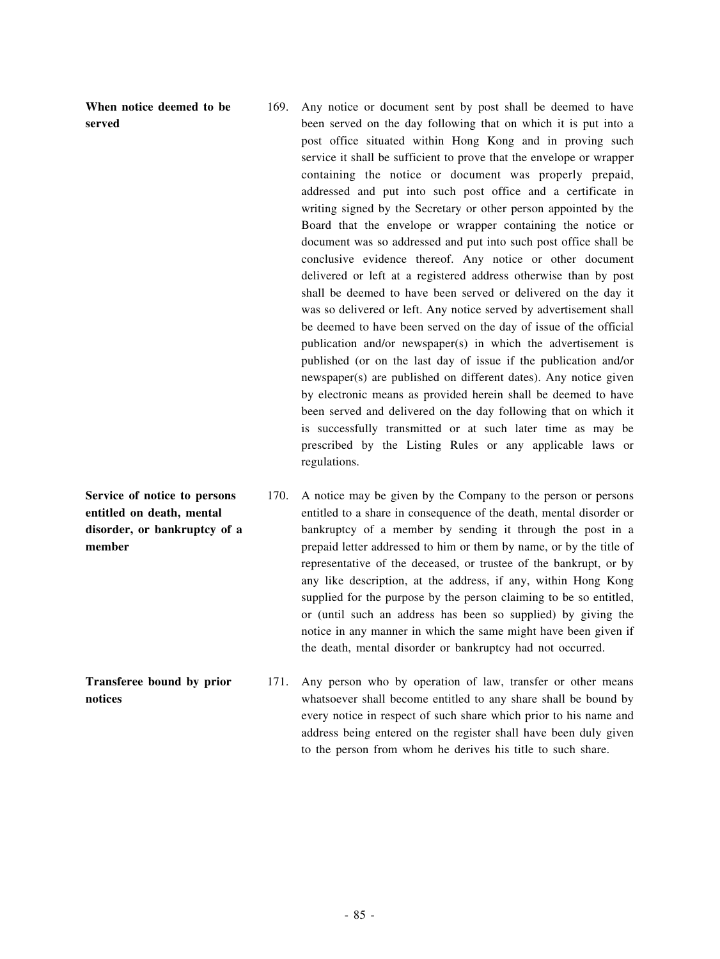**When notice deemed to be served**

- 169. Any notice or document sent by post shall be deemed to have been served on the day following that on which it is put into a post office situated within Hong Kong and in proving such service it shall be sufficient to prove that the envelope or wrapper containing the notice or document was properly prepaid, addressed and put into such post office and a certificate in writing signed by the Secretary or other person appointed by the Board that the envelope or wrapper containing the notice or document was so addressed and put into such post office shall be conclusive evidence thereof. Any notice or other document delivered or left at a registered address otherwise than by post shall be deemed to have been served or delivered on the day it was so delivered or left. Any notice served by advertisement shall be deemed to have been served on the day of issue of the official publication and/or newspaper(s) in which the advertisement is published (or on the last day of issue if the publication and/or newspaper(s) are published on different dates). Any notice given by electronic means as provided herein shall be deemed to have been served and delivered on the day following that on which it is successfully transmitted or at such later time as may be prescribed by the Listing Rules or any applicable laws or regulations.
- 170. A notice may be given by the Company to the person or persons entitled to a share in consequence of the death, mental disorder or bankruptcy of a member by sending it through the post in a prepaid letter addressed to him or them by name, or by the title of representative of the deceased, or trustee of the bankrupt, or by any like description, at the address, if any, within Hong Kong supplied for the purpose by the person claiming to be so entitled, or (until such an address has been so supplied) by giving the notice in any manner in which the same might have been given if the death, mental disorder or bankruptcy had not occurred.
	- 171. Any person who by operation of law, transfer or other means whatsoever shall become entitled to any share shall be bound by every notice in respect of such share which prior to his name and address being entered on the register shall have been duly given to the person from whom he derives his title to such share.

**Service of notice to persons entitled on death, mental disorder, or bankruptcy of a member**

**Transferee bound by prior notices**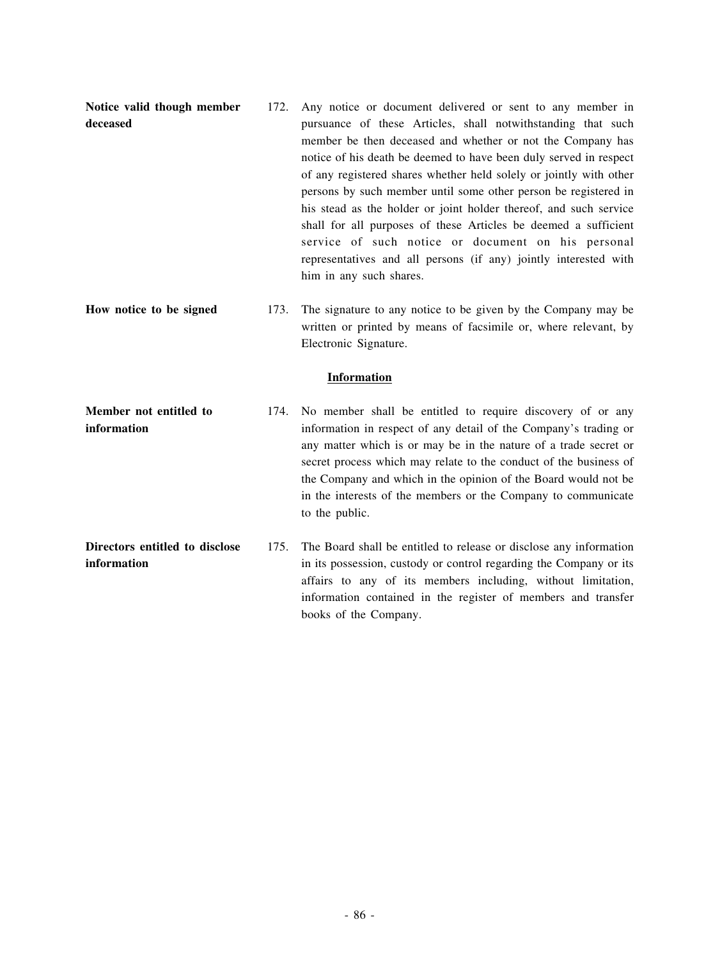| Notice valid though member<br>deceased        | 172.<br>Any notice or document delivered or sent to any member in<br>pursuance of these Articles, shall notwithstanding that such<br>member be then deceased and whether or not the Company has<br>notice of his death be deemed to have been duly served in respect<br>of any registered shares whether held solely or jointly with other<br>persons by such member until some other person be registered in<br>his stead as the holder or joint holder thereof, and such service<br>shall for all purposes of these Articles be deemed a sufficient<br>service of such notice or document on his personal<br>representatives and all persons (if any) jointly interested with<br>him in any such shares. |
|-----------------------------------------------|------------------------------------------------------------------------------------------------------------------------------------------------------------------------------------------------------------------------------------------------------------------------------------------------------------------------------------------------------------------------------------------------------------------------------------------------------------------------------------------------------------------------------------------------------------------------------------------------------------------------------------------------------------------------------------------------------------|
| How notice to be signed                       | 173.<br>The signature to any notice to be given by the Company may be<br>written or printed by means of facsimile or, where relevant, by<br>Electronic Signature.                                                                                                                                                                                                                                                                                                                                                                                                                                                                                                                                          |
|                                               | <b>Information</b>                                                                                                                                                                                                                                                                                                                                                                                                                                                                                                                                                                                                                                                                                         |
| Member not entitled to<br>information         | 174.<br>No member shall be entitled to require discovery of or any<br>information in respect of any detail of the Company's trading or<br>any matter which is or may be in the nature of a trade secret or<br>secret process which may relate to the conduct of the business of<br>the Company and which in the opinion of the Board would not be<br>in the interests of the members or the Company to communicate<br>to the public.                                                                                                                                                                                                                                                                       |
| Directors entitled to disclose<br>information | 175.<br>The Board shall be entitled to release or disclose any information<br>in its possession, custody or control regarding the Company or its<br>affairs to any of its members including, without limitation,<br>information contained in the register of members and transfer<br>books of the Company.                                                                                                                                                                                                                                                                                                                                                                                                 |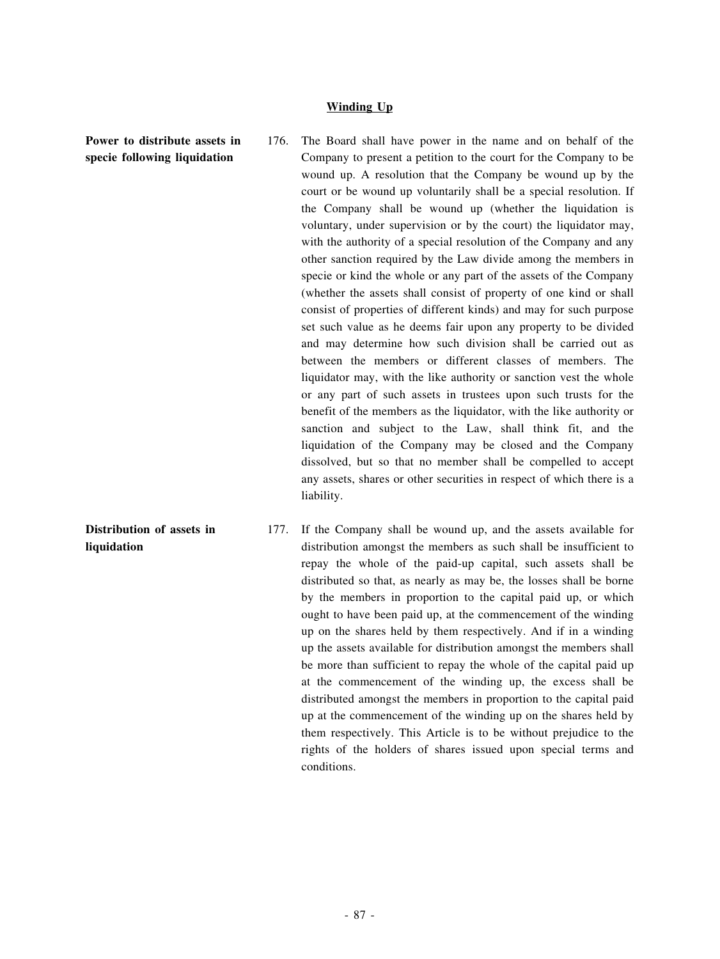## **Winding Up**

**Power to distribute assets in specie following liquidation**

**Distribution of assets in**

**liquidation**

- 176. The Board shall have power in the name and on behalf of the Company to present a petition to the court for the Company to be wound up. A resolution that the Company be wound up by the court or be wound up voluntarily shall be a special resolution. If the Company shall be wound up (whether the liquidation is voluntary, under supervision or by the court) the liquidator may, with the authority of a special resolution of the Company and any other sanction required by the Law divide among the members in specie or kind the whole or any part of the assets of the Company (whether the assets shall consist of property of one kind or shall consist of properties of different kinds) and may for such purpose set such value as he deems fair upon any property to be divided and may determine how such division shall be carried out as between the members or different classes of members. The liquidator may, with the like authority or sanction vest the whole or any part of such assets in trustees upon such trusts for the benefit of the members as the liquidator, with the like authority or sanction and subject to the Law, shall think fit, and the liquidation of the Company may be closed and the Company dissolved, but so that no member shall be compelled to accept any assets, shares or other securities in respect of which there is a liability.
- 177. If the Company shall be wound up, and the assets available for distribution amongst the members as such shall be insufficient to repay the whole of the paid-up capital, such assets shall be distributed so that, as nearly as may be, the losses shall be borne by the members in proportion to the capital paid up, or which ought to have been paid up, at the commencement of the winding up on the shares held by them respectively. And if in a winding up the assets available for distribution amongst the members shall be more than sufficient to repay the whole of the capital paid up at the commencement of the winding up, the excess shall be distributed amongst the members in proportion to the capital paid up at the commencement of the winding up on the shares held by them respectively. This Article is to be without prejudice to the rights of the holders of shares issued upon special terms and conditions.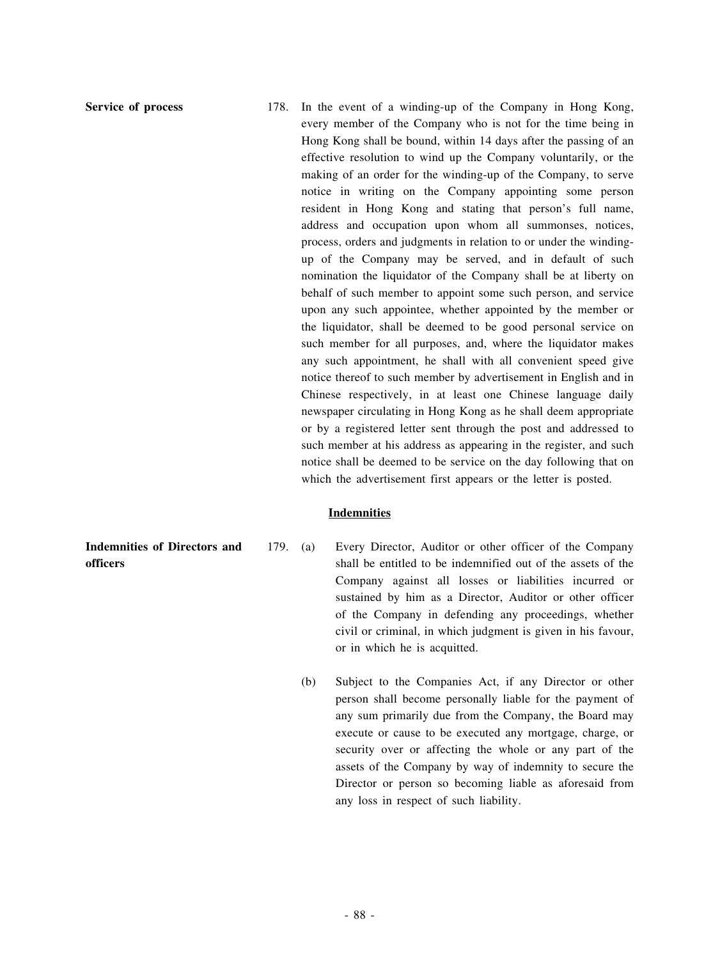**Service of process** 178. In the event of a winding-up of the Company in Hong Kong, every member of the Company who is not for the time being in Hong Kong shall be bound, within 14 days after the passing of an effective resolution to wind up the Company voluntarily, or the making of an order for the winding-up of the Company, to serve notice in writing on the Company appointing some person resident in Hong Kong and stating that person's full name, address and occupation upon whom all summonses, notices, process, orders and judgments in relation to or under the windingup of the Company may be served, and in default of such nomination the liquidator of the Company shall be at liberty on behalf of such member to appoint some such person, and service upon any such appointee, whether appointed by the member or the liquidator, shall be deemed to be good personal service on such member for all purposes, and, where the liquidator makes any such appointment, he shall with all convenient speed give notice thereof to such member by advertisement in English and in Chinese respectively, in at least one Chinese language daily newspaper circulating in Hong Kong as he shall deem appropriate or by a registered letter sent through the post and addressed to such member at his address as appearing in the register, and such notice shall be deemed to be service on the day following that on which the advertisement first appears or the letter is posted.

#### **Indemnities**

- 179. (a) Every Director, Auditor or other officer of the Company shall be entitled to be indemnified out of the assets of the Company against all losses or liabilities incurred or sustained by him as a Director, Auditor or other officer of the Company in defending any proceedings, whether civil or criminal, in which judgment is given in his favour, or in which he is acquitted.
	- (b) Subject to the Companies Act, if any Director or other person shall become personally liable for the payment of any sum primarily due from the Company, the Board may execute or cause to be executed any mortgage, charge, or security over or affecting the whole or any part of the assets of the Company by way of indemnity to secure the Director or person so becoming liable as aforesaid from any loss in respect of such liability.

**Indemnities of Directors and officers**